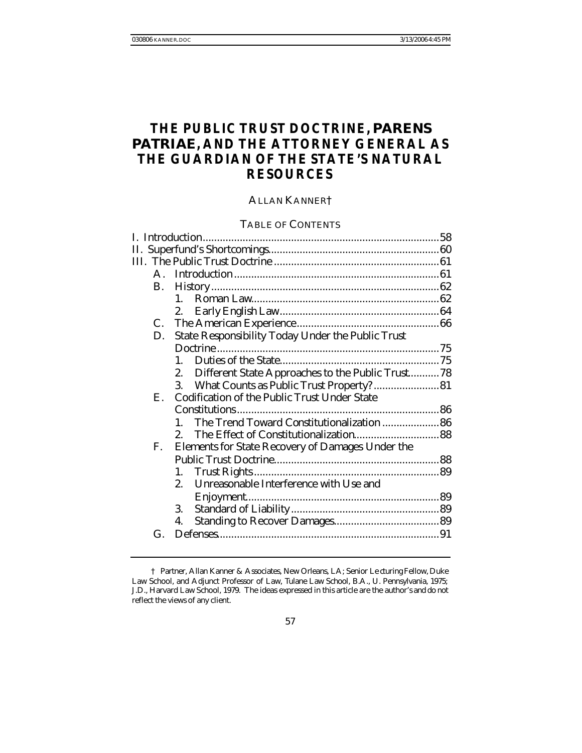# **THE PUBLIC TRUST DOCTRINE,** *PARENS PATRIAE***, AND THE ATTORNEY GENERAL AS THE GUARDIAN OF THE STATE'S NATURAL RESOURCES**

# ALLAN KANNER†

## TABLE OF CONTENTS

|  |                      | TABLE OF CONTENTS                                                  |  |
|--|----------------------|--------------------------------------------------------------------|--|
|  |                      |                                                                    |  |
|  |                      |                                                                    |  |
|  |                      |                                                                    |  |
|  |                      |                                                                    |  |
|  | <b>B.</b>            |                                                                    |  |
|  |                      | $1_{-}$                                                            |  |
|  |                      | 2.                                                                 |  |
|  | C.                   |                                                                    |  |
|  | D.                   | <b>State Responsibility Today Under the Public Trust</b>           |  |
|  |                      |                                                                    |  |
|  |                      | $1_{-}$                                                            |  |
|  |                      | Different State Approaches to the Public Trust78<br>2.             |  |
|  |                      | What Counts as Public Trust Property? 81<br>3.                     |  |
|  | $\mathbf{E}_{\cdot}$ | <b>Codification of the Public Trust Under State</b>                |  |
|  |                      |                                                                    |  |
|  |                      |                                                                    |  |
|  |                      | The Trend Toward Constitutionalization  86<br>$\mathbf{1}_{\cdot}$ |  |
|  |                      | 2.                                                                 |  |
|  | F.                   | <b>Elements for State Recovery of Damages Under the</b>            |  |
|  |                      |                                                                    |  |
|  |                      | 1.                                                                 |  |
|  |                      | Unreasonable Interference with Use and<br>2.                       |  |
|  |                      |                                                                    |  |
|  |                      | 3.                                                                 |  |
|  |                      | 4.                                                                 |  |
|  | G.                   |                                                                    |  |
|  |                      |                                                                    |  |

<sup>†</sup> Partner, Allan Kanner & Associates, New Orleans, LA; Senior Le cturing Fellow, Duke Law School, and Adjunct Professor of Law, Tulane Law School, B.A., U. Pennsylvania, 1975; J.D., Harvard Law School, 1979. The ideas expressed in this article are the author's and do not reflect the views of any client.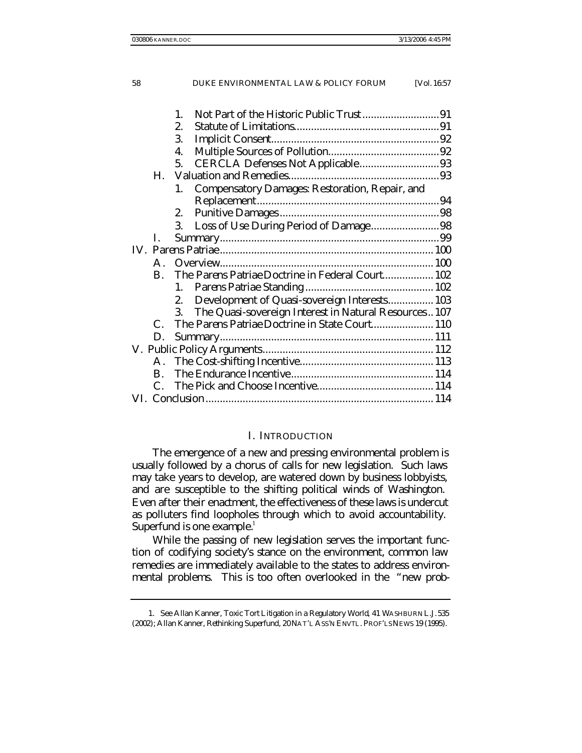|                      | $\mathbf{1}$ .                                              |  |  |
|----------------------|-------------------------------------------------------------|--|--|
|                      | 2.                                                          |  |  |
|                      | 3.                                                          |  |  |
|                      | 4.                                                          |  |  |
|                      | CERCLA Defenses Not Applicable93<br>5.                      |  |  |
| Н.                   |                                                             |  |  |
|                      | <b>Compensatory Damages: Restoration, Repair, and</b><br>1. |  |  |
|                      |                                                             |  |  |
|                      | 2.                                                          |  |  |
|                      | Loss of Use During Period of Damage98<br>3.                 |  |  |
| L.                   |                                                             |  |  |
|                      |                                                             |  |  |
| $\mathbf{A}_{\cdot}$ |                                                             |  |  |
| B.                   | The Parens Patriae Doctrine in Federal Court 102            |  |  |
|                      | 1.                                                          |  |  |
|                      | Development of Quasi-sovereign Interests 103<br>2.          |  |  |
|                      | The Quasi-sovereign Interest in Natural Resources 107<br>3. |  |  |
| C.                   | The Parens Patriae Doctrine in State Court 110              |  |  |
| D.                   |                                                             |  |  |
|                      |                                                             |  |  |
| А.                   |                                                             |  |  |
| B.                   |                                                             |  |  |
| $C_{\cdot}$          |                                                             |  |  |
|                      |                                                             |  |  |
|                      |                                                             |  |  |

#### I. INTRODUCTION

The emergence of a new and pressing environmental problem is usually followed by a chorus of calls for new legislation. Such laws may take years to develop, are watered down by business lobbyists, and are susceptible to the shifting political winds of Washington. Even after their enactment, the effectiveness of these laws is undercut as polluters find loopholes through which to avoid accountability. Superfund is one example.<sup>1</sup>

While the passing of new legislation serves the important function of codifying society's stance on the environment, common law remedies are immediately available to the states to address environmental problems. This is too often overlooked in the "new prob-

<sup>1</sup>*. See* Allan Kanner, *Toxic Tort Litigation in a Regulatory World*, 41 WASHBURN L.J. 535 (2002); Allan Kanner, *Rethinking Superfund*, 20 NAT'L ASS'N ENVTL. PROF'LS NEWS 19 (1995).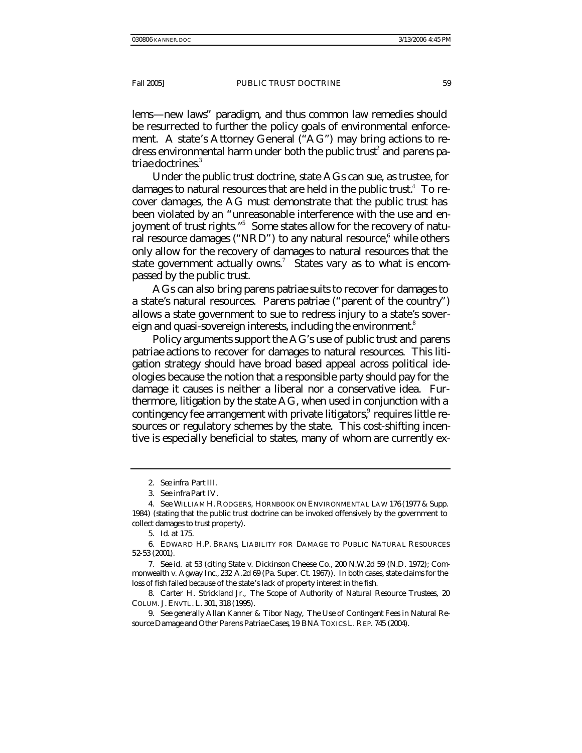lems—new laws" paradigm, and thus common law remedies should be resurrected to further the policy goals of environmental enforcement. A state's Attorney General ("AG") may bring actions to redress environmental harm under both the public trust<sup>2</sup> and *parens patriae* doctrines.<sup>3</sup>

Under the public trust doctrine, state AGs can sue, as trustee, for damages to natural resources that are held in the public trust. $^4\,$  To recover damages, the AG must demonstrate that the public trust has been violated by an "unreasonable interference with the use and enjoyment of trust rights."<sup>5</sup> Some states allow for the recovery of natural resource damages ("NRD") to any natural resource, while others only allow for the recovery of damages to natural resources that the state government actually owns.<sup>7</sup> States vary as to what is encompassed by the public trust.

AGs can also bring *parens patriae* suits to recover for damages to a state's natural resources. *Parens patriae* ("parent of the country") allows a state government to sue to redress injury to a state's sovereign and quasi-sovereign interests, including the environment.<sup>8</sup>

Policy arguments support the AG's use of public trust and *parens patriae* actions to recover for damages to natural resources. This litigation strategy should have broad based appeal across political ideologies because the notion that a responsible party should pay for the damage it causes is neither a liberal nor a conservative idea. Furthermore, litigation by the state AG, when used in conjunction with a contingency fee arrangement with private litigators,<sup>9</sup> requires little resources or regulatory schemes by the state. This cost-shifting incentive is especially beneficial to states, many of whom are currently ex-

<sup>2</sup>*. See infra* Part III.

<sup>3</sup>*. See infra* Part IV.

<sup>4</sup>*. See* WILLIAM H. RODGERS, HORNBOOK ON ENVIRONMENTAL LAW 176 (1977 & Supp. 1984) (stating that the public trust doctrine can be invoked offensively by the government to collect damages to trust property).

<sup>5</sup>*. Id*. at 175.

<sup>6.</sup> EDWARD H.P. BRANS, LIABILITY FOR DAMAGE TO PUBLIC NATURAL RESOURCES 52-53 (2001).

<sup>7</sup>*. See id.* at 53 (citing State v. Dickinson Cheese Co., 200 N.W.2d 59 (N.D. 1972); Commonwealth v. Agway Inc., 232 A.2d 69 (Pa. Super. Ct. 1967)). In both cases, state claims for the loss of fish failed because of the state's lack of property interest in the fish.

<sup>8.</sup> Carter H. Strickland Jr., *The Scope of Authority of Natural Resource Trustees*, 20 COLUM. J. ENVTL. L. 301, 318 (1995).

<sup>9</sup>*. See generally* Allan Kanner & Tibor Nagy, *The Use of Contingent Fees in Natural Resource Damage and Other* Parens Patriae *Cases*, 19 BNATOXICS L. REP. 745 (2004).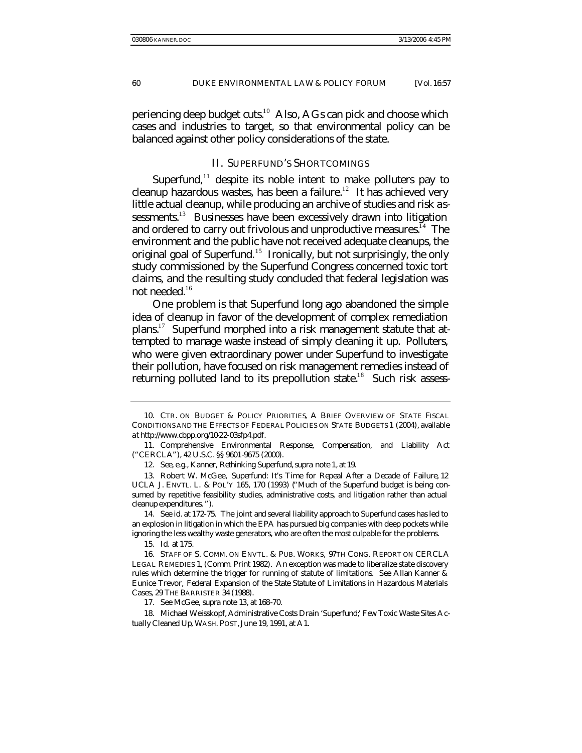periencing deep budget cuts.<sup>10</sup> Also, AGs can pick and choose which cases and industries to target, so that environmental policy can be balanced against other policy considerations of the state.

## II. SUPERFUND'S SHORTCOMINGS

Superfund, $11$  despite its noble intent to make polluters pay to cleanup hazardous wastes, has been a failure.<sup>12</sup> It has achieved very little actual cleanup, while producing an archive of studies and risk assessments.<sup>13</sup> Businesses have been excessively drawn into litigation and ordered to carry out frivolous and unproductive measures.<sup>14</sup> The environment and the public have not received adequate cleanups, the original goal of Superfund.<sup>15</sup> Ironically, but not surprisingly, the only study commissioned by the Superfund Congress concerned toxic tort claims, and the resulting study concluded that federal legislation was not needed.<sup>16</sup>

One problem is that Superfund long ago abandoned the simple idea of cleanup in favor of the development of complex remediation plans.<sup>17</sup> Superfund morphed into a risk management statute that attempted to manage waste instead of simply cleaning it up. Polluters, who were given extraordinary power under Superfund to investigate their pollution, have focused on risk management remedies instead of returning polluted land to its prepollution state.<sup>18</sup> Such risk assess-

<sup>10.</sup> CTR. ON BUDGET & POLICY PRIORITIES, A BRIEF OVERVIEW OF STATE FISCAL CONDITIONS AND THE EFFECTS OF FEDERAL POLICIES ON STATE BUDGETS 1 (2004), *available at* http://www.cbpp.org/10-22-03sfp4.pdf.

<sup>11.</sup> Comprehensive Environmental Response, Compensation, and Liability Act ("CERCLA"), 42 U.S.C. §§ 9601-9675 (2000).

<sup>12</sup>*. See, e.g.*, Kanner, *Rethinking Superfund*, *supra* note 1, at 19.

<sup>13.</sup> Robert W. McGee, *Superfund: It's Time for Repeal After a Decade of Failure*, 12 UCLA J. ENVTL. L. & POL'Y 165, 170 (1993) ("Much of the Superfund budget is being consumed by repetitive feasibility studies, administrative costs, and litig ation rather than actual cleanup expenditures. ").

<sup>14</sup>*. See id*. at 172-75. The joint and several liability approach to Superfund cases has led to an explosion in litigation in which the EPA has pursued big companies with deep pockets while ignoring the less wealthy waste generators, who are often the most culpable for the problems.

<sup>15</sup>*. Id*. at 175.

<sup>16.</sup> STAFF OF S. COMM. ON ENVTL. & PUB. WORKS, 97TH CONG. REPORT ON CERCLA LEGAL REMEDIES 1, (Comm. Print 1982). An exception was made to liberalize state discovery rules which determine the trigger for running of statute of limitations. *See* Allan Kanner & Eunice Trevor, *Federal Expansion of the State Statute of Limitations in Hazardous Materials Cases*, 29 THE BARRISTER 34 (1988).

<sup>17</sup>*. See* McGee, *supra* note 13, at 168-70.

<sup>18.</sup> Michael Weisskopf, *Administrative Costs Drain 'Superfund;' Few Toxic Waste Sites Actually Cleaned Up*, WASH. POST, June 19, 1991, at A1.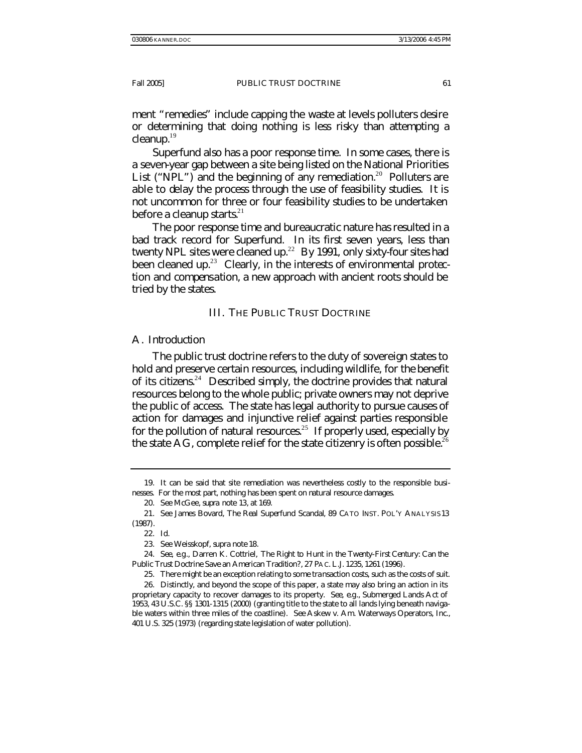ment "remedies" include capping the waste at levels polluters desire or determining that doing nothing is less risky than attempting a cleanup.<sup>19</sup>

Superfund also has a poor response time. In some cases, there is a seven-year gap between a site being listed on the National Priorities List ("NPL") and the beginning of any remediation.<sup>20</sup> Polluters are able to delay the process through the use of feasibility studies. It is not uncommon for three or four feasibility studies to be undertaken before a cleanup starts. $21$ 

The poor response time and bureaucratic nature has resulted in a bad track record for Superfund. In its first seven years, less than twenty NPL sites were cleaned up.<sup>22</sup> By 1991, only sixty-four sites had been cleaned up.<sup>23</sup> Clearly, in the interests of environmental protection and compensation, a new approach with ancient roots should be tried by the states.

## III. THE PUBLIC TRUST DOCTRINE

## A. *Introduction*

The public trust doctrine refers to the duty of sovereign states to hold and preserve certain resources, including wildlife, for the benefit of its citizens.<sup>24</sup> Described simply, the doctrine provides that natural resources belong to the whole public; private owners may not deprive the public of access. The state has legal authority to pursue causes of action for damages and injunctive relief against parties responsible for the pollution of natural resources.<sup>25</sup> If properly used, especially by the state AG, complete relief for the state citizenry is often possible.<sup>26</sup>

<sup>19.</sup> It can be said that site remediation was nevertheless costly to the responsible businesses. For the most part, nothing has been spent on natural resource damages.

<sup>20</sup>*. See* McGee, *supra* note 13, at 169.

<sup>21</sup>*. See* James Bovard*, The Real Superfund Scandal*, 89 CATO INST. POL'Y ANALYSIS 13 (1987).

<sup>22</sup>*. Id.*

<sup>23</sup>*. See* Weisskopf, s*upra* note 18.

<sup>24</sup>*. See, e.g*., Darren K. Cottriel, *The Right to Hunt in the Twenty-First Century: Can the Public Trust Doctrine Save an American Tradition?*, 27 PAC. L.J. 1235, 1261 (1996).

<sup>25.</sup> There might be an exception relating to some transaction costs, such as the costs of suit.

<sup>26.</sup> Distinctly, and beyond the scope of this paper, a state may also bring an action in its proprietary capacity to recover damages to its property. *See, e.g*., Submerged Lands Act of 1953, 43 U.S.C. §§ 1301-1315 (2000) (granting title to the state to all lands lying beneath navigable waters within three miles of the coastline). *See* Askew v. Am. Waterways Operators, Inc., 401 U.S. 325 (1973) (regarding state legislation of water pollution).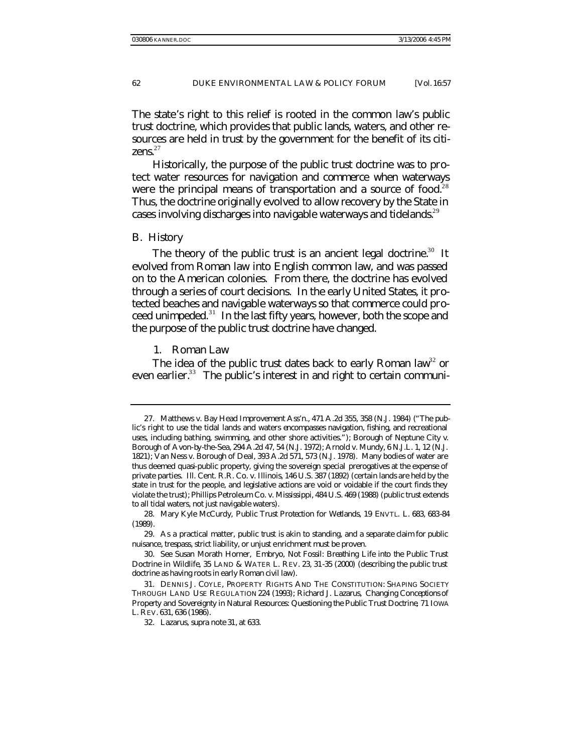The state's right to this relief is rooted in the common law's public trust doctrine, which provides that public lands, waters, and other resources are held in trust by the government for the benefit of its citizens. $27$ 

Historically, the purpose of the public trust doctrine was to protect water resources for navigation and commerce when waterways were the principal means of transportation and a source of food.<sup>28</sup> Thus, the doctrine originally evolved to allow recovery by the State in cases involving discharges into navigable waterways and tidelands.<sup>29</sup>

#### B. *History*

The theory of the public trust is an ancient legal doctrine.<sup>30</sup> It evolved from Roman law into English common law, and was passed on to the American colonies. From there, the doctrine has evolved through a series of court decisions. In the early United States, it protected beaches and navigable waterways so that commerce could proceed unimpeded.<sup>31</sup> In the last fifty years, however, both the scope and the purpose of the public trust doctrine have changed.

1. Roman Law

The idea of the public trust dates back to early Roman law<sup>32</sup> or even earlier.<sup>33</sup> The public's interest in and right to certain communi-

<sup>27.</sup> Matthews v. Bay Head Improvement Ass'n., 471 A.2d 355, 358 (N.J. 1984) ("The public's right to use the tidal lands and waters encompasses navigation, fishing, and recreational uses, including bathing, swimming, and other shore activities."); Borough of Neptune City v. Borough of Avon-by-the-Sea, 294 A.2d 47, 54 (N.J. 1972); Arnold v. Mundy, 6 N.J.L. 1, 12 (N.J. 1821); Van Ness v. Borough of Deal, 393 A.2d 571, 573 (N.J. 1978). Many bodies of water are thus deemed quasi-public property, giving the sovereign special prerogatives at the expense of private parties. Ill. Cent. R.R. Co. v. Illinois, 146 U.S. 387 (1892) (certain lands are held by the state in trust for the people, and legislative actions are void or voidable if the court finds they violate the trust); Phillips Petroleum Co. v. Mississippi, 484 U.S. 469 (1988) (public trust extends to all tidal waters, not just navigable waters).

<sup>28.</sup> Mary Kyle McCurdy, *Public Trust Protection for Wetlands*, 19 ENVTL. L. 683, 683-84 (1989).

<sup>29.</sup> As a practical matter, public trust is akin to standing, and a separate claim for public nuisance, trespass, strict liability, or unjust enrichment must be proven.

<sup>30</sup>*. See* Susan Morath Horner, *Embryo, Not Fossil: Breathing Life into the Public Trust Doctrine in Wildlife*, 35 LAND & WATER L. REV. 23, 31-35 (2000) (describing the public trust doctrine as having roots in early Roman civil law).

<sup>31.</sup> DENNIS J. COYLE, PROPERTY RIGHTS AND THE CONSTITUTION: SHAPING SOCIETY THROUGH LAND USE REGULATION 224 (1993); Richard J. Lazarus, *Changing Conceptions of Property and Sovereignty in Natural Resources: Questioning the Public Trust Doctrine*, 71 IOWA L. REV. 631, 636 (1986).

<sup>32.</sup> Lazarus, *supra* note 31, at 633.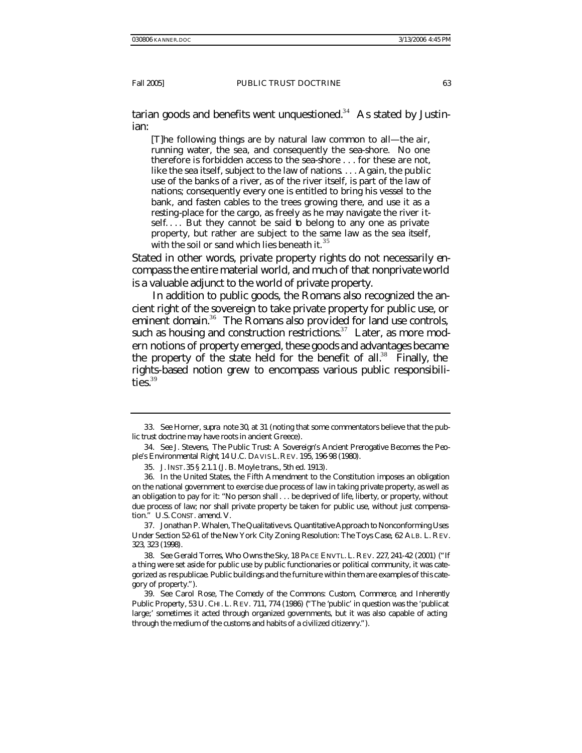tarian goods and benefits went unquestioned.<sup>34</sup> As stated by Justinian:

[T]he following things are by natural law common to all—the air, running water, the sea, and consequently the sea-shore. No one therefore is forbidden access to the sea-shore . . . for these are not, like the sea itself, subject to the law of nations. . . . Again, the public use of the banks of a river, as of the river itself, is part of the law of nations; consequently every one is entitled to bring his vessel to the bank, and fasten cables to the trees growing there, and use it as a resting-place for the cargo, as freely as he may navigate the river itself.... But they cannot be said to belong to any one as private property, but rather are subject to the same law as the sea itself, with the soil or sand which lies beneath it.<sup>35</sup>

Stated in other words, private property rights do not necessarily encompass the entire material world, and much of that nonprivate world is a valuable adjunct to the world of private property.

In addition to public goods, the Romans also recognized the ancient right of the sovereign to take private property for public use, or eminent domain.<sup>36</sup> The Romans also provided for land use controls, such as housing and construction restrictions. $37$  Later, as more modern notions of property emerged, these goods and advantages became the property of the state held for the benefit of all.<sup>38</sup> Finally, the rights-based notion grew to encompass various public responsibilities. $39$ 

37. Jonathan P. Whalen, *The Qualitative vs. Quantitative Approach to Nonconforming Uses Under Section 52-61 of the New York City Zoning Resolution: The Toys Case*, 62 ALB. L. REV. 323, 323 (1998).

38*. See* Gerald Torres, *Who Owns the Sky*, 18 PACE ENVTL. L. REV. 227, 241-42 (2001) ("If a thing were set aside for public use by public functionaries or political community, it was categorized as *res publicae*. Public buildings and the furniture within them are examples of this category of property.").

<sup>33</sup>*. See* Horner, *supra* note 30, at 31 (noting that some commentators believe that the public trust doctrine may have roots in ancient Greece).

<sup>34</sup>*. See* J. Stevens, *The Public Trust: A Sovereign's Ancient Prerogative Becomes the People's Environmental Right*, 14 U.C. DAVIS L.REV. 195, 196-98 (1980).

<sup>35.</sup> J. INST.35 § 2.1.1 (J. B. Moyle trans., 5th ed. 1913).

<sup>36.</sup> In the United States, the Fifth Amendment to the Constitution imposes an obligation on the national government to exercise due process of law in taking private property, as well as an obligation to pay for it: "No person shall . . . be deprived of life, liberty, or property, without due process of law; nor shall private property be taken for public use, without just compensation." U.S. CONST. amend. V.

<sup>39</sup>*. See* Carol Rose, *The Comedy of the Commons: Custom, Commerce, and Inherently Public Property*, 53 U. CHI. L. REV. 711, 774 (1986) ("The 'public' in question was the 'public at large;' sometimes it acted through organized governments, but it was also capable of acting through the medium of the customs and habits of a civilized citizenry.").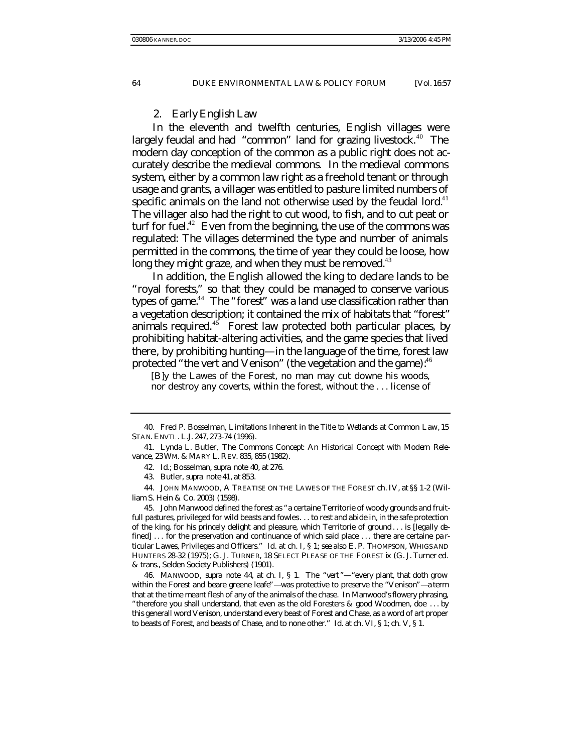#### 2. Early English Law

In the eleventh and twelfth centuries, English villages were largely feudal and had "common" land for grazing livestock. $40$  The modern day conception of the common as a public right does not accurately describe the medieval commons. In the medieval commons system, either by a common law right as a freehold tenant or through usage and grants, a villager was entitled to pasture limited numbers of specific animals on the land not otherwise used by the feudal lord. $41$ The villager also had the right to cut wood, to fish, and to cut peat or turf for fuel. $42$  Even from the beginning, the use of the commons was regulated: The villages determined the type and number of animals permitted in the commons, the time of year they could be loose, how long they might graze, and when they must be removed.<sup>43</sup>

In addition, the English allowed the king to declare lands to be "royal forests," so that they could be managed to conserve various types of game.<sup>44</sup> The "forest" was a land use classification rather than a vegetation description; it contained the mix of habitats that "forest" animals required. $45$  Forest law protected both particular places, by prohibiting habitat-altering activities, and the game species that lived there, by prohibiting hunting—in the language of the time, forest law protected "the vert and Venison" (the vegetation and the game):  $40^{\circ}$ 

[B]y the Lawes of the Forest, no man may cut downe his woods, nor destroy any coverts, within the forest, without the . . . license of

<sup>40.</sup> Fred P. Bosselman, *Limitations Inherent in the Title to Wetlands at Common Law*, 15 STAN. ENVTL. L.J. 247, 273-74 (1996).

<sup>41.</sup> Lynda L. Butler, *The Commons Concept: An Historical Concept with Modern Relevance*, 23 WM. & MARY L. REV. 835, 855 (1982).

<sup>42</sup>*. Id*.; Bosselman, *supra* note 40, at 276.

<sup>43.</sup> Butler, *supra* note 41, at 853.

<sup>44.</sup> JOHN MANWOOD, A TREATISE ON THE LAWES OF THE FOREST ch. IV, at §§ 1-2 (William S. Hein & Co. 2003) (1598).

<sup>45.</sup> John Manwood defined the forest as "a certaine Territorie of woody grounds and fruitfull pastures, privileged for wild beasts and fowles. . . to rest and abide in, in the safe protection of the king, for his princely delight and pleasure, which Territorie of ground . . . is [legally defined] ... for the preservation and continuance of which said place ... there are certaine particular Lawes, Privileges and Officers." *Id.* at ch. I, § 1; *see also* E. P. THOMPSON, WHIGS AND HUNTERS 28-32 (1975); G. J. TURNER, 18 SELECT PLEASE OF THE FOREST ix (G. J. Turner ed. & trans., Selden Society Publishers) (1901).

<sup>46.</sup> MANWOOD, *supra* note 44, at ch. I, § 1. The "vert "—"every plant, that doth grow within the Forest and beare greene leafe"—was protective to preserve the "Venison"—a term that at the time meant flesh of any of the animals of the chase. In Manwood's flowery phrasing, "therefore you shall understand, that even as the old Foresters & good Woodmen, doe . . . by this generall word Venison, unde rstand every beast of Forest and Chase, as a word of art proper to beasts of Forest, and beasts of Chase, and to none other." *Id*. at ch. VI, § 1; ch. V, § 1.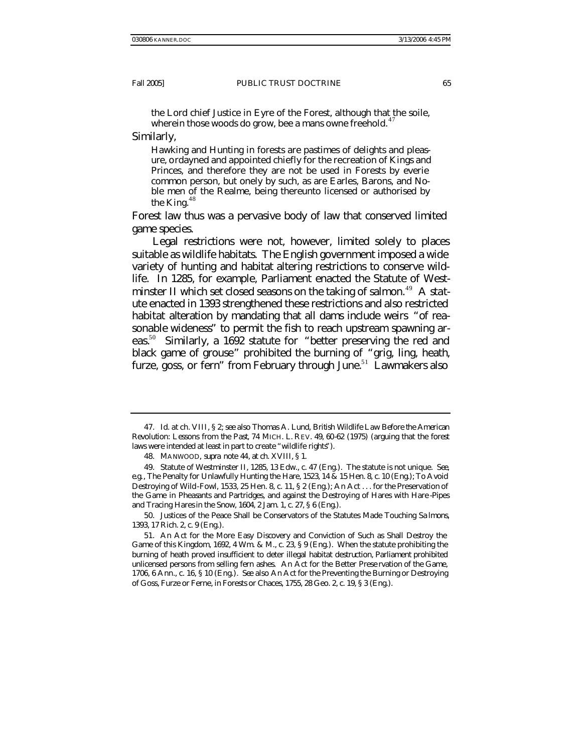the Lord chief Justice in Eyre of the Forest, although that the soile, wherein those woods do grow, bee a mans owne freehold. $47$ 

Similarly,

Hawking and Hunting in forests are pastimes of delights and pleasure, ordayned and appointed chiefly for the recreation of Kings and Princes, and therefore they are not be used in Forests by everie common person, but onely by such, as are Earles, Barons, and Noble men of the Realme, being thereunto licensed or authorised by the King. $48$ 

Forest law thus was a pervasive body of law that conserved limited game species.

Legal restrictions were not, however, limited solely to places suitable as wildlife habitats. The English government imposed a wide variety of hunting and habitat altering restrictions to conserve wildlife. In 1285, for example, Parliament enacted the Statute of Westminster II which set closed seasons on the taking of salmon.<sup>49</sup> A statute enacted in 1393 strengthened these restrictions and also restricted habitat alteration by mandating that all dams include weirs "of reasonable wideness" to permit the fish to reach upstream spawning areas.<sup>50</sup> Similarly, a 1692 statute for "better preserving the red and black game of grouse" prohibited the burning of "grig, ling, heath, furze, goss, or fern" from February through June.<sup>51</sup> Lawmakers also

50. Justices of the Peace Shall be Conservators of the Statutes Made Touching Sa lmons, 1393, 17 Rich. 2, c. 9 (Eng.).

<sup>47</sup>*. Id.* at ch. VIII, § 2; *see also* Thomas A. Lund, *British Wildlife Law Before the American Revolution: Lessons from the Past*, 74 MICH. L. REV. 49, 60-62 (1975) (arguing that the forest laws were intended at least in part to create "wildlife rights").

<sup>48.</sup> MANWOOD, *supra* note 44, at ch. XVIII, § 1.

<sup>49.</sup> Statute of Westminster II, 1285, 13 Edw., c. 47 (Eng.). The statute is not unique. *See, e.g.*, The Penalty for Unlawfully Hunting the Hare, 1523, 14 & 15 Hen. 8, c. 10 (Eng.); To Avoid Destroying of Wild-Fowl, 1533, 25 Hen. 8, c. 11, § 2 (Eng.); An Act . . . for the Preservation of the Game in Pheasants and Partridges, and against the Destroying of Hares with Hare -Pipes and Tracing Hares in the Snow, 1604, 2 Jam. 1, c. 27, § 6 (Eng.).

<sup>51.</sup> An Act for the More Easy Discovery and Conviction of Such as Shall Destroy the Game of this Kingdom, 1692, 4 Wm. & M., c. 23, § 9 (Eng.). When the statute prohibiting the burning of heath proved insufficient to deter illegal habitat destruction, Parliament prohibited unlicensed persons from selling fern ashes. An Act for the Better Prese rvation of the Game, 1706, 6 Ann., c. 16, § 10 (Eng.). *See also* An Act for the Preventing the Burning or Destroying of Goss, Furze or Ferne, in Forests or Chaces, 1755, 28 Geo. 2, c. 19, § 3 (Eng.).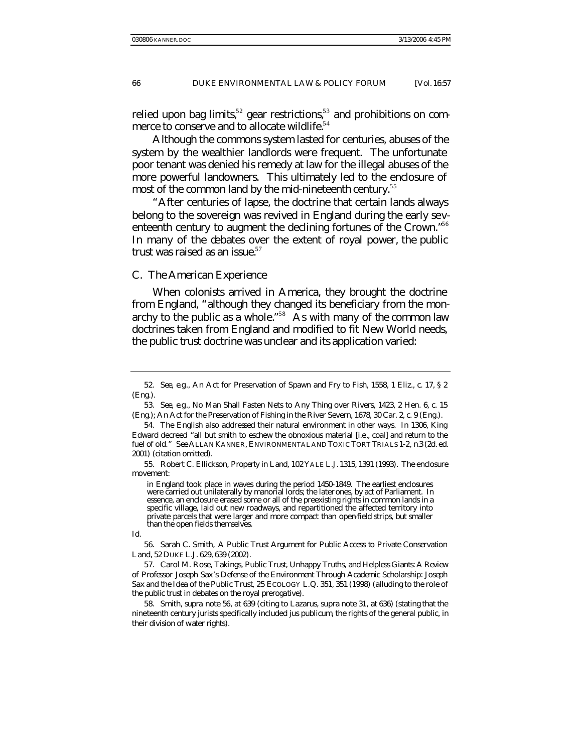relied upon bag limits,<sup>52</sup> gear restrictions,<sup>53</sup> and prohibitions on commerce to conserve and to allocate wildlife.<sup>54</sup>

Although the commons system lasted for centuries, abuses of the system by the wealthier landlords were frequent. The unfortunate poor tenant was denied his remedy at law for the illegal abuses of the more powerful landowners. This ultimately led to the enclosure of most of the common land by the mid-nineteenth century.<sup>55</sup>

"After centuries of lapse, the doctrine that certain lands always belong to the sovereign was revived in England during the early seventeenth century to augment the declining fortunes of the Crown."<sup>56</sup> In many of the debates over the extent of royal power, the public trust was raised as an issue. $57$ 

#### C. *The American Experience*

When colonists arrived in America, they brought the doctrine from England, "although they changed its beneficiary from the monarchy to the public as a whole." <sup>58</sup> As with many of the common law doctrines taken from England and modified to fit New World needs, the public trust doctrine was unclear and its application varied:

<sup>52</sup>*. See, e.g*., An Act for Preservation of Spawn and Fry to Fish, 1558, 1 Eliz., c. 17, § 2 (Eng.).

<sup>53</sup>*. See, e.g*., No Man Shall Fasten Nets to Any Thing over Rivers, 1423, 2 Hen. 6, c. 15 (Eng.); An Act for the Preservation of Fishing in the River Severn, 1678, 30 Car. 2, c. 9 (Eng.).

<sup>54.</sup> The English also addressed their natural environment in other ways. In 1306, King Edward decreed "all but smith to eschew the obnoxious material [i.e*.*, coal] and return to the fuel of old." *See* ALLAN KANNER, ENVIRONMENTAL AND TOXIC TORT TRIALS 1-2, n.3 (2d. ed. 2001) (citation omitted).

<sup>55.</sup> Robert C. Ellickson, *Property in Land*, 102 YALE L.J. 1315, 1391 (1993). The enclosure movement:

in England took place in waves during the period 1450-1849. The earliest enclosures were carried out unilaterally by manorial lords; the later ones, by act of Parliament. In essence, an enclosure erased some or all of the preexisting rights in common lands in a specific village, laid out new roadways, and repartitioned the affected territory into private parcels that were larger and more compact than open-field strips, but smaller than the open fields themselves.

*Id.*

<sup>56.</sup> Sarah C. Smith, *A Public Trust Argument for Public Access to Private Conservation Land*, 52 DUKE L.J. 629, 639 (2002).

<sup>57.</sup> Carol M. Rose, *Takings, Public Trust, Unhappy Truths, and Helpless Giants: A Review of Professor Joseph Sax's Defense of the Environment Through Academic Scholarship: Joseph Sax and the Idea of the Public Trust*, 25 ECOLOGY L.Q. 351, 351 (1998) (alluding to the role of the public trust in debates on the royal prerogative).

<sup>58.</sup> Smith, *supra* note 56, at 639 (citing to Lazarus, *supra* note 31, at 636) (stating that the nineteenth century jurists specifically included *jus publicum*, the rights of the general public, in their division of water rights).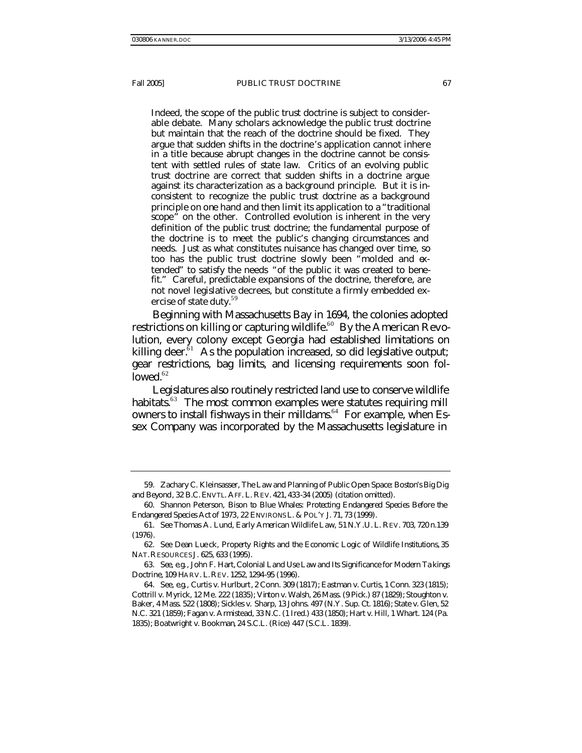Indeed, the scope of the public trust doctrine is subject to considerable debate. Many scholars acknowledge the public trust doctrine but maintain that the reach of the doctrine should be fixed. They argue that sudden shifts in the doctrine's application cannot inhere in a title because abrupt changes in the doctrine cannot be consistent with settled rules of state law. Critics of an evolving public trust doctrine are correct that sudden shifts in a doctrine argue against its characterization as a background principle. But it is inconsistent to recognize the public trust doctrine as a background principle on one hand and then limit its application to a "traditional scope" on the other. Controlled evolution is inherent in the very definition of the public trust doctrine; the fundamental purpose of the doctrine is to meet the public's changing circumstances and needs. Just as what constitutes nuisance has changed over time, so too has the public trust doctrine slowly been "molded and extended" to satisfy the needs "of the public it was created to benefit." Careful, predictable expansions of the doctrine, therefore, are not novel legislative decrees, but constitute a firmly embedded exercise of state duty.<sup>59</sup>

Beginning with Massachusetts Bay in 1694, the colonies adopted restrictions on killing or capturing wildlife.<sup>60</sup> By the American Revolution, every colony except Georgia had established limitations on killing deer. $\tilde{b}$ <sup>1</sup> As the population increased, so did legislative output; gear restrictions, bag limits, and licensing requirements soon fol $lowed.<sub>62</sub>$ 

Legislatures also routinely restricted land use to conserve wildlife habitats.<sup>63</sup> The most common examples were statutes requiring mill owners to install fishways in their milldams.<sup>64</sup> For example, when Essex Company was incorporated by the Massachusetts legislature in

<sup>59.</sup> Zachary C. Kleinsasser, *The Law and Planning of Public Open Space: Boston's Big Dig and Beyond*, 32 B.C. ENVTL. AFF. L. REV. 421, 433-34 (2005) (citation omitted).

<sup>60.</sup> Shannon Peterson, *Bison to Blue Whales: Protecting Endangered Species Before the Endangered Species Act of 1973*, 22 ENVIRONS L. & POL'Y J. 71, 73 (1999).

<sup>61</sup>*. See* Thomas A. Lund, *Early American Wildlife Law*, 51 N.Y.U. L. REV. 703, 720 n.139 (1976).

<sup>62</sup>*. See* Dean Lue ck, *Property Rights and the Economic Logic of Wildlife Institutions*, 35 NAT.RESOURCES J. 625, 633 (1995).

<sup>63</sup>*. See, e.g.*, John F. Hart, *Colonial Land Use Law and Its Significance for Modern Ta kings Doctrine*, 109 HARV. L.REV. 1252, 1294-95 (1996).

<sup>64</sup>*. See, e.g.*, Curtis v. Hurlburt*,* 2 Conn. 309 (1817); Eastman v. Curtis, 1 Conn. 323 (1815); Cottrill v. Myrick, 12 Me. 222 (1835); Vinton v. Walsh, 26 Mass. (9 Pick.) 87 (1829); Stoughton v. Baker, 4 Mass. 522 (1808); Sickles v. Sharp, 13 Johns. 497 (N.Y. Sup. Ct. 1816); State v. Glen, 52 N.C. 321 (1859); Fagan v. Armistead, 33 N.C. (1 Ired.) 433 (1850); Hart v. Hill, 1 Whart. 124 (Pa. 1835); Boatwright v. Bookman*,* 24 S.C.L. (Rice) 447 (S.C.L. 1839).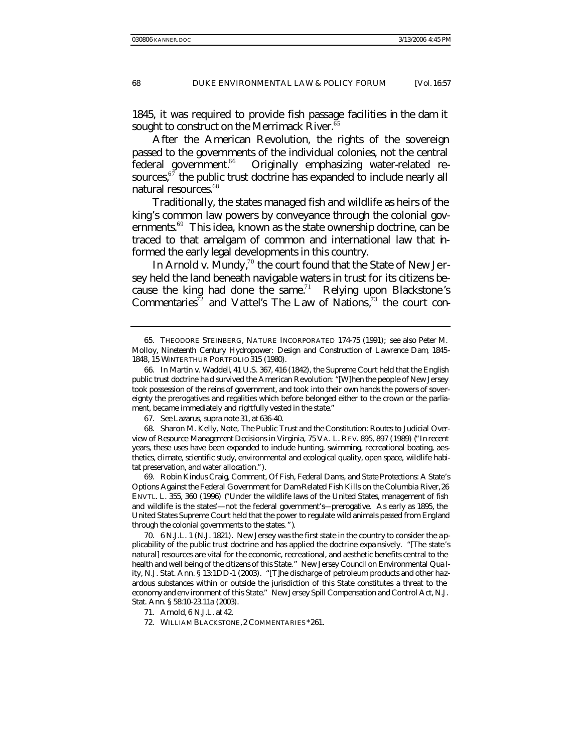1845, it was required to provide fish passage facilities in the dam it sought to construct on the Merrimack River.<sup>65</sup>

After the American Revolution, the rights of the sovereign passed to the governments of the individual colonies, not the central federal government.<sup>66</sup> Originally emphasizing water-related resources, $67$  the public trust doctrine has expanded to include nearly all natural resources.<sup>68</sup>

Traditionally, the states managed fish and wildlife as heirs of the king's common law powers by conveyance through the colonial governments.<sup>69</sup> This idea, known as the state ownership doctrine, can be traced to that amalgam of common and international law that informed the early legal developments in this country.

In *Arnold v. Mundy*,<sup>70</sup> the court found that the State of New Jersey held the land beneath navigable waters in trust for its citizens because the king had done the same.<sup>71</sup> Relying upon Blackstone's Commentaries<sup>72</sup> and Vattel's *The Law of Nations*,<sup>73</sup> the court con-

67*. See* Lazarus, *supra* note 31, at 636-40.

68. Sharon M. Kelly, Note, *The Public Trust and the Constitution: Routes to Judicial Overview of Resource Management Decisions in Virginia*, 75 VA. L. REV. 895, 897 (1989) ("In recent years, these uses have been expanded to include hunting, swimming, recreational boating, aesthetics, climate, scientific study, environmental and ecological quality, open space, wildlife habitat preservation, and water allocation.").

69. Robin Kindus Craig, Comment, *Of Fish, Federal Dams, and State Protections: A State's Options Against the Federal Government for Dam-Related Fish Kills on the Columbia River*, 26 ENVTL. L. 355, 360 (1996) ("Under the wildlife laws of the United States, management of fish and wildlife is the states'—not the federal government's—prerogative. As early as 1895, the United States Supreme Court held that the power to regulate wild animals passed from England through the colonial governments to the states. ").

70. 6 N.J.L. 1 (N.J. 1821). New Jersey was the first state in the country to consider the applicability of the public trust doctrine and has applied the doctrine expa nsively. "[The state's natural] resources are vital for the economic, recreational, and aesthetic benefits central to the health and well being of the citizens of this State." New Jersey Council on Environmental Qua lity, N.J. Stat. Ann. § 13:1DD-1 (2003). "[T]he discharge of petroleum products and other hazardous substances within or outside the jurisdiction of this State constitutes a threat to the economy and env ironment of this State." New Jersey Spill Compensation and Control Act, N.J. Stat. Ann. § 58:10-23.11a (2003).

<sup>65.</sup> THEODORE STEINBERG, NATURE INCORPORATED 174-75 (1991); *see also* Peter M. Molloy, *Nineteenth Century Hydropower: Design and Construction of Lawrence Dam*, *1845- 1848*, 15 WINTERTHUR PORTFOLIO 315 (1980).

<sup>66.</sup> In *Martin v. Waddell*, 41 U.S. 367, 416 (1842), the Supreme Court held that the English public trust doctrine ha d survived the American Revolution: "[W]hen the people of New Jersey took possession of the reins of government, and took into their own hands the powers of sovereignty the prerogatives and regalities which before belonged either to the crown or the parliament, became immediately and rightfully vested in the state."

<sup>71</sup>*. Arnold*, 6 N.J.L. at 42.

<sup>72.</sup> WILLIAM BLACKSTONE,2 COMMENTARIES \*261.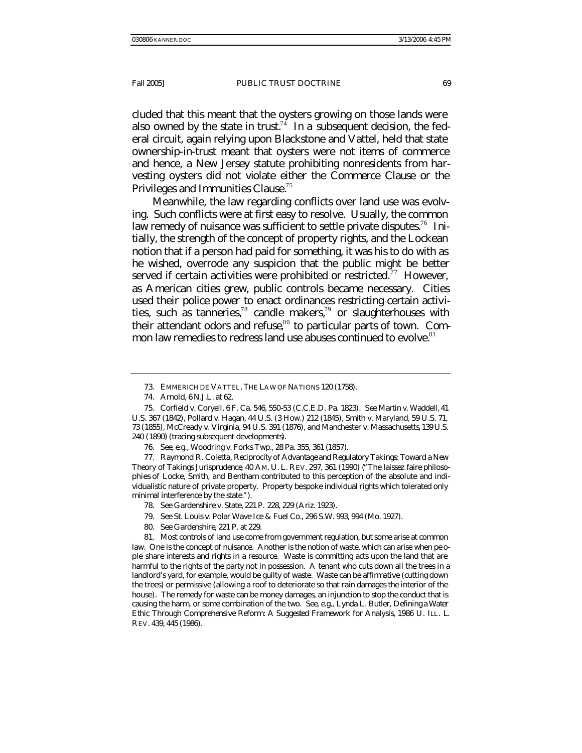cluded that this meant that the oysters growing on those lands were also owned by the state in trust.<sup>74</sup> In a subsequent decision, the federal circuit, again relying upon Blackstone and Vattel, held that state ownership-in-trust meant that oysters were not items of commerce and hence, a New Jersey statute prohibiting nonresidents from harvesting oysters did not violate either the Commerce Clause or the Privileges and Immunities Clause.<sup>75</sup>

Meanwhile, the law regarding conflicts over land use was evolving. Such conflicts were at first easy to resolve. Usually, the common law remedy of nuisance was sufficient to settle private disputes.<sup>76</sup> Initially, the strength of the concept of property rights, and the Lockean notion that if a person had paid for something, it was his to do with as he wished, overrode any suspicion that the public might be better served if certain activities were prohibited or restricted.<sup>77</sup> However, as American cities grew, public controls became necessary. Cities used their *police power* to enact ordinances restricting certain activities, such as tanneries,<sup>78</sup> candle makers,<sup>79</sup> or slaughterhouses with their attendant odors and refuse, $80$  to particular parts of town. Common law remedies to redress land use abuses continued to evolve. $81$ 

77. Raymond R. Coletta, *Reciprocity of Advantage and Regulatory Takings: Toward a New Theory of Takings Jurisprudence*, 40 AM. U. L. REV. 297, 361 (1990) ("The *laissez faire* philosophies of Locke, Smith, and Bentham contributed to this perception of the absolute and individualistic nature of private property. Property bespoke individual rights which tolerated only minimal interference by the state.").

80*. See Gardenshire*, 221 P. at 229.

81. Most controls of land use come from government regulation, but some arise at common law. One is the concept of nuisance. Another is the notion of waste, which can arise when pe ople share interests and rights in a resource. Waste is committing acts upon the land that are harmful to the rights of the party not in possession. A tenant who cuts down all the trees in a landlord's yard, for example, would be guilty of waste. Waste can be affirmative (cutting down the trees) or permissive (allowing a roof to deteriorate so that rain damages the interior of the house). The remedy for waste can be money damages, an injunction to stop the conduct that is causing the harm, or some combination of the two. *See, e.g.*, Lynda L. Butler, *Defining a Water Ethic Through Comprehensive Reform: A Suggested Framework for Analysis*, 1986 U. ILL. L. REV. 439, 445 (1986).

<sup>73.</sup> EMMERICH DE VATTEL, THE LAW OF NATIONS 120 (1758).

<sup>74</sup>*. Arnold*, 6 N.J.L. at 62.

<sup>75.</sup> Corfield v. Coryell, 6 F. Ca. 546, 550-53 (C.C.E.D. Pa. 1823). *See* Martin v. Waddell, 41 U.S. 367 (1842), Pollard v. Hagan, 44 U.S. (3 How.) 212 (1845), Smith v. Maryland, 59 U.S. 71, 73 (1855), McCready v. Virginia, 94 U.S. 391 (1876), and Manchester v. Massachusetts, 139 U.S. 240 (1890) (tracing subsequent developments).

<sup>76</sup>*. See, e.g.*, Woodring v. Forks Twp., 28 Pa. 355, 361 (1857).

<sup>78</sup>*. See* Gardenshire v. State, 221 P. 228, 229 (Ariz. 1923).

<sup>79</sup>*. See* St. Louis v. Polar Wave Ice & Fuel Co., 296 S.W. 993, 994 (Mo. 1927).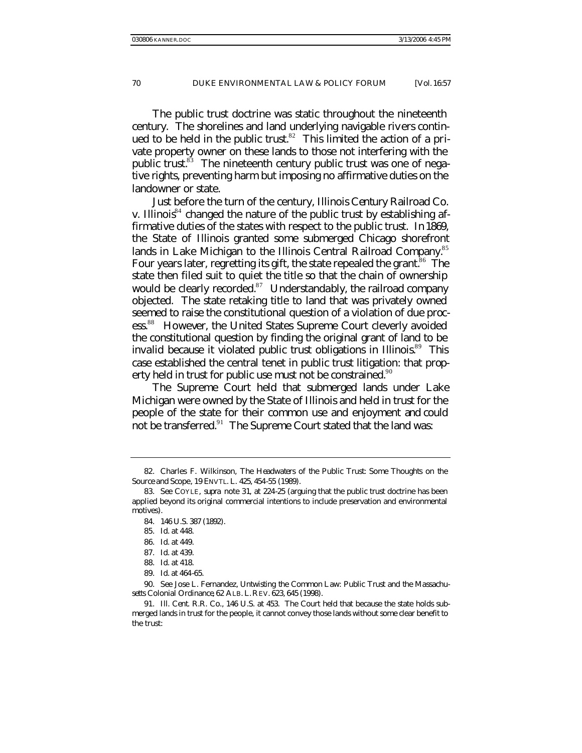The public trust doctrine was static throughout the nineteenth century. The shorelines and land underlying navigable rivers continued to be held in the public trust.<sup>82</sup> This limited the action of a private property owner on these lands to those not interfering with the public trust.<sup>83</sup> The nineteenth century public trust was one of negative rights, preventing harm but imposing no affirmative duties on the landowner or state.

Just before the turn of the century, *Illinois Century Railroad Co. v. Illinois*<sup>84</sup> changed the nature of the public trust by establishing affirmative duties of the states with respect to the public trust. In 1869, the State of Illinois granted some submerged Chicago shorefront lands in Lake Michigan to the Illinois Central Railroad Company.<sup>85</sup> Four years later, regretting its gift, the state repealed the grant. $86$  The state then filed suit to quiet the title so that the chain of ownership would be clearly recorded. $87$  Understandably, the railroad company objected. The state retaking title to land that was privately owned seemed to raise the constitutional question of a violation of due process.<sup>88</sup> However, the United States Supreme Court cleverly avoided the constitutional question by finding the original grant of land to be invalid because it violated public trust obligations in Illinois.<sup>89</sup> This case established the central tenet in public trust litigation: that property held in trust for public use must not be constrained. $90$ 

The Supreme Court held that submerged lands under Lake Michigan were owned by the State of Illinois and held in trust for the people of the state for their common use and enjoyment and could not be transferred.<sup>91</sup> The Supreme Court stated that the land was:

89*. Id*. at 464-65.

90*. See* Jose L. Fernandez, *Untwisting the Common Law: Public Trust and the Massachusetts Colonial Ordinance*, 62 ALB. L.REV. 623, 645 (1998).

<sup>82.</sup> Charles F. Wilkinson, *The Headwaters of the Public Trust: Some Thoughts on the Source and Scope*, 19 ENVTL. L. 425, 454-55 (1989).

<sup>83</sup>*. See* COYLE, *supra* note 31, at 224-25 (arguing that the public trust doctrine has been applied beyond its original commercial intentions to include preservation and environmental motives).

<sup>84.</sup> 146 U.S. 387 (1892).

<sup>85</sup>*. Id*. at 448.

<sup>86</sup>*. Id*. at 449.

<sup>87</sup>*. Id*. at 439.

<sup>88</sup>*. Id*. at 418.

<sup>91</sup>*. Ill. Cent. R.R. Co.*, 146 U.S. at 453. The Court held that because the state holds submerged lands in trust for the people, it cannot convey those lands without some clear benefit to the trust: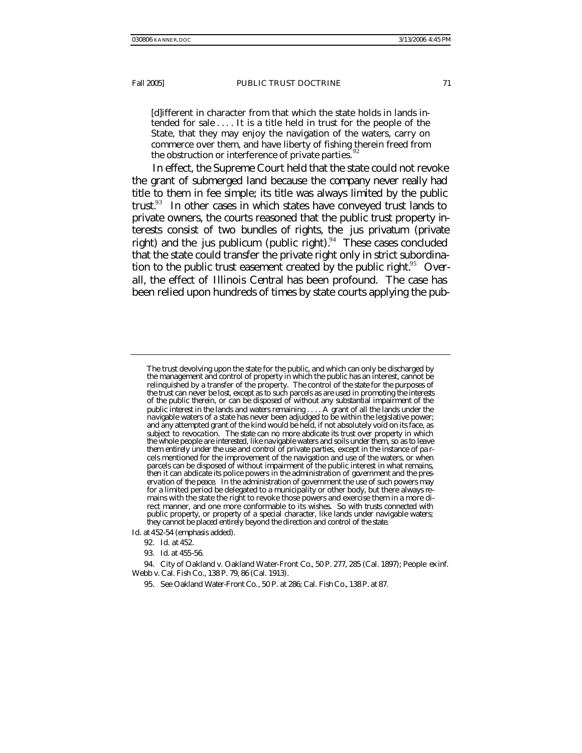[d]ifferent in character from that which the state holds in lands intended for sale . . . . It is a title held in trust for the people of the State, that they may enjoy the navigation of the waters, carry on commerce over them, and have liberty of fishing therein freed from the obstruction or interference of private parties.

In effect, the Supreme Court held that the state could not revoke the grant of submerged land because the company never really had title to them in fee simple; its title was always limited by the public trust.<sup>93</sup> In other cases in which states have conveyed trust lands to private owners, the courts reasoned that the public trust property interests consist of two bundles of rights, the *jus privatum* (private right) and the *jus publicum* (public right).<sup>94</sup> These cases concluded that the state could transfer the private right only in strict subordination to the public trust easement created by the public right. $95$  Overall, the effect of *Illinois Central* has been profound. The case has been relied upon hundreds of times by state courts applying the pub-

*Id.* at 452-54 (emphasis added).

The trust devolving upon the state for the public, and which can only be discharged by the management and control of property in which the public has an interest, cannot be relinquished by a transfer of the property. *The control of the state for the purposes of the trust can never be lost, except as to such parcels as are used in promoting the interests of the public therein, or can be disposed of without any substantial impairment of the public interest in the lands and waters remaining* . . . . A grant of all the lands under the navigable waters of a state has never been adjudged to be within the legislative power; and any attempted grant of the kind would be held, if not absolutely void on its face, as subject to revocation. *The state can no more abdicate its trust over property in which the whole people are interested, like navigable waters and soils under them, so as to leave them entirely under the use and control of private parties,* except in the instance of pa rcels mentioned for the improvement of the navigation and use of the waters, or when parcels can be disposed of without impairment of the public interest in what remains, *then it can abdicate its police powers in the administration of go*v*ernment and the preservation of the peace.* In the administration of government the use of such powers may for a limited period be delegated to a municipality or other body, but there always remains with the state the right to revoke those powers and exercise them in a more direct manner, and one more conformable to its wishes. *So with trusts connected with*  public property, or property of a special character, like lands under navigable waters; *they cannot be placed entirely beyond the direction and control of the state.*

<sup>92</sup>*. Id.* at 452.

<sup>93</sup>*. Id*. at 455-56.

<sup>94.</sup> City of Oakland v. Oakland Water-Front Co*.*, 50 P. 277, 285 (Cal. 1897); People *ex inf.*  Webb v. Cal. Fish Co., 138 P. 79, 86 (Cal. 1913).

<sup>95</sup>*. See Oakland Water-Front Co.*, 50 P. at 286; *Cal. Fish Co.*, 138 P. at 87.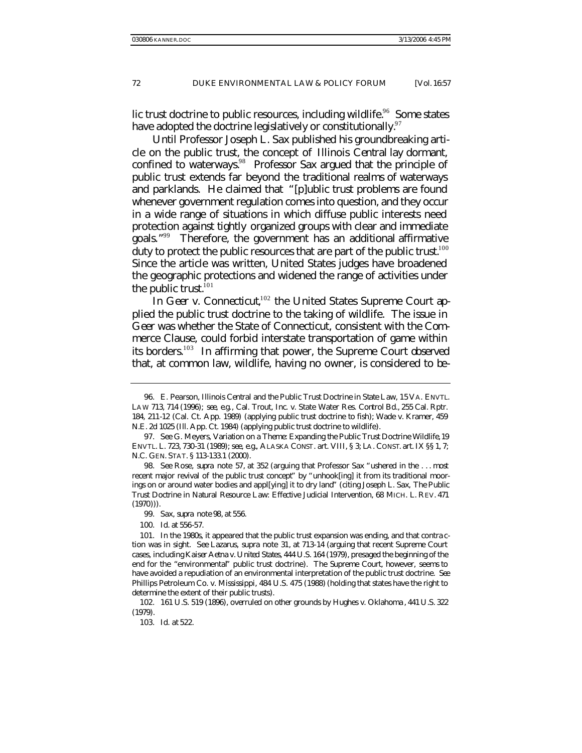lic trust doctrine to public resources, including wildlife.<sup>96</sup> Some states have adopted the doctrine legislatively or constitutionally.  $97$ 

Until Professor Joseph L. Sax published his groundbreaking article on the public trust, the concept of *Illinois Central* lay dormant, confined to waterways.<sup>98</sup> Professor Sax argued that the principle of public trust extends far beyond the traditional realms of waterways and parklands. He claimed that "[p]ublic trust problems are found whenever government regulation comes into question, and they occur in a wide range of situations in which diffuse public interests need protection against tightly organized groups with clear and immediate goals." <sup>99</sup> Therefore, the government has an additional affirmative duty to protect the public resources that are part of the public trust.<sup>100</sup> Since the article was written, United States judges have broadened the geographic protections and widened the range of activities under the public trust. $101$ 

In *Geer v. Connecticut*,<sup>102</sup> the United States Supreme Court applied the public trust doctrine to the taking of wildlife. The issue in *Geer* was whether the State of Connecticut, consistent with the Commerce Clause, could forbid interstate transportation of game within its borders.<sup>103</sup> In affirming that power, the Supreme Court observed that, at common law, wildlife, having no owner, is considered to be-

<sup>96.</sup> E. Pearson, *Illinois Central and the Public Trust Doctrine in State Law*, 15 VA. ENVTL. LAW 713, 714 (1996); *see, e.g.*, Cal. Trout, Inc. v. State Water Res. Control Bd., 255 Cal. Rptr. 184, 211-12 (Cal. Ct. App. 1989) (applying public trust doctrine to fish); Wade v. Kramer, 459 N.E. 2d 1025 (Ill. App. Ct. 1984) (applying public trust doctrine to wildlife).

<sup>97</sup>*. See* G. Meyers, *Variation on a Theme: Expanding the Public Trust Doctrine Wildlife*, 19 ENVTL. L. 723, 730-31 (1989); *see, e.g.*, ALASKA CONST. art. VIII, § 3; LA. CONST. art. IX §§ 1, 7; N.C. GEN. STAT. § 113-133.1 (2000).

<sup>98</sup>*. See* Rose, *supra* note 57, at 352 (arguing that Professor Sax "ushered in the . . . most recent major revival of the public trust concept" by "unhook[ing] it from its traditional moorings on or around water bodies and appl[ying] it to dry land" (citing Joseph L. Sax, *The Public Trust Doctrine in Natural Resource Law: Effective Judicial Intervention*, 68 MICH. L. REV. 471 (1970))).

<sup>99.</sup> Sax, *supra* note 98, at 556.

<sup>100</sup>*. Id.* at 556-57.

<sup>101.</sup> In the 1980s, it appeared that the public trust expansion was ending, and that contra ction was in sight. *See* Lazarus, *supra* note 31, at 713-14 (arguing that recent Supreme Court cases, including *Kaiser Aetna v. United States*, 444 U.S. 164 (1979), presaged the beginning of the end for the "environmental" public trust doctrine). The Supreme Court, however, seems to have avoided a repudiation of an environmental interpretation of the public trust doctrine. *See*  Phillips Petroleum Co. v. Mississippi, 484 U.S. 475 (1988) (holding that states have the right to determine the extent of their public trusts).

<sup>102.</sup> 161 U.S. 519 (1896), *overruled on other grounds by* Hughes v. Oklahoma , 441 U.S. 322 (1979).

<sup>103</sup>*. Id.* at 522.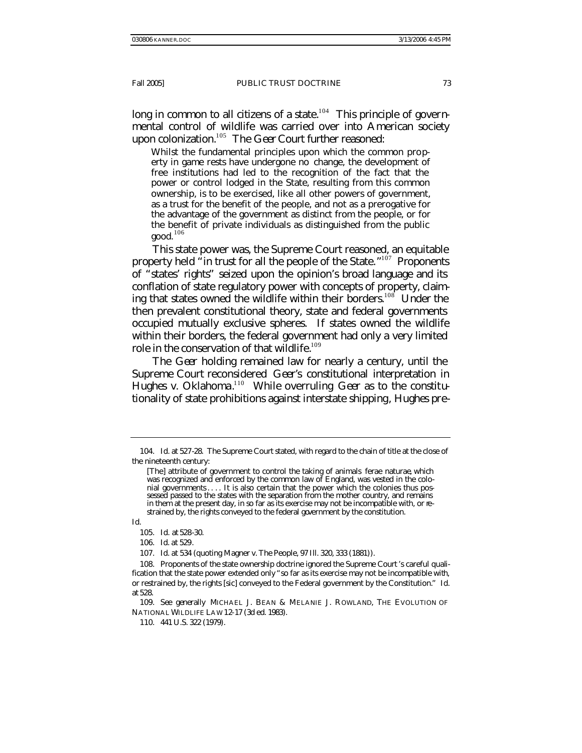long in common to all citizens of a state.<sup>104</sup> This principle of governmental control of wildlife was carried over into American society upon colonization.<sup>105</sup> The *Geer* Court further reasoned:

Whilst the fundamental principles upon which the common property in game rests have undergone no change, the development of free institutions had led to the recognition of the fact that the power or control lodged in the State, resulting from this common ownership, is to be exercised, like all other powers of government, as a trust for the benefit of the people, and not as a prerogative for the advantage of the government as distinct from the people, or for the benefit of private individuals as distinguished from the public  $good.<sup>106</sup>$ 

This state power was, the Supreme Court reasoned, an equitable property held "in trust for all the people of the State."<sup>107</sup> Proponents of "states' rights" seized upon the opinion's broad language and its conflation of state regulatory power with concepts of property, claiming that states owned the wildlife within their borders.<sup>108</sup> Under the then prevalent constitutional theory, state and federal governments occupied mutually exclusive spheres. If states owned the wildlife within their borders, the federal government had only a very limited role in the conservation of that wildlife.<sup>109</sup>

The *Geer* holding remained law for nearly a century, until the Supreme Court reconsidered *Geer*'s constitutional interpretation in Hughes v. Oklahoma.<sup>110</sup> While overruling *Geer* as to the constitutionality of state prohibitions against interstate shipping, *Hughes* pre-

*Id.*

106*. Id*. at 529.

107*. Id*. at 534 (quoting Magner v. The People*,* 97 Ill. 320, 333 (1881)).

<sup>104</sup>*. Id.* at 527-28. The Supreme Court stated, with regard to the chain of title at the close of the nineteenth century:

<sup>[</sup>The] attribute of government to control the taking of animals ferae naturae, which was recognized and enforced by the common law of England, was vested in the colonial governments.... It is also certain that the power which the colonies thus possessed passed to the states with the separation from the mother country, and remains in them at the present day, in so far as its exercise may not be incompatible with, or restrained by, the rights conveyed to the federal government by the constitution.

<sup>105</sup>*. Id.* at 528-30.

<sup>108.</sup> Proponents of the state ownership doctrine ignored the Supreme Court 's careful qualification that the state power extended only "so far as its exercise may not be incompatible with, or restrained by, the rights [sic] conveyed to the Federal government by the Constitution." *Id.* at 528.

<sup>109</sup>*. See generally* MICHAEL J. BEAN & MELANIE J. ROWLAND, THE EVOLUTION OF NATIONAL WILDLIFE LAW 12-17 (3d ed. 1983).

<sup>110.</sup> 441 U.S. 322 (1979).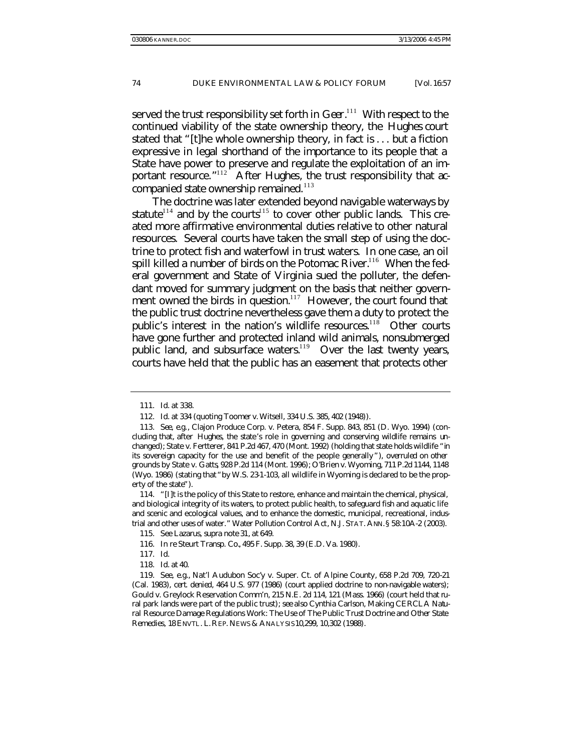served the trust responsibility set forth in *Geer*. <sup>111</sup> With respect to the continued viability of the state ownership theory, the *Hughes* court stated that "[t]he whole ownership theory, in fact is . . . but a fiction expressive in legal shorthand of the importance to its people that a State have power to preserve and regulate the exploitation of an important resource."<sup>112</sup> After *Hughes*, the trust responsibility that accompanied state ownership remained. $113$ 

The doctrine was later extended beyond navigable waterways by statute<sup>114</sup> and by the courts<sup>115</sup> to cover other public lands. This created more affirmative environmental duties relative to other natural resources. Several courts have taken the small step of using the doctrine to protect fish and waterfowl in trust waters. In one case, an oil spill killed a number of birds on the Potomac River.<sup>116</sup> When the federal government and State of Virginia sued the polluter, the defendant moved for summary judgment on the basis that neither government *owned* the birds in question.<sup>117</sup> However, the court found that the public trust doctrine nevertheless gave them a duty to protect the public's interest in the nation's wildlife resources.<sup>118</sup> Other courts have gone further and protected inland wild animals, nonsubmerged public land, and subsurface waters.<sup>119</sup> Over the last twenty years, courts have held that the public has an easement that protects other

<sup>111</sup>*. Id*. at 338.

<sup>112</sup>*. Id*. at 334 (quoting Toomer v. Witsell, 334 U.S. 385, 402 (1948)).

<sup>113</sup>*. See, e.g.*, Clajon Produce Corp. v. Petera, 854 F. Supp. 843, 851 (D. Wyo. 1994) (concluding that, after *Hughes*, the state's role in governing and conserving wildlife remains unchanged); State v. Fertterer, 841 P.2d 467, 470 (Mont. 1992) (holding that state holds wildlife "in its sovereign capacity for the use and benefit of the people generally "), *overruled on other grounds by* State v. Gatts, 928 P.2d 114 (Mont. 1996); O'Brien v. Wyoming, 711 P.2d 1144, 1148 (Wyo. 1986) (stating that "by W.S. 23-1-103, all wildlife in Wyoming is declared to be the property of the state").

<sup>114.</sup> "[I]t is the policy of this State to restore, enhance and maintain the chemical, physical, and biological integrity of its waters, to protect public health, to safeguard fish and aquatic life and scenic and ecological values, and to enhance the domestic, municipal, recreational, industrial and other uses of water." Water Pollution Control Act*,* N.J. STAT. ANN.§ 58:10A-2 (2003)*.*

<sup>115</sup>*. See* Lazarus, *supra* note 31, at 649.

<sup>116</sup>*. In re* Steurt Transp. Co., 495 F. Supp. 38, 39 (E.D. Va. 1980).

<sup>117</sup>*. Id*.

<sup>118</sup>*. Id*. at 40.

<sup>119.</sup> *See, e.g.*, Nat'l Audubon Soc'y v. Super. Ct. of Alpine County, 658 P.2d 709, 720-21 (Cal. 1983), *cert. denied*, 464 U.S. 977 (1986) (court applied doctrine to non-navigable waters); Gould v. Greylock Reservation Comm'n, 215 N.E. 2d 114, 121 (Mass. 1966) (court held that rural park lands were part of the public trust); *see also* Cynthia Carlson, *Making CERCLA Natural Resource Damage Regulations Work: The Use of The Public Trust Doctrine and Other State Remedies*, 18 ENVTL. L.REP. NEWS & ANALYSIS 10,299, 10,302 (1988).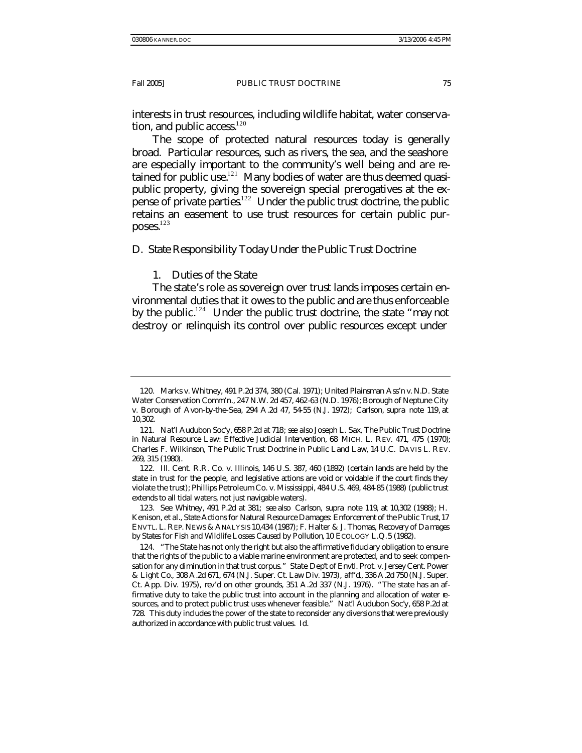interests in trust resources, including wildlife habitat, water conservation, and public access. $120$ 

The scope of protected natural resources today is generally broad. Particular resources, such as rivers, the sea, and the seashore are especially important to the community's well being and are retained for public use. $121$  Many bodies of water are thus deemed quasipublic property, giving the sovereign special prerogatives at the expense of private parties.<sup>122</sup> Under the public trust doctrine, the public retains an easement to use trust resources for certain public pur- $\mathbf{poss.}^{123}$ 

## D. *State Responsibility Today Under the Public Trust Doctrine*

## 1. Duties of the State

The state's role as sovereign over trust lands imposes certain environmental duties that it owes to the public and are thus enforceable by the public.<sup>124</sup> Under the public trust doctrine, the state "may not destroy or relinquish its control over public resources except under

<sup>120.</sup> Marks v. Whitney, 491 P.2d 374, 380 (Cal. 1971); United Plainsman Ass'n v. N.D. State Water Conservation Comm'n., 247 N.W. 2d 457, 462-63 (N.D. 1976); Borough of Neptune City v. Borough of Avon-by-the-Sea, 294 A.2d 47, 54-55 (N.J. 1972); Carlson*, supra* note 119, at 10,302.

<sup>121</sup>*. Nat'l Audubon Soc'y*, 658 P.2d at 718; *see also* Joseph L. Sax, *The Public Trust Doctrine in Natural Resource Law: Effective Judicial Intervention*, 68 MICH. L. REV. 471, 475 (1970); Charles F. Wilkinson, *The Public Trust Doctrine in Public Land Law*, 14 U.C. DAVIS L. REV. 269, 315 (1980).

<sup>122.</sup> Ill. Cent. R.R. Co. v. Illinois, 146 U.S. 387, 460 (1892) (certain lands are held by the state in trust for the people, and legislative actions are void or voidable if the court finds they violate the trust); Phillips Petroleum Co. v. Mississippi, 484 U.S. 469, 484-85 (1988) (public trust extends to all tidal waters, not just navigable waters).

<sup>123</sup>*. See Whitney*, 491 P.2d at 381; *see also* Carlson, *supra* note 119, at 10,302 (1988); H. Kenison, et al., *State Actions for Natural Resource Damages: Enforcement of the Public Trust*, 17 ENVTL. L. REP. NEWS & ANALYSIS 10,434 (1987); F. Halter & J. Thomas, *Recovery of Da mages by States for Fish and Wildlife Losses Caused by Pollution*, 10 ECOLOGY L.Q.5 (1982).

<sup>124.</sup> "The State has not only the right but also the affirmative fiduciary obligation to ensure that the rights of the public to a viable marine environment are protected, and to seek compe nsation for any diminution in that trust corpus." State Dep't of Envtl. Prot. v. Jersey Cent. Power & Light Co., 308 A.2d 671, 674 (N.J. Super. Ct. Law Div. 1973), *aff'd*., 336 A.2d 750 (N.J. Super. Ct. App. Div. 1975), *rev'd on other grounds*, 351 A.2d 337 (N.J. 1976). "The state has an affirmative duty to take the public trust into account in the planning and allocation of water **re**sources, and to protect public trust uses whenever feasible." *Nat'l Audubon Soc'y*, 658 P.2d at 728. This duty includes the power of the state to reconsider any diversions that were previously authorized in accordance with public trust values. *Id.*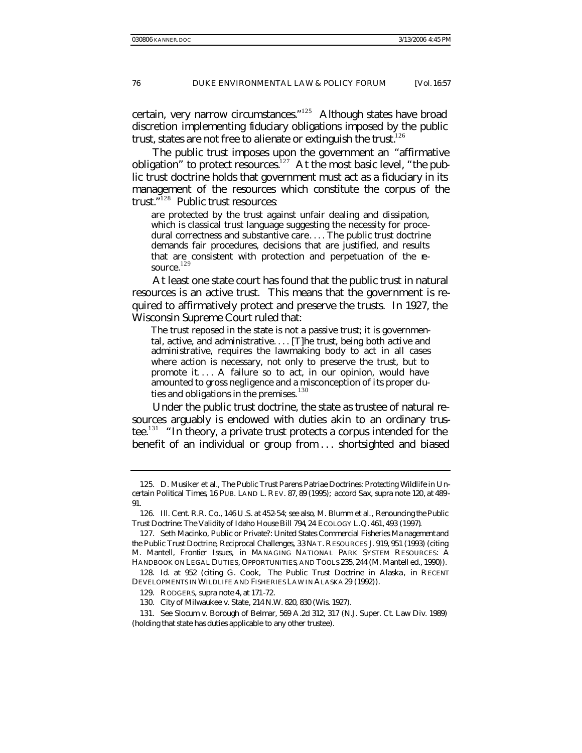certain, very narrow circumstances." $125$  Although states have broad discretion implementing fiduciary obligations imposed by the public trust, states are not free to alienate or extinguish the trust. $126$ 

The public trust imposes upon the government an "affirmative obligation" to protect resources.<sup>127</sup> At the most basic level, "the public trust doctrine holds that government must act as a fiduciary in its management of the resources which constitute the corpus of the trust."<sup>128</sup> Public trust resources:

are protected by the trust against unfair dealing and dissipation, which is classical trust language suggesting the necessity for procedural correctness and substantive care. . . . The public trust doctrine demands fair procedures, decisions that are justified, and results that are consistent with protection and perpetuation of the resource. 129

At least one state court has found that the public trust in natural resources is an active trust. This means that the government is required to affirmatively protect and preserve the trusts. In 1927, the Wisconsin Supreme Court ruled that:

The trust reposed in the state is not a passive trust; it is governmental, active, and administrative....  $[T]$ he trust, being both active and administrative, requires the lawmaking body to act in all cases where action is necessary, not only to preserve the trust, but to promote it. . . . A failure so to act, in our opinion, would have amounted to gross negligence and a misconception of its proper duties and obligations in the premises. <sup>130</sup>

Under the public trust doctrine, the state as trustee of natural resources arguably is endowed with duties akin to an ordinary trustee.<sup>131</sup> "In theory, a private trust protects a corpus intended for the benefit of an individual or group from . . . shortsighted and biased

<sup>125.</sup> D. Musiker et al., *The Public Trust Parens Patriae Doctrines: Protecting Wildlife in Uncertain Political Times*, 16 PUB. LAND L. REV. 87, 89 (1995); *accord* Sax, *supra* note 120, at 489- 91.

<sup>126</sup>*. Ill. Cent. R.R. Co.*, 146 U.S. at 452-54; *see also*, M. Blumm et al., *Renouncing the Public Trust Doctrine: The Validity of Idaho House Bill 794*, 24 ECOLOGY L.Q. 461, 493 (1997)*.*

<sup>127.</sup> Seth Macinko, *Public or Private?: United States Commercial Fisheries Ma nagement and the Public Trust Doctrine, Reciprocal Challenges*, 33 NAT. RESOURCES J. 919, 951 (1993) (citing M. Mantell, *Frontier Issues*, *in* MANAGING NATIONAL PARK SYSTEM RESOURCES: A HANDBOOK ON LEGAL DUTIES, OPPORTUNITIES, AND TOOLS 235, 244 (M. Mantell ed., 1990)).

<sup>128</sup>*. Id*. at 952 (citing G. Cook, *The Public Trust Doctrine in Alaska*, *in* RECENT DEVELOPMENTS IN WILDLIFE AND FISHERIES LAW IN ALASKA 29 (1992)).

<sup>129.</sup> RODGERS, *supra* note 4, at 171-72.

<sup>130.</sup> City of Milwaukee v. State, 214 N.W. 820, 830 (Wis. 1927).

<sup>131</sup>*. See* Slocum v. Borough of Belmar, 569 A.2d 312, 317 (N.J. Super. Ct. Law Div. 1989) (holding that state has duties applicable to any other trustee).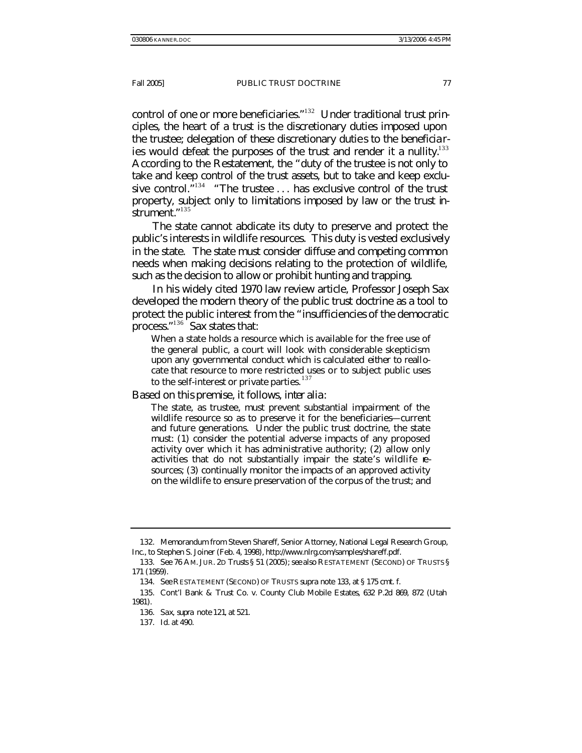control of one or more beneficiaries."<sup>132</sup> Under traditional trust principles, the heart of a trust is the discretionary duties imposed upon the trustee; delegation of these discretionary duties to the beneficiaries would defeat the purposes of the trust and render it a nullity.<sup>133</sup> According to the Restatement, the "duty of the trustee is not only to take and keep control of the trust assets, but to take and keep exclusive control.<sup> $\frac{1}{2}$ 134 "The trustee ... has exclusive control of the trust</sup> property, subject only to limitations imposed by law or the trust instrument." 135

The state cannot abdicate its duty to preserve and protect the public's interests in wildlife resources. This duty is vested exclusively in the state. The state must consider diffuse and competing common needs when making decisions relating to the protection of wildlife, such as the decision to allow or prohibit hunting and trapping.

In his widely cited 1970 law review article, Professor Joseph Sax developed the modern theory of the public trust doctrine as a tool to protect the public interest from the "insufficiencies of the democratic process."<sup>136</sup> Sax states that:

When a state holds a resource which is available for the free use of the general public, a court will look with considerable skepticism upon *any* governmental conduct which is calculated *either* to reallocate that resource to more restricted uses *or* to subject public uses to the self-interest or private parties.  $137$ 

Based on this premise, it follows, *inter alia*:

The state, as trustee, must prevent substantial impairment of the wildlife resource so as to preserve it for the beneficiaries—current and future generations. Under the public trust doctrine, the state must: (1) consider the potential adverse impacts of any proposed activity over which it has administrative authority; (2) allow only activities that do not substantially impair the state's wildlife resources; (3) continually monitor the impacts of an approved activity on the wildlife to ensure preservation of the corpus of the trust; and

<sup>132.</sup> Memorandum from Steven Shareff, Senior Attorney, National Legal Research Group, Inc., to Stephen S. Joiner (Feb. 4, 1998), http://www.nlrg.com/samples/shareff.pdf.

<sup>133</sup>*. See* 76 AM. JUR. 2D *Trusts* § 51 (2005); *see also* RESTATEMENT (SECOND) OF TRUSTS § 171 (1959).

<sup>134</sup>*. See* RESTATEMENT (SECOND) OF TRUSTS *supra* note 133, at § 175 cmt. f.

<sup>135.</sup> Cont'l Bank & Trust Co. v. County Club Mobile Estates, 632 P.2d 869, 872 (Utah 1981).

<sup>136.</sup> Sax*, supra* note 121, at 521.

<sup>137</sup>*. Id.* at 490.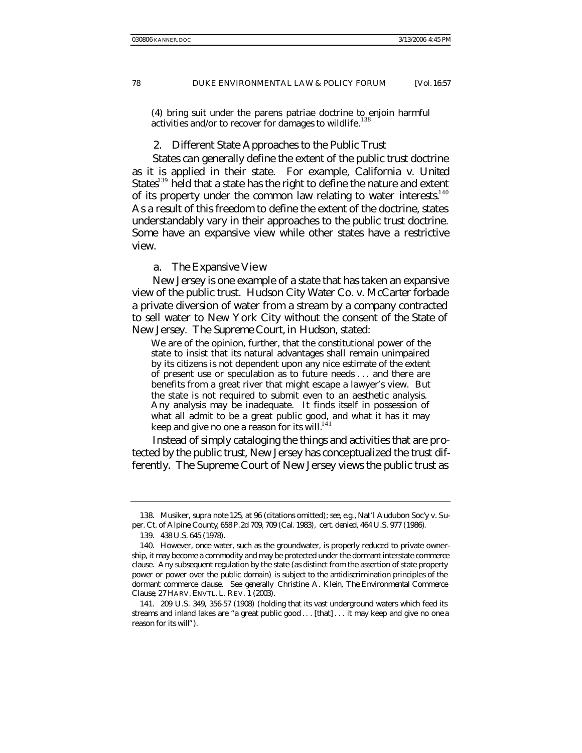(4) bring suit under the parens patriae doctrine to enjoin harmful activities and/or to recover for damages to wildlife.<sup>138</sup>

#### 2. Different State Approaches to the Public Trust

States can generally define the extent of the public trust doctrine as it is applied in their state. For example, *California v. United States*<sup>139</sup> held that a state has the right to define the nature and extent of its property under the common law relating to water interests. $140$ As a result of this freedom to define the extent of the doctrine, states understandably vary in their approaches to the public trust doctrine. Some have an expansive view while other states have a restrictive view.

#### a. The Expansive View

New Jersey is one example of a state that has taken an expansive view of the public trust. *Hudson City Water Co. v. McCarter* forbade a private diversion of water from a stream by a company contracted to sell water to New York City without the consent of the State of New Jersey. The Supreme Court, in *Hudson*, stated:

We are of the opinion, further, that the constitutional power of the state to insist that its natural advantages shall remain unimpaired by its citizens is not dependent upon any nice estimate of the extent of present use or speculation as to future needs . . . and there are benefits from a great river that might escape a lawyer's view. But the state is not required to submit even to an aesthetic analysis. Any analysis may be inadequate. It finds itself in possession of what all admit to be a great public good, and what it has it may keep and give no one a reason for its will. $141$ 

Instead of simply cataloging the things and activities that are protected by the public trust, New Jersey has conceptualized the trust differently. The Supreme Court of New Jersey views the public trust as

<sup>138.</sup> Musiker, *supra* note 125, at 96 (citations omitted); *see, e.g.*, Nat'l Audubon Soc'y v. Super. Ct. of Alpine County, 658 P.2d 709, 709 (Cal. 1983), *cert. denied*, 464 U.S. 977 (1986).

<sup>139.</sup> 438 U.S. 645 (1978).

<sup>140.</sup> However, once water, such as the groundwater, is properly reduced to private ownership, it may become a commodity and may be protected under the dormant interstate commerce clause. Any subsequent regulation by the state (as distinct from the assertion of state property power or power over the public domain) is subject to the antidiscrimination principles of the dormant commerce clause. *See generally* Christine A. Klein, *The Environmental Commerce Clause*, 27 HARV. ENVTL. L. REV. 1 (2003).

<sup>141.</sup> 209 U.S. 349, 356-57 (1908) (holding that its vast underground waters which feed its streams and inland lakes are "a great public good . . . [that] . . . it may keep and give no one a reason for its will").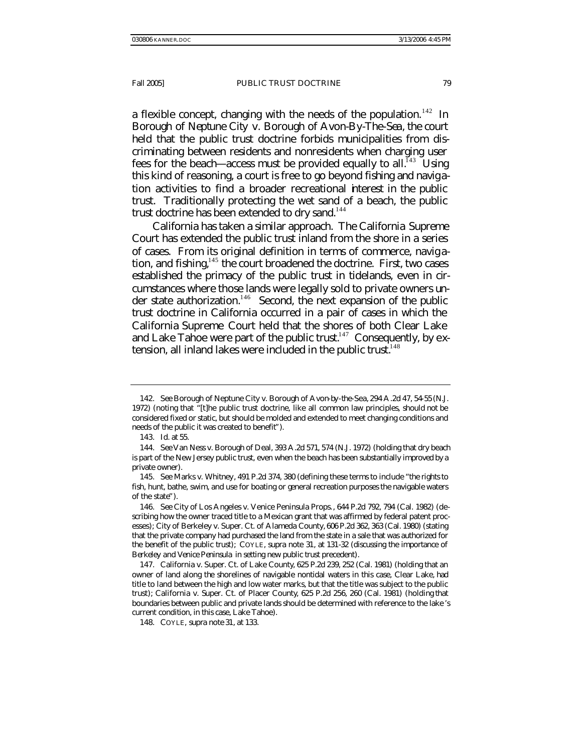a flexible concept, changing with the needs of the population.<sup>142</sup> In *Borough of Neptune City v. Borough of Avon-By-The-Sea*, the court held that the public trust doctrine forbids municipalities from discriminating between residents and nonresidents when charging user fees for the beach—access must be provided equally to all.<sup> $143$ </sup> Using this kind of reasoning, a court is free to go beyond fishing and navigation activities to find a broader recreational interest in the public trust. Traditionally protecting the wet sand of a beach, the public trust doctrine has been extended to dry sand.<sup>144</sup>

California has taken a similar approach. The California Supreme Court has extended the public trust inland from the shore in a series of cases. From its original definition in terms of commerce, navig ation, and fishing, $145$  the court broadened the doctrine. First, two cases established the primacy of the public trust in tidelands, even in circumstances where those lands were legally sold to private owners under state authorization.<sup>146</sup> Second, the next expansion of the public trust doctrine in California occurred in a pair of cases in which the California Supreme Court held that the shores of both Clear Lake and Lake Tahoe were part of the public trust.<sup>147</sup> Consequently, by extension, all inland lakes were included in the public trust.<sup>148</sup>

<sup>142</sup>*. See* Borough of Neptune City v. Borough of Avon-by-the-Sea, 294 A.2d 47, 54-55 (N.J. 1972) (noting that "[t]he public trust doctrine, like all common law principles, should not be considered fixed or static, but should be molded and extended to meet changing conditions and needs of the public it was created to benefit").

<sup>143</sup>*. Id.* at 55.

<sup>144</sup>*. See* Van Ness v. Borough of Deal, 393 A.2d 571, 574 (N.J. 1972) (holding that dry beach is part of the New Jersey public trust, even when the beach has been substantially improved by a private owner).

<sup>145</sup>*. See* Marks v. Whitney, 491 P.2d 374, 380 (defining these terms to include "the rights to fish, hunt, bathe, swim, and use for boating or general recreation purposes the navigable waters of the state").

<sup>146</sup>*. See* City of Los Angeles v. Venice Peninsula Props., 644 P.2d 792, 794 (Cal. 1982) (describing how the owner traced title to a Mexican grant that was affirmed by federal patent processes); City of Berkeley v. Super. Ct. of Alameda County, 606 P.2d 362, 363 (Cal. 1980) (stating that the private company had purchased the land from the state in a sale that was authorized for the benefit of the public trust); COYLE, *supra* note 31, at 131-32 (discussing the importance of *Berkeley* and *Venice Peninsula* in setting new public trust precedent).

<sup>147.</sup> California v. Super. Ct. of Lake County, 625 P.2d 239, 252 (Cal. 1981) (holding that an owner of land along the shorelines of navigable nontidal waters in this case, Clear Lake, had title to land between the high and low water marks, but that the title was subject to the public trust); California v. Super. Ct. of Placer County, 625 P.2d 256, 260 (Cal. 1981) (holding that boundaries between public and private lands should be determined with reference to the lake 's current condition, in this case, Lake Tahoe).

<sup>148.</sup> COYLE, *supra* note 31, at 133.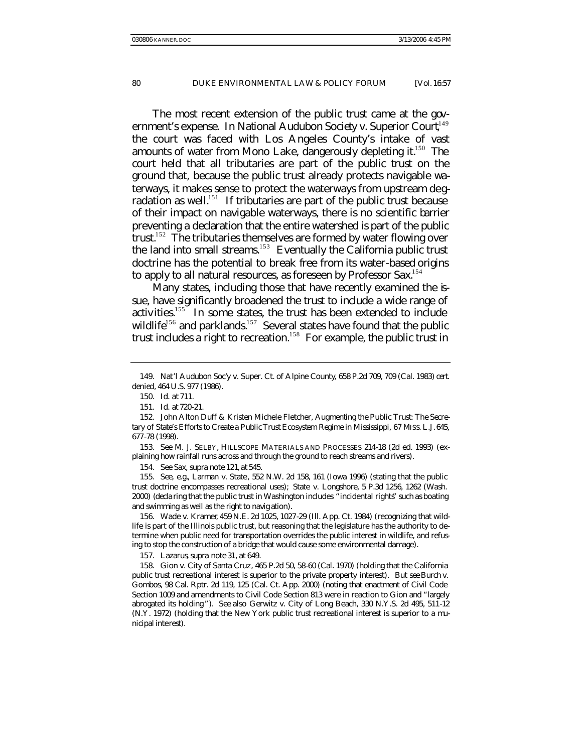The most recent extension of the public trust came at the government's expense. In *National Audubon Society v. Superior Court*, <sup>149</sup> the court was faced with Los Angeles County's intake of vast amounts of water from Mono Lake, dangerously depleting it.<sup>150</sup> The court held that all tributaries are part of the public trust on the ground that, because the public trust already protects navigable waterways, it makes sense to protect the waterways from upstream degradation as well.<sup>151</sup> If tributaries are part of the public trust because of their impact on navigable waterways, there is no scientific barrier preventing a declaration that the entire watershed is part of the public trust.<sup>152</sup> The tributaries themselves are formed by water flowing over the land into small streams.<sup>153</sup> Eventually the California public trust doctrine has the potential to break free from its water-based origins to apply to all natural resources, as foreseen by Professor Sax.<sup>154</sup>

Many states, including those that have recently examined the issue, have significantly broadened the trust to include a wide range of activities.<sup>155</sup> In some states, the trust has been extended to include wildlife<sup>156</sup> and parklands.<sup>157</sup> Several states have found that the public trust includes a right to recreation.<sup>158</sup> For example, the public trust in

154*. See* Sax, *supra* note 121, at 545.

155*. See, e.g.*, Larman v. State*,* 552 N.W. 2d 158, 161 (Iowa 1996) (stating that the public trust doctrine encompasses recreational uses); State v. Longshore, 5 P.3d 1256, 1262 (Wash. 2000) (decla ring that the public trust in Washington includes "incidental rights" such as boating and swimming as well as the right to navig ation).

156. Wade v. Kramer, 459 N.E. 2d 1025, 1027-29 (Ill. App. Ct. 1984) (recognizing that wildlife is part of the Illinois public trust, but reasoning that the legislature has the authority to determine when public need for transportation overrides the public interest in wildlife, and refusing to stop the construction of a bridge that would cause some environmental damage).

157. Lazarus*, supra* note 31, at 649.

158. Gion v. City of Santa Cruz, 465 P.2d 50, 58-60 (Cal. 1970) (holding that the California public trust recreational interest is superior to the private property interest). *But see* Burch v. Gombos, 98 Cal. Rptr. 2d 119, 125 (Cal. Ct. App. 2000) (noting that enactment of Civil Code Section 1009 and amendments to Civil Code Section 813 were in reaction to *Gion* and "largely abrogated its holding "). *See also* Gerwitz v. City of Long Beach, 330 N.Y.S. 2d 495, 511-12 (N.Y. 1972) (holding that the New York public trust recreational interest is superior to a municipal interest).

<sup>149.</sup> Nat'l Audubon Soc'y v. Super. Ct. of Alpine County, 658 P.2d 709, 709 (Cal. 1983) *cert. denied*, 464 U.S. 977 (1986).

<sup>150</sup>*. Id.* at 711.

<sup>151</sup>*. Id.* at 720-21.

<sup>152.</sup> John Alton Duff & Kristen Michele Fletcher, *Augmenting the Public Trust: The Secretary of State's Efforts to Create a Public Trust Ecosystem Regime in Mississippi*, 67 MISS. L.J.645, 677-78 (1998).

<sup>153</sup>*. See* M. J. SELBY, HILLSCOPE MATERIALS AND PROCESSES 214-18 (2d ed. 1993) (explaining how rainfall runs across and through the ground to reach streams and rivers).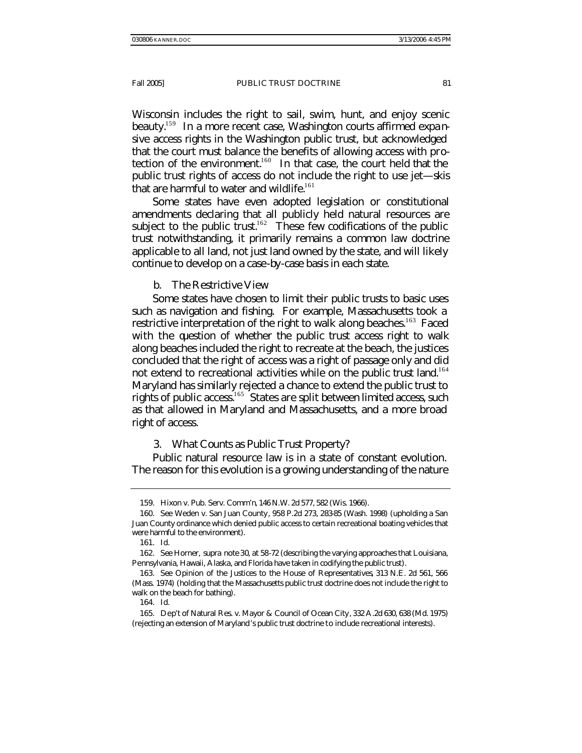Wisconsin includes the right to sail, swim, hunt, and enjoy scenic beauty.<sup>159</sup> In a more recent case, Washington courts affirmed expansive access rights in the Washington public trust, but acknowledged that the court must balance the benefits of allowing access with protection of the environment.<sup>160</sup> In that case, the court held that the public trust rights of access do not include the right to use jet—skis that are harmful to water and wildlife.<sup>161</sup>

Some states have even adopted legislation or constitutional amendments declaring that all publicly held natural resources are subject to the public trust.<sup>162</sup> These few codifications of the public trust notwithstanding, it primarily remains a common law doctrine applicable to all land, not just land owned by the state, and will likely continue to develop on a case-by-case basis in each state.

b. The Restrictive View

Some states have chosen to limit their public trusts to basic uses such as navigation and fishing. For example, Massachusetts took a restrictive interpretation of the right to walk along beaches.<sup>163</sup> Faced with the question of whether the public trust access right to walk along beaches included the right to recreate at the beach, the justices concluded that the right of access was a right of passage only and did not extend to recreational activities while on the public trust land.<sup>164</sup> Maryland has similarly rejected a chance to extend the public trust to rights of public access.<sup>165</sup> States are split between limited access, such as that allowed in Maryland and Massachusetts, and a more broad right of access.

3. What Counts as Public Trust Property?

Public natural resource law is in a state of constant evolution. The reason for this evolution is a growing understanding of the nature

<sup>159.</sup> Hixon v. Pub. Serv. Comm'n, 146 N.W. 2d 577, 582 (Wis. 1966).

<sup>160</sup>*. See* Weden v. San Juan County, 958 P.2d 273, 283-85 (Wash. 1998) (upholding a San Juan County ordinance which denied public access to certain recreational boating vehicles that were harmful to the environment).

<sup>161</sup>*. Id.*

<sup>162</sup>*. See* Horner, *supra* note 30, at 58-72 (describing the varying approaches that Louisiana, Pennsylvania, Hawaii, Alaska, and Florida have taken in codifying the public trust).

<sup>163</sup>*. See* Opinion of the Justices to the House of Representatives, 313 N.E. 2d 561, 566 (Mass. 1974) (holding that the Massachusetts public trust doctrine does not include the right to walk on the beach for bathing).

<sup>164</sup>*. Id.*

<sup>165.</sup> Dep't of Natural Res. v. Mayor & Council of Ocean City, 332 A.2d 630, 638 (Md. 1975) (rejecting an extension of Maryland's public trust doctrine to include recreational interests).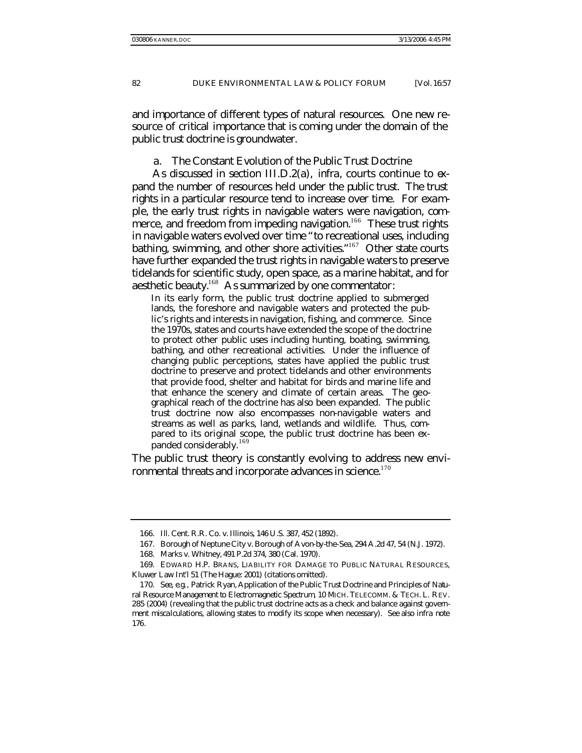and importance of different types of natural resources. One new resource of critical importance that is coming under the domain of the public trust doctrine is groundwater.

a. The Constant Evolution of the Public Trust Doctrine

As discussed in section III.D.2(a), *infra*, courts continue to expand the number of resources held under the public trust. The trust rights in a particular resource tend to increase over time. For example, the early trust rights in navigable waters were navigation, commerce, and freedom from impeding navigation.<sup>166</sup> These trust rights in navigable waters evolved over time "to recreational uses, including bathing, swimming, and other shore activities."<sup>167</sup> Other state courts have further expanded the trust rights in navigable waters to preserve tidelands for scientific study, open space, as a marine habitat, and for aesthetic beauty.<sup>168</sup> As summarized by one commentator:

In its early form, the public trust doctrine applied to submerged lands, the foreshore and navigable waters and protected the public's rights and interests in navigation, fishing, and commerce. Since the 1970s, states and courts have extended the scope of the doctrine to protect other public uses including hunting, boating, swimming, bathing, and other recreational activities. Under the influence of changing public perceptions, states have applied the public trust doctrine to preserve and protect tidelands and other environments that provide food, shelter and habitat for birds and marine life and that enhance the scenery and climate of certain areas. The geographical reach of the doctrine has also been expanded. The public trust doctrine now also encompasses non-navigable waters and streams as well as parks, land, wetlands and wildlife. Thus, compared to its original scope, the public trust doctrine has been expanded considerably.<sup>169</sup>

The public trust theory is constantly evolving to address new environmental threats and incorporate advances in science. $170$ 

<sup>166.</sup> Ill. Cent. R.R. Co. v. Illinois, 146 U.S. 387, 452 (1892).

<sup>167.</sup> Borough of Neptune City v. Borough of Avon-by-the-Sea, 294 A.2d 47, 54 (N.J. 1972).

<sup>168.</sup> Marks v. Whitney, 491 P.2d 374, 380 (Cal. 1970).

<sup>169.</sup> EDWARD H.P. BRANS, LIABILITY FOR DAMAGE TO PUBLIC NATURAL RESOURCES, Kluwer Law Int'l 51 (The Hague: 2001) (citations omitted).

<sup>170</sup>*. See, e.g.*, Patrick Ryan, *Application of the Public Trust Doctrine and Principles of Natural Resource Management to Electromagnetic Spectrum*, 10 MICH. TELECOMM. & TECH. L. REV. 285 (2004) (revealing that the public trust doctrine acts as a check and balance against government miscalculations, allowing states to modify its scope when necessary). *See also infra* note 176.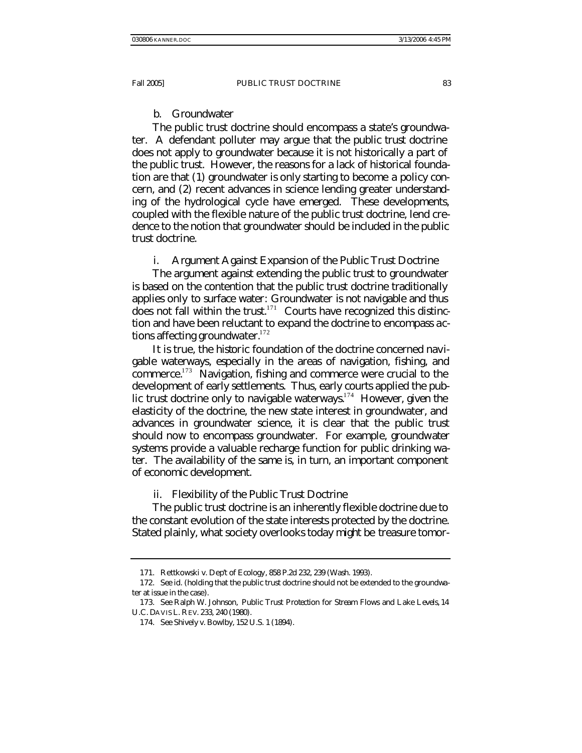#### b. Groundwater

The public trust doctrine should encompass a state's groundwater. A defendant polluter may argue that the public trust doctrine does not apply to groundwater because it is not historically a part of the public trust. However, the reasons for a lack of historical foundation are that (1) groundwater is only starting to become a policy concern, and (2) recent advances in science lending greater understanding of the hydrological cycle have emerged. These developments, coupled with the flexible nature of the public trust doctrine, lend credence to the notion that groundwater should be included in the public trust doctrine.

i. Argument Against Expansion of the Public Trust Doctrine

The argument against extending the public trust to groundwater is based on the contention that the public trust doctrine traditionally applies only to surface water: Groundwater is not navigable and thus does not fall within the trust. $171$  Courts have recognized this distinction and have been reluctant to expand the doctrine to encompass actions affecting groundwater. $172$ 

It is true, the *historic* foundation of the doctrine concerned navigable waterways, especially in the areas of navigation, fishing, and commerce.<sup>173</sup> Navigation, fishing and commerce were crucial to the development of early settlements. Thus, early courts applied the public trust doctrine only to navigable waterways.<sup>174</sup> However, given the elasticity of the doctrine, the new state interest in groundwater, and advances in groundwater science, it is clear that the public trust should now to encompass groundwater. For example, groundwater systems provide a valuable recharge function for public drinking water. The availability of the same is, in turn, an important component of economic development.

ii. Flexibility of the Public Trust Doctrine

The public trust doctrine is an inherently flexible doctrine due to the constant evolution of the state interests protected by the doctrine. Stated plainly, what society overlooks today might be treasure tomor-

<sup>171.</sup> Rettkowski v. Dep't of Ecology, 858 P.2d 232, 239 (Wash. 1993).

<sup>172</sup>*. See id*. (holding that the public trust doctrine should not be extended to the groundwater at issue in the case).

<sup>173</sup>*. See* Ralph W. Johnson, *Public Trust Protection for Stream Flows and Lake Levels*, 14 U.C. DAVIS L. REV. 233, 240 (1980).

<sup>174</sup>*. See* Shively v. Bowlby, 152 U.S. 1 (1894).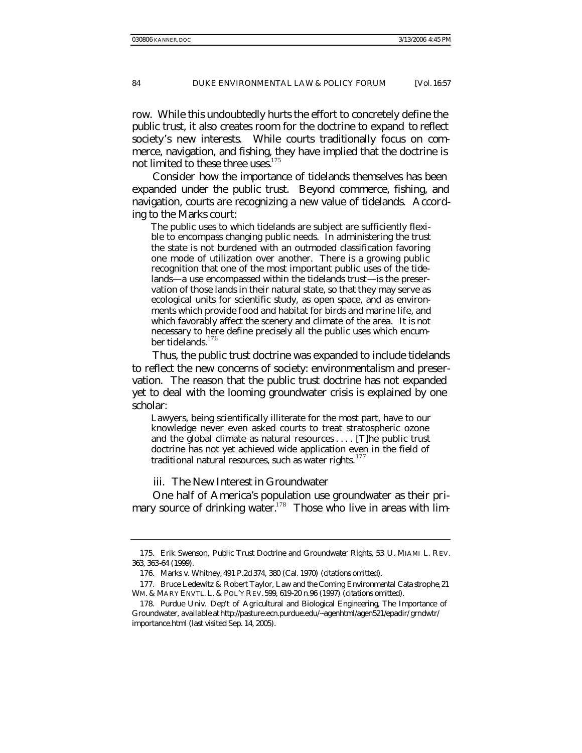row. While this undoubtedly hurts the effort to concretely define the public trust, it also creates room for the doctrine to expand to reflect society's new interests. While courts traditionally focus on commerce, navigation, and fishing, they have implied that the doctrine is not limited to these three uses. $175$ 

Consider how the importance of tidelands themselves has been expanded under the public trust. Beyond commerce, fishing, and navigation, courts are recognizing a new value of tidelands. According to the *Marks* court:

The public uses to which tidelands are subject are sufficiently flexible to encompass changing public needs. In administering the trust the state is not burdened with an outmoded classification favoring one mode of utilization over another. There is a growing public recognition that one of the most important public uses of the tidelands—a use encompassed within the tidelands trust—is the preservation of those lands in their natural state, so that they may serve as ecological units for scientific study, as open space, and as environments which provide food and habitat for birds and marine life, and which favorably affect the scenery and climate of the area. It is not necessary to here define precisely all the public uses which encumber tidelands.<sup>176</sup>

Thus, the public trust doctrine was expanded to include tidelands to reflect the new concerns of society: environmentalism and preservation. The reason that the public trust doctrine has not expanded yet to deal with the looming groundwater crisis is explained by one scholar:

Lawyers, being scientifically illiterate for the most part, have to our knowledge never even asked courts to treat stratospheric ozone and the global climate as natural resources . . . . [T]he public trust doctrine has not yet achieved wide application even in the field of traditional natural resources, such as water rights.<sup>177</sup>

iii. The New Interest in Groundwater

One half of America's population use groundwater as their primary source of drinking water.<sup>178</sup> Those who live in areas with lim-

<sup>175.</sup> Erik Swenson, *Public Trust Doctrine and Groundwater Rights*, 53 U. MIAMI L. REV. 363, 363-64 (1999).

<sup>176.</sup> Marks v. Whitney, 491 P.2d 374, 380 (Cal. 1970) (citations omitted).

<sup>177.</sup> Bruce Ledewitz & Robert Taylor, *Law and the Coming Environmental Cata strophe*, 21 WM. & MARY ENVTL. L. & POL'Y REV.599, 619-20 n.96 (1997) (citations omitted).

<sup>178.</sup> Purdue Univ. Dep't of Agricultural and Biological Engineering, The Importance of Groundwater, *available at* http://pasture.ecn.purdue.edu/~agenhtml/agen521/epadir/ grndwtr/ importance.html (last visited Sep. 14, 2005).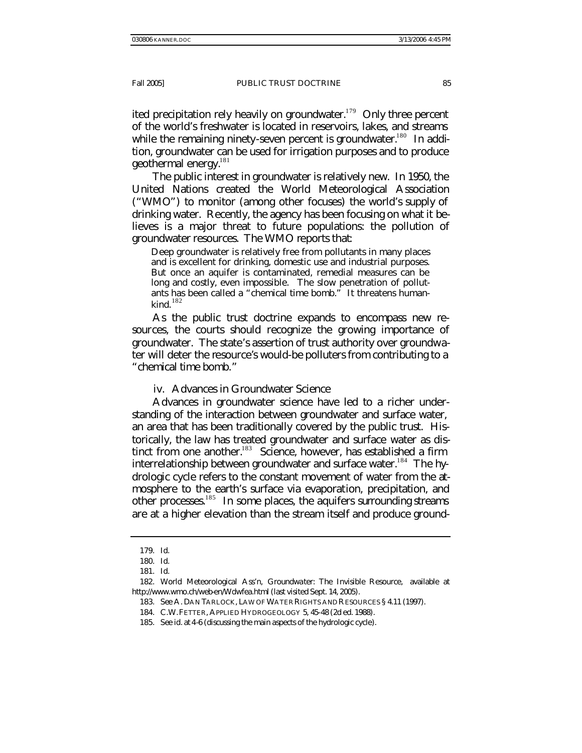ited precipitation rely heavily on groundwater.<sup>179</sup> Only three percent of the world's freshwater is located in reservoirs, lakes, and streams while the remaining ninety-seven percent is groundwater.<sup>180</sup> In addition, groundwater can be used for irrigation purposes and to produce geothermal energy. $^{181}$ 

The public interest in groundwater is relatively new. In 1950, the United Nations created the World Meteorological Association ("WMO") to monitor (among other focuses) the world's supply of drinking water. Recently, the agency has been focusing on what it believes is a major threat to future populations: the pollution of groundwater resources. The WMO reports that:

Deep groundwater is relatively free from pollutants in many places and is excellent for drinking, domestic use and industrial purposes. But once an aquifer is contaminated, remedial measures can be long and costly, even impossible. The slow penetration of pollutants has been called a "chemical time bomb." It threatens humankind. $182$ 

As the public trust doctrine expands to encompass new resources, the courts should recognize the growing importance of groundwater. The state's assertion of trust authority over groundwater will deter the resource's would-be polluters from contributing to a "chemical time bomb."

iv. Advances in Groundwater Science

Advances in groundwater science have led to a richer understanding of the interaction between groundwater and surface water, an area that has been traditionally covered by the public trust. Historically, the law has treated groundwater and surface water as distinct from one another.<sup>183</sup> Science, however, has established a firm interrelationship between groundwater and surface water.<sup>184</sup> The hydrologic cycle refers to the constant movement of water from the atmosphere to the earth's surface via evaporation, precipitation, and other processes.<sup>185</sup> In some places, the aquifers surrounding streams are at a higher elevation than the stream itself and produce ground-

<sup>179</sup>*. Id*.

<sup>180</sup>*. Id*.

<sup>181</sup>*. Id*.

<sup>182.</sup> World Meteorological Ass'n, Groundwater: The Invisible Resource, *available at* http://www.wmo.ch/web-en/Wdwfea.html (last visited Sept. 14, 2005).

<sup>183</sup>*. See* A. DAN TARLOCK, LAW OF WATER RIGHTS AND RESOURCES § 4.11 (1997).

<sup>184.</sup> C.W.FETTER, APPLIED HYDROGEOLOGY 5, 45-48 (2d ed. 1988).

<sup>185</sup>*. See id.* at 4-6 (discussing the main aspects of the hydrologic cycle).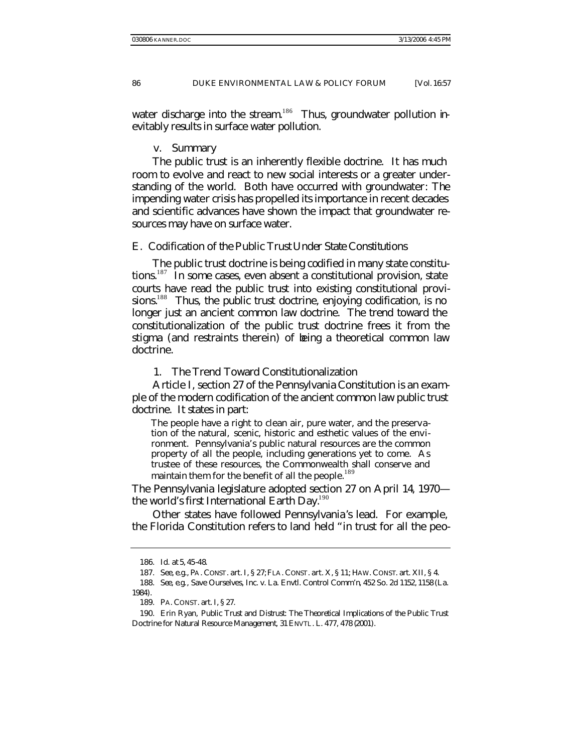water discharge into the stream.<sup>186</sup> Thus, groundwater pollution inevitably results in surface water pollution.

#### v. Summary

The public trust is an inherently flexible doctrine. It has much room to evolve and react to new social interests or a greater understanding of the world. Both have occurred with groundwater: The impending water crisis has propelled its importance in recent decades and scientific advances have shown the impact that groundwater resources may have on surface water.

## E. *Codification of the Public Trust Under State Constitutions*

The public trust doctrine is being codified in many state constitutions.<sup>187</sup> In some cases, even absent a constitutional provision, state courts have read the public trust into existing constitutional provisions.<sup>188</sup> Thus, the public trust doctrine, enjoying codification, is no longer just an ancient common law doctrine. The trend toward the constitutionalization of the public trust doctrine frees it from the stigma (and restraints therein) of being a theoretical common law doctrine.

1. The Trend Toward Constitutionalization

Article I, section 27 of the Pennsylvania Constitution is an example of the modern codification of the ancient common law public trust doctrine. It states in part:

The people have a right to clean air, pure water, and the preservation of the natural, scenic, historic and esthetic values of the environment. Pennsylvania's public natural resources are the common property of all the people, including generations yet to come. As trustee of these resources, the Commonwealth shall conserve and maintain them for the benefit of all the people.<sup>189</sup>

The Pennsylvania legislature adopted section 27 on April 14, 1970 the world's first International Earth Day. $190$ 

Other states have followed Pennsylvania's lead. For example, the Florida Constitution refers to land held "in trust for all the peo-

<sup>186</sup>*. Id.* at 5, 45-48.

<sup>187</sup>*. See, e.g.*, PA. CONST. art. I, § 27; FLA. CONST. art. X, § 11; HAW. CONST. art. XII, § 4.

<sup>188</sup>*. See, e.g.*, Save Ourselves, Inc. v. La. Envtl. Control Comm'n, 452 So. 2d 1152, 1158 (La. 1984).

<sup>189.</sup> PA. CONST. art. I, § 27.

<sup>190.</sup> Erin Ryan, *Public Trust and Distrust: The Theoretical Implications of the Public Trust Doctrine for Natural Resource Management*, 31 ENVTL. L. 477, 478 (2001).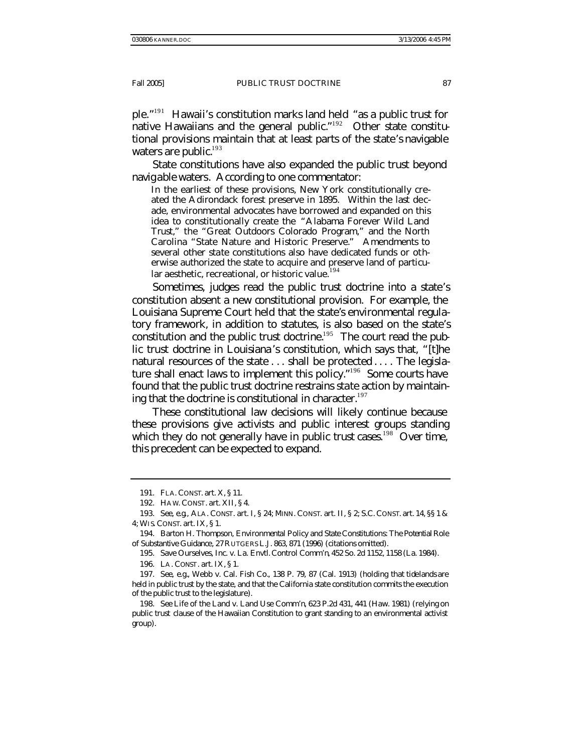ple." <sup>191</sup> Hawaii's constitution marks land held "as a public trust for native Hawaiians and the general public."<sup>192</sup> Other state constitutional provisions maintain that at least parts of the state's navigable waters are public.<sup>193</sup>

State constitutions have also expanded the public trust beyond navigable waters. According to one commentator:

In the earliest of these provisions, New York constitutionally created the Adirondack forest preserve in 1895. Within the last decade, environmental advocates have borrowed and expanded on this idea to constitutionally create the "Alabama Forever Wild Land Trust," the "Great Outdoors Colorado Program," and the North Carolina "State Nature and Historic Preserve." Amendments to several other state constitutions also have dedicated funds or otherwise authorized the state to acquire and preserve land of particular aesthetic, recreational, or historic value.<sup>194</sup>

Sometimes, judges read the public trust doctrine into a state's constitution absent a new constitutional provision. For example, the Louisiana Supreme Court held that the state's environmental regulatory framework, in addition to statutes, is also based on the state's constitution and the public trust doctrine.<sup>195</sup> The court read the public trust doctrine in Louisiana's constitution, which says that, "[t]he natural resources of the state . . . shall be protected . . . . The legislature shall enact laws to implement this policy."<sup>196</sup> Some courts have found that the public trust doctrine restrains state action by maintaining that the doctrine is constitutional in character.<sup>197</sup>

These constitutional law decisions will likely continue because these provisions give activists and public interest groups standing which they do not generally have in public trust cases.<sup>198</sup> Over time, this precedent can be expected to expand.

<sup>191.</sup> FLA. CONST. art. X, § 11.

<sup>192.</sup> HAW. CONST. art. XII, § 4.

<sup>193</sup>*. See, e.g*., ALA. CONST. art. I, § 24; MINN. CONST. art. II, § 2; S.C. CONST. art. 14, §§ 1 & 4; WIS. CONST. art. IX, § 1.

<sup>194.</sup> Barton H. Thompson, *Environmental Policy and State Constitutions: The Potential Role of Substantive Guidance*, 27 RUTGERS L.J. 863, 871 (1996) (citations omitted).

<sup>195.</sup> Save Ourselves, Inc. v. La. Envtl. Control Comm'n, 452 So. 2d 1152, 1158 (La. 1984).

<sup>196.</sup> LA. CONST. art. IX, § 1.

<sup>197</sup>*. See, e.g.*, Webb v. Cal. Fish Co*.*, 138 P. 79, 87 (Cal. 1913) (holding that tidelands are held in public trust by the state, and that the California state constitution commits the execution of the public trust to the legislature).

<sup>198</sup>*. See* Life of the Land v. Land Use Comm'n, 623 P.2d 431, 441 (Haw. 1981) (relying on public trust clause of the Hawaiian Constitution to grant standing to an environmental activist group).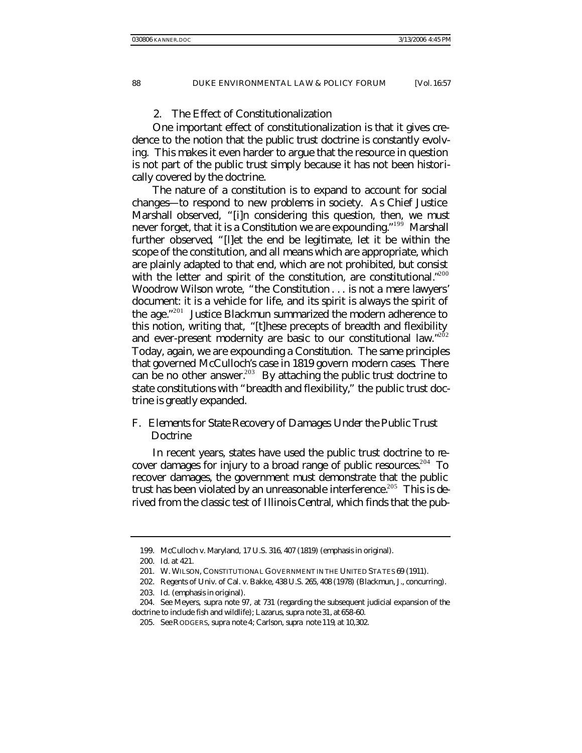## 2. The Effect of Constitutionalization

One important effect of constitutionalization is that it gives credence to the notion that the public trust doctrine is constantly evolving. This makes it even harder to argue that the resource in question is not part of the public trust simply because it has not been historically covered by the doctrine.

The nature of a constitution is to expand to account for social changes—to respond to new problems in society. As Chief Justice Marshall observed, "[i]n considering this question, then, we must never forget, that it is a *Constitution* we are expounding." <sup>199</sup> Marshall further observed, "[l]et the end be legitimate, let it be within the scope of the constitution, and all means which are appropriate, which are plainly adapted to that end, which are not prohibited, but consist with the letter and spirit of the constitution, are constitutional."<sup>200</sup> Woodrow Wilson wrote, "the Constitution . . . is not a mere lawyers' document: it is a vehicle for life, and its spirit is always the spirit of the age." <sup>201</sup> Justice Blackmun summarized the modern adherence to this notion, writing that, "[t]hese precepts of breadth and flexibility and ever-present modernity are basic to our constitutional law."<sup>202</sup> Today, again, we are expounding a *Constitution*. The same principles that governed *McCulloch's* case in 1819 govern modern cases. There can be no other answer.<sup>203</sup> By attaching the public trust doctrine to state constitutions with "breadth and flexibility," the public trust doctrine is greatly expanded.

# F. *Elements for State Recovery of Damages Under the Public Trust Doctrine*

In recent years, states have used the public trust doctrine to recover damages for injury to a broad range of public resources.<sup>204</sup> To recover damages, the government must demonstrate that the public trust has been violated by an unreasonable interference.<sup>205</sup> This is derived from the classic test of *Illinois Central*, which finds that the pub-

<sup>199.</sup> McCulloch v. Maryland, 17 U.S. 316, 407 (1819) (emphasis in original).

<sup>200</sup>*. Id*. at 421.

<sup>201.</sup> W. WILSON, CONSTITUTIONAL GOVERNMENT IN THE UNITED STATES 69 (1911).

<sup>202.</sup> Regents of Univ. of Cal. v. Bakke, 438 U.S. 265, 408 (1978) (Blackmun, J., concurring).

<sup>203</sup>*. Id.* (emphasis in original).

<sup>204</sup>*. See* Meyers, *supra* note 97, at 731 (regarding the subsequent judicial expansion of the doctrine to include fish and wildlife); Lazarus, *supra* note 31, at 658-60.

<sup>205</sup>*. See* RODGERS*, supra* note 4; Carlson, *supra* note 119, at 10,302.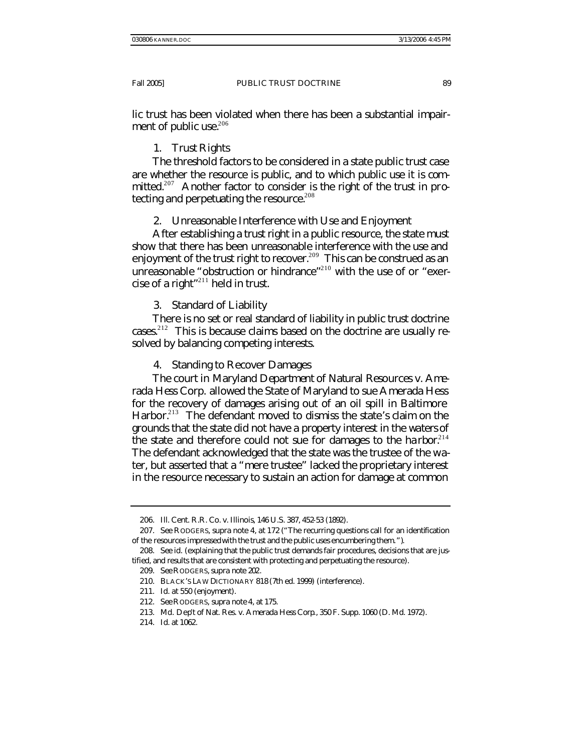lic trust has been violated when there has been a substantial impairment of public use.<sup>206</sup>

# 1. Trust Rights

The threshold factors to be considered in a state public trust case are whether the resource is public, and to which public use it is committed.<sup>207</sup> Another factor to consider is the right of the trust in protecting and perpetuating the resource.<sup>208</sup>

2. Unreasonable Interference with Use and Enjoyment

After establishing a trust right in a public resource, the state must show that there has been unreasonable interference with the use and enjoyment of the trust right to recover.<sup>209</sup> This can be construed as an unreasonable "obstruction or hindrance"<sup>210</sup> with the use of or "exercise of a right" $^{211}$  held in trust.

# 3. Standard of Liability

There is no set or real standard of liability in public trust doctrine cases.<sup>212</sup> This is because claims based on the doctrine are usually resolved by balancing competing interests.

4. Standing to Recover Damages

The court in *Maryland Department of Natural Resources v. Amerada Hess Corp.* allowed the State of Maryland to sue Amerada Hess for the recovery of damages arising out of an oil spill in Baltimore Harbor.<sup>213</sup> The defendant moved to dismiss the state's claim on the grounds that the state did not have a property interest in the waters of the state and therefore could not sue for damages to the harbor.<sup>214</sup> The defendant acknowledged that the state was the trustee of the water, but asserted that a "mere trustee" lacked the proprietary interest in the resource necessary to sustain an action for damage at common

<sup>206.</sup> Ill. Cent. R.R. Co. v. Illinois, 146 U.S. 387, 452-53 (1892).

<sup>207</sup>*. See* RODGERS*, supra* note 4, at 172 ("The recurring questions call for an identification of the resources impressed with the trust and the public uses encumbering them.").

<sup>208</sup>*. See id.* (explaining that the public trust demands fair procedures, decisions that are justified, and results that are consistent with protecting and perpetuating the resource).

<sup>209</sup>*. See* RODGERS, *supra* note 202.

<sup>210.</sup> BLACK'S LAW DICTIONARY 818 (7th ed. 1999) (interference).

<sup>211</sup>*. Id.* at 550 (enjoyment).

<sup>212</sup>*. See* RODGERS*, supra* note 4, at 175.

<sup>213.</sup> Md. Dep't of Nat. Res. v. Amerada Hess Corp*.*, 350 F. Supp. 1060 (D. Md. 1972).

<sup>214</sup>*. Id.* at 1062.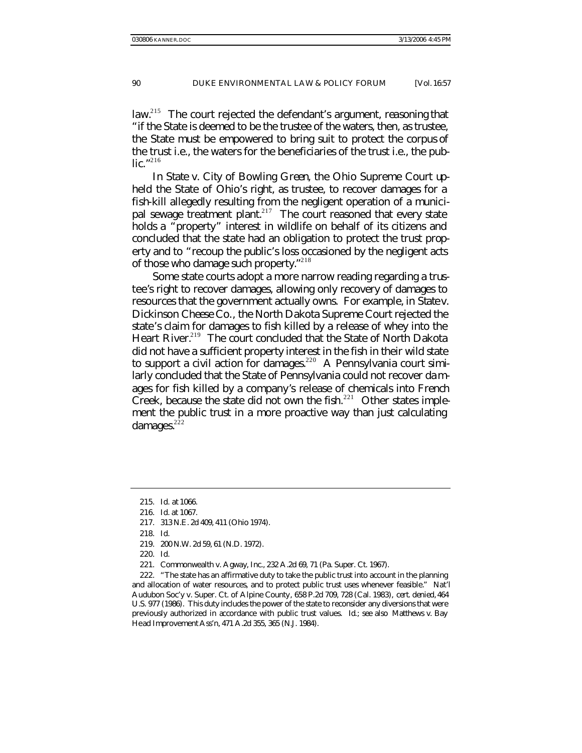law.<sup>215</sup> The court rejected the defendant's argument, reasoning that "if the State is deemed to be the trustee of the waters, then, as trustee, the State must be empowered to bring suit to protect the corpus of the trust i.e., the waters for the beneficiaries of the trust i.e., the public." 216

In *State v. City of Bowling Green*, the Ohio Supreme Court upheld the State of Ohio's right, as trustee, to recover damages for a fish-kill allegedly resulting from the negligent operation of a municipal sewage treatment plant.<sup>217</sup> The court reasoned that every state holds a "property" interest in wildlife on behalf of its citizens and concluded that the state had an obligation to protect the trust property and to "recoup the public's loss occasioned by the negligent acts of those who damage such property."<sup>218</sup>

Some state courts adopt a more narrow reading regarding a trustee's right to recover damages, allowing only recovery of damages to resources that the government actually owns. For example, in *State v. Dickinson Cheese Co.*, the North Dakota Supreme Court rejected the state's claim for damages to fish killed by a release of whey into the Heart River.<sup>219</sup> The court concluded that the State of North Dakota did not have a sufficient property interest in the fish in their wild state to support a civil action for damages.<sup>220</sup> A Pennsylvania court similarly concluded that the State of Pennsylvania could not recover damages for fish killed by a company's release of chemicals into French Creek, because the state did not own the fish. $^{221}$  Other states implement the public trust in a more proactive way than just calculating damages. $222$ 

<sup>215</sup>*. Id.* at 1066.

<sup>216</sup>*. Id.* at 1067.

<sup>217.</sup> 313 N.E. 2d 409, 411 (Ohio 1974).

<sup>218</sup>*. Id.*

<sup>219.</sup> 200 N.W. 2d 59, 61 (N.D. 1972).

<sup>220</sup>*. Id.*

<sup>221.</sup> Commonwealth v. Agway, Inc., 232 A.2d 69, 71 (Pa. Super. Ct. 1967).

<sup>222.</sup> "The state has an affirmative duty to take the public trust into account in the planning and allocation of water resources, and to protect public trust uses whenever feasible." Nat'l Audubon Soc'y v. Super. Ct. of Alpine County, 658 P.2d 709, 728 (Cal. 1983), *cert. denied*, 464 U.S. 977 (1986). This duty includes the power of the state to reconsider any diversions that were previously authorized in accordance with public trust values. *Id.*; *see also* Matthews v. Bay Head Improvement Ass'n, 471 A.2d 355, 365 (N.J. 1984).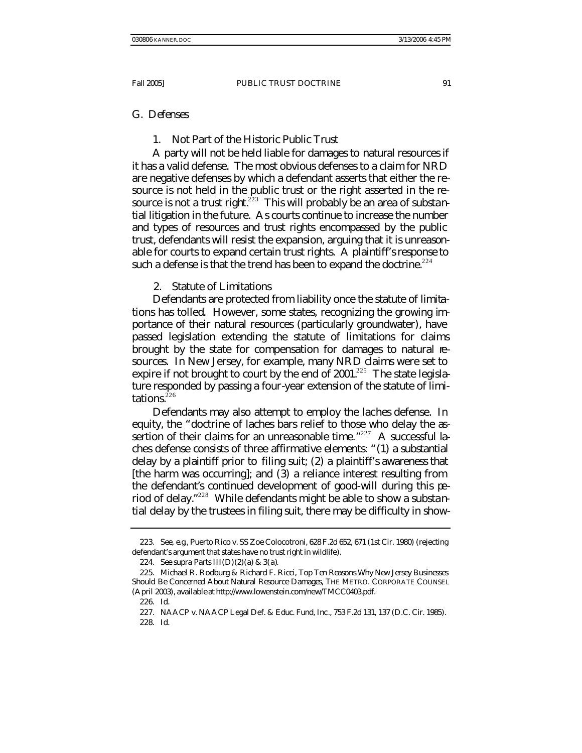#### G. *Defenses*

## 1. Not Part of the Historic Public Trust

A party will not be held liable for damages to natural resources if it has a valid defense. The most obvious defenses to a claim for NRD are negative defenses by which a defendant asserts that either the resource is not held in the public trust or the right asserted in the resource is not a trust right.<sup>223</sup> This will probably be an area of substantial litigation in the future. As courts continue to increase the number and types of resources and trust rights encompassed by the public trust, defendants will resist the expansion, arguing that it is unreasonable for courts to expand certain trust rights. A plaintiff's response to such a defense is that the trend has been to expand the doctrine.<sup> $224$ </sup>

## 2. Statute of Limitations

Defendants are protected from liability once the statute of limitations has tolled. However, some states, recognizing the growing importance of their natural resources (particularly groundwater), have passed legislation extending the statute of limitations for claims brought by the state for compensation for damages to natural resources. In New Jersey, for example, many NRD claims were set to expire if not brought to court by the end of  $2001$ <sup>225</sup> The state legislature responded by passing a four-year extension of the statute of limitations. $226$ 

Defendants may also attempt to employ the laches defense. In equity, the "doctrine of laches bars relief to those who delay the assertion of their claims for an unreasonable time."<sup>227</sup> A successful laches defense consists of three affirmative elements: "(1) a substantial delay by a plaintiff prior to filing suit; (2) a plaintiff's awareness that [the harm was occurring]; and (3) a reliance interest resulting from the defendant's continued development of good-will during this period of delay." <sup>228</sup> While defendants might be able to show a substantial delay by the trustees in filing suit, there may be difficulty in show-

<sup>223</sup>*. See, e.g*., Puerto Rico v. SS Zoe Colocotroni, 628 F.2d 652, 671 (1st Cir. 1980) (rejecting defendant's argument that states have no trust right in wildlife).

<sup>224</sup>*. See supra* Parts III(D)(2)(a) & 3(a).

<sup>225.</sup> Michael R. Rodburg & Richard F. Ricci, *Top Ten Reasons Why New Jersey Businesses Should Be Concerned About Natural Resource Damages*, THE METRO. CORPORATE COUNSEL (April 2003), *available at* http://www.lowenstein.com/new/TMCC0403.pdf.

<sup>226</sup>*. Id.*

<sup>227.</sup> NAACP v. NAACP Legal Def. & Educ. Fund, Inc., 753 F.2d 131, 137 (D.C. Cir. 1985).

<sup>228</sup>*. Id.*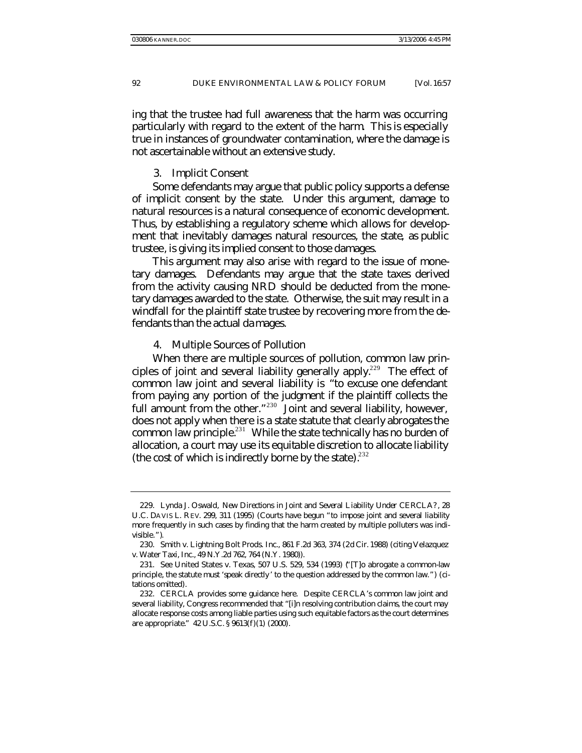ing that the trustee had full awareness that the harm was occurring particularly with regard to the extent of the harm. This is especially true in instances of groundwater contamination, where the damage is not ascertainable without an extensive study.

#### 3. Implicit Consent

Some defendants may argue that public policy supports a defense of implicit consent by the state. Under this argument, damage to natural resources is a natural consequence of economic development. Thus, by establishing a regulatory scheme which allows for development that inevitably damages natural resources, the state, as public trustee, is giving its implied consent to those damages.

This argument may also arise with regard to the issue of monetary damages. Defendants may argue that the state taxes derived from the activity causing NRD should be deducted from the monetary damages awarded to the state. Otherwise, the suit may result in a windfall for the plaintiff state trustee by recovering more from the defendants than the actual damages.

#### 4. Multiple Sources of Pollution

When there are multiple sources of pollution, common law principles of joint and several liability generally apply.<sup>229</sup> The effect of common law joint and several liability is "to excuse one defendant from paying any portion of the judgment if the plaintiff collects the full amount from the other." $230$  Joint and several liability, however, does not apply when there is a state statute that clearly abrogates the common law principle.<sup>231</sup> While the state technically has no burden of allocation, a court may use its equitable discretion to allocate liability (the cost of which is indirectly borne by the state).  $232$ 

<sup>229.</sup> Lynda J. Oswald, *New Directions in Joint and Several Liability Under CERCLA?*, 28 U.C. DAVIS L. REV. 299, 311 (1995) (Courts have begun "to impose joint and several liability more frequently in such cases by finding that the harm created by multiple polluters was indivisible.").

<sup>230.</sup> Smith v. Lightning Bolt Prods. Inc., 861 F.2d 363, 374 (2d Cir. 1988) (citing Velazquez v. Water Taxi, Inc., 49 N.Y.2d 762, 764 (N.Y. 1980)).

<sup>231</sup>*. See* United States v. Texas, 507 U.S. 529, 534 (1993) ("[T]o abrogate a common-law principle, the statute must 'speak directly ' to the question addressed by the common law.") (citations omitted).

<sup>232.</sup> CERCLA provides some guidance here. Despite CERCLA's common law joint and several liability, Congress recommended that "[i]n resolving contribution claims, the court may allocate response costs among liable parties using such equitable factors as the court determines are appropriate." 42 U.S.C. § 9613(f)(1) (2000).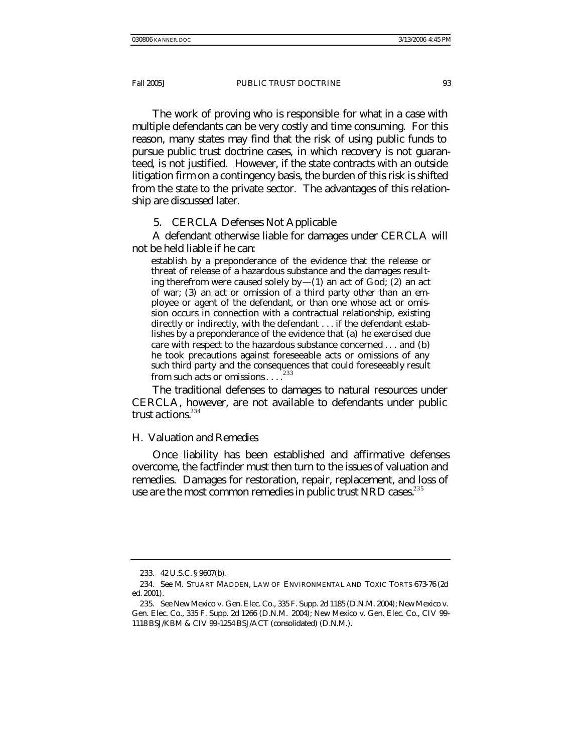The work of proving who is responsible for what in a case with multiple defendants can be very costly and time consuming. For this reason, many states may find that the risk of using public funds to pursue public trust doctrine cases, in which recovery is not guaranteed, is not justified. However, if the state contracts with an outside litigation firm on a contingency basis, the burden of this risk is shifted from the state to the private sector. The advantages of this relationship are discussed later.

5. CERCLA Defenses Not Applicable

A defendant otherwise liable for damages under CERCLA will not be held liable if he can:

establish by a preponderance of the evidence that the release or threat of release of a hazardous substance and the damages resulting therefrom were caused solely  $by-(1)$  an act of God; (2) an act of war; (3) an act or omission of a third party other than an employee or agent of the defendant, or than one whose act or omission occurs in connection with a contractual relationship, existing directly or indirectly, with the defendant . . . if the defendant establishes by a preponderance of the evidence that (a) he exercised due care with respect to the hazardous substance concerned . . . and (b) he took precautions against foreseeable acts or omissions of any such third party and the consequences that could foreseeably result from such acts or omissions...<sup>233</sup>

The traditional defenses to damages to natural resources under CERCLA, however, are not available to defendants under public trust actions. $234$ 

## H. *Valuation and Remedies*

Once liability has been established and affirmative defenses overcome, the factfinder must then turn to the issues of valuation and remedies. Damages for restoration, repair, replacement, and loss of use are the most common remedies in public trust NRD cases.<sup>235</sup>

<sup>233.</sup> 42 U.S.C. § 9607(b).

<sup>234</sup>*. See* M. STUART MADDEN, LAW OF ENVIRONMENTAL AND TOXIC TORTS 673-76 (2d ed. 2001).

<sup>235</sup>*. See* New Mexico v. Gen. Elec. Co., 335 F. Supp. 2d 1185 (D.N.M. 2004); New Mexico v. Gen. Elec. Co., 335 F. Supp. 2d 1266 (D.N.M. 2004); New Mexico v. Gen. Elec. Co., CIV 99- 1118 BSJ/KBM & CIV 99-1254 BSJ/ACT (consolidated) (D.N.M.).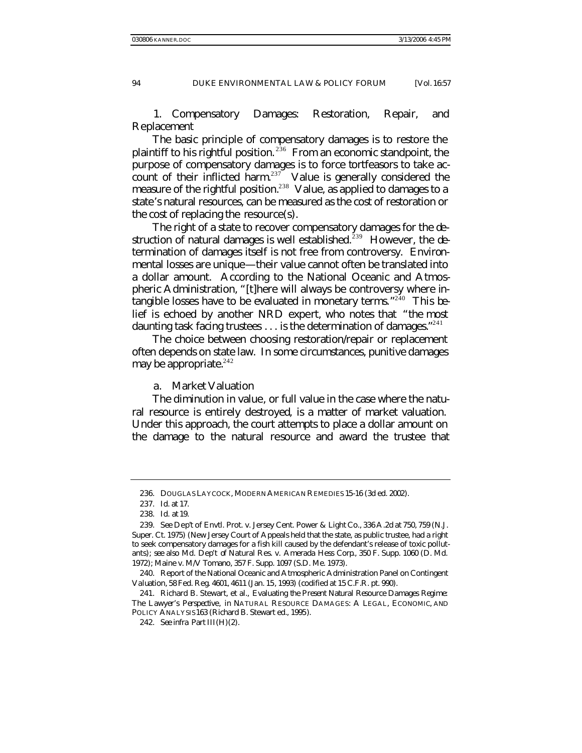1. Compensatory Damages: Restoration, Repair, and Replacement

The basic principle of compensatory damages is to restore the plaintiff to his rightful position. <sup>236</sup> From an economic standpoint, the purpose of compensatory damages is to force tortfeasors to take account of their inflicted harm.<sup>237</sup> Value is generally considered the measure of the rightful position.<sup>238</sup> Value, as applied to damages to a state's natural resources, can be measured as the cost of restoration or the cost of replacing the resource(s).

The right of a state to recover compensatory damages for the destruction of natural damages is well established.<sup>239</sup> However, the determination of damages itself is not free from controversy. Environmental losses are unique—their value cannot often be translated into a dollar amount. According to the National Oceanic and Atmospheric Administration, "[t]here will always be controversy where intangible losses have to be evaluated in monetary terms."<sup>240</sup> This belief is echoed by another NRD expert, who notes that "the most daunting task facing trustees  $\ldots$  is the determination of damages."  $^{241}$ 

The choice between choosing restoration/repair or replacement often depends on state law. In some circumstances, punitive damages may be appropriate. $242$ 

a. Market Valuation

The diminution in value, or full value in the case where the natural resource is entirely destroyed, is a matter of market valuation. Under this approach, the court attempts to place a dollar amount on the damage to the natural resource and award the trustee that

<sup>236.</sup> DOUGLAS LAYCOCK, MODERN AMERICAN REMEDIES 15-16 (3d ed. 2002).

<sup>237</sup>*. Id.* at 17.

<sup>238</sup>*. Id.* at 19.

<sup>239</sup>*. See* Dep't of Envtl. Prot. v. Jersey Cent. Power & Light Co., 336 A.2d at 750, 759 (N.J. Super. Ct. 1975) (New Jersey Court of Appeals held that the state, as public trustee, had a right to seek compensatory damages for a fish kill caused by the defendant's release of toxic pollutants); *see also* Md. Dep't of Natural Res. v. Amerada Hess Corp., 350 F. Supp. 1060 (D. Md. 1972); Maine v. M/V Tomano, 357 F. Supp. 1097 (S.D. Me. 1973).

<sup>240.</sup> Report of the National Oceanic and Atmospheric Administration Panel on Contingent Valuation, 58 Fed. Reg. 4601, 4611 (Jan. 15, 1993) (codified at 15 C.F.R. pt. 990).

<sup>241.</sup> Richard B. Stewart, et al., *Evaluating the Present Natural Resource Damages Regime: The Lawyer's Perspective*, *in* NATURAL RESOURCE DAMAGES: A LEGAL, ECONOMIC, AND POLICY ANALYSIS 163 (Richard B. Stewart ed., 1995).

<sup>242</sup>*. See infra* Part III(H)(2).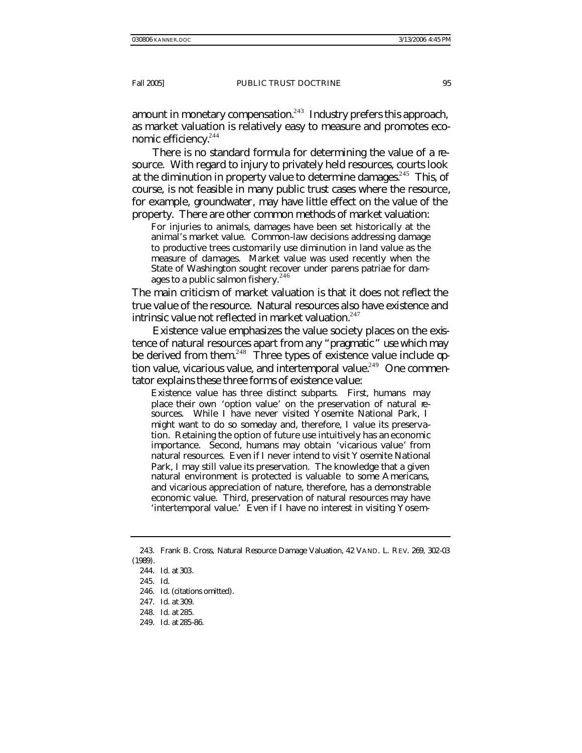amount in monetary compensation. $243$  Industry prefers this approach, as market valuation is relatively easy to measure and promotes economic efficiency.<sup>244</sup>

There is no standard formula for determining the value of a resource. With regard to injury to privately held resources, courts look at the diminution in property value to determine damages.<sup>245</sup> This, of course, is not feasible in many public trust cases where the resource, for example, groundwater, may have little effect on the value of the property. There are other common methods of market valuation:

For injuries to animals, damages have been set historically at the animal's market value. Common-law decisions addressing damage to productive trees customarily use diminution in land value as the measure of damages. Market value was used recently when the State of Washington sought recover under parens patriae for damages to a public salmon fishery.<sup>246</sup>

The main criticism of market valuation is that it does not reflect the true value of the resource. Natural resources also have existence and intrinsic value not reflected in market valuation.<sup>247</sup>

Existence value emphasizes the value society places on the existence of natural resources apart from any "pragmatic" use which may be derived from them.<sup>248</sup> Three types of existence value include option value, vicarious value, and intertemporal value.<sup>249</sup> One commentator explains these three forms of existence value:

Existence value has three distinct subparts. First, humans may place their own 'option value' on the preservation of natural resources. While I have never visited Yosemite National Park, I might want to do so someday and, therefore, I value its preservation. Retaining the option of future use intuitively has an economic importance. Second, humans may obtain 'vicarious value' from natural resources. Even if I never intend to visit Yosemite National Park, I may still value its preservation. The knowledge that a given natural environment is protected is valuable to some Americans, and vicarious appreciation of nature, therefore, has a demonstrable economic value. Third, preservation of natural resources may have 'intertemporal value.' Even if I have no interest in visiting Yosem-

<sup>243.</sup> Frank B. Cross, *Natural Resource Damage Valuation*, 42 VAND. L. REV. 269, 302-03 (1989).

<sup>244</sup>*. Id.* at 303*.*

<sup>245</sup>*. Id*.

<sup>246</sup>*. Id*. (citations omitted).

<sup>247</sup>*. Id.* at 309.

<sup>248</sup>*. Id.* at 285.

<sup>249</sup>*. Id.* at 285-86.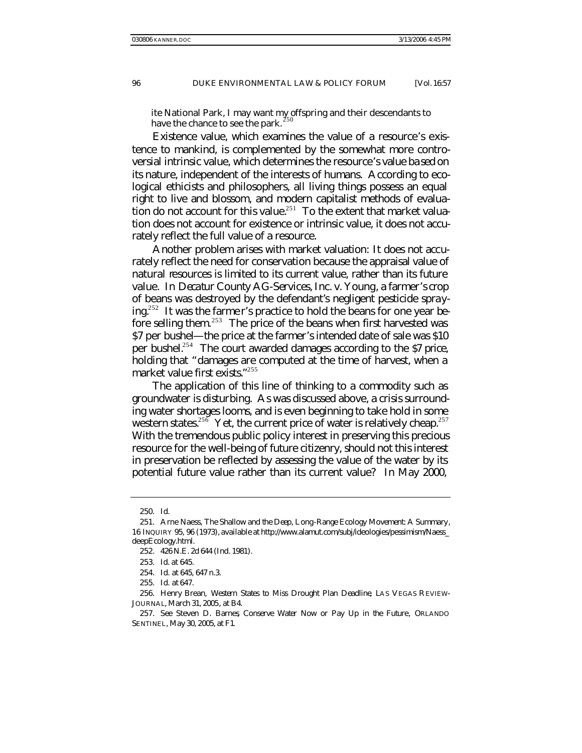ite National Park, I may want my offspring and their descendants to have the chance to see the park.  $250$ 

Existence value, which examines the value of a resource's existence to mankind, is complemented by the somewhat more controversial intrinsic value, which determines the resource's value based on its nature, independent of the interests of humans. According to ecological ethicists and philosophers, all living things possess an equal right to live and blossom, and modern capitalist methods of evaluation do not account for this value.<sup>251</sup> To the extent that market valuation does not account for existence or intrinsic value, it does not accurately reflect the full value of a resource.

Another problem arises with market valuation: It does not accurately reflect the need for conservation because the appraisal value of natural resources is limited to its current value, rather than its future value. In *Decatur County AG-Services, Inc. v. Young*, a farmer's crop of beans was destroyed by the defendant's negligent pesticide spraying.<sup>252</sup> It was the farme r's practice to hold the beans for one year before selling them.<sup>253</sup> The price of the beans when first harvested was \$7 per bushel—the price at the farmer's intended date of sale was \$10 per bushel.<sup>254</sup> The court awarded damages according to the \$7 price, holding that "damages are computed at the time of harvest, when a market value first exists." 255

The application of this line of thinking to a commodity such as groundwater is disturbing. As was discussed above, a crisis surrounding water shortages looms, and is even beginning to take hold in some western states.<sup>256</sup> Yet, the current price of water is relatively cheap.<sup>257</sup> With the tremendous public policy interest in preserving this precious resource for the well-being of future citizenry, should not this interest in preservation be reflected by assessing the value of the water by its potential future value rather than its current value? In May 2000,

<sup>250</sup>*. Id.*

<sup>251.</sup> Arne Naess*, The Shallow and the Deep, Long-Range Ecology Movement: A Summary*, 16 INQUIRY 95, 96 (1973), *available at* http://www.alamut.com/subj/ideologies/pessimism/Naess\_ deepEcology.html.

<sup>252.</sup> 426 N.E. 2d 644 (Ind. 1981).

<sup>253</sup>*. Id*. at 645.

<sup>254</sup>*. Id.* at 645, 647 n.3.

<sup>255</sup>*. Id.* at 647.

<sup>256.</sup> Henry Brean, *Western States to Miss Drought Plan Deadline*, LAS VEGAS REVIEW-JOURNAL, March 31, 2005, at B4.

<sup>257</sup>*. See* Steven D. Barnes*, Conserve Water Now or Pay Up in the Future*, ORLANDO SENTINEL*,* May 30, 2005, at F1*.*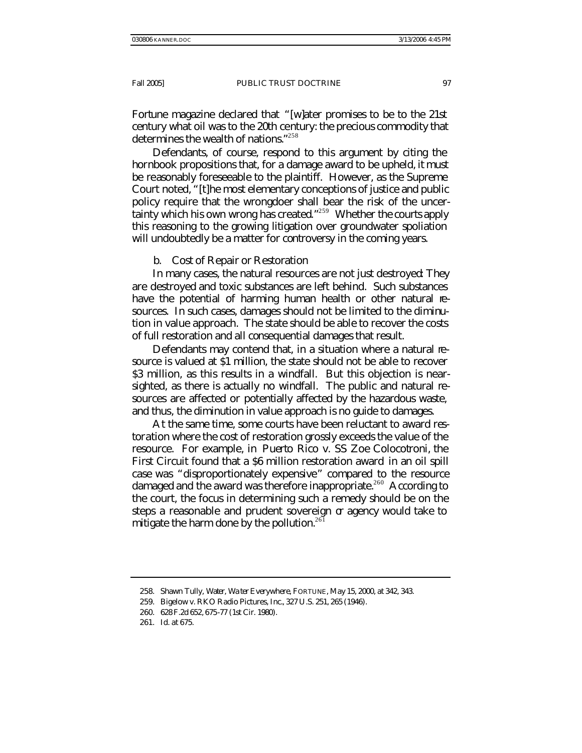*Fortune* magazine declared that "[w]ater promises to be to the 21st century what oil was to the 20th century: the precious commodity that determines the wealth of nations."<sup>258</sup>

Defendants, of course, respond to this argument by citing the hornbook propositions that, for a damage award to be upheld, it must be reasonably foreseeable to the plaintiff. However, as the Supreme Court noted, "[t]he most elementary conceptions of justice and public policy require that the wrongdoer shall bear the risk of the uncertainty which his own wrong has created."<sup>259</sup> Whether the courts apply this reasoning to the growing litigation over groundwater spoliation will undoubtedly be a matter for controversy in the coming years.

#### b. Cost of Repair or Restoration

In many cases, the natural resources are not just destroyed: They are destroyed and toxic substances are left behind. Such substances have the potential of harming human health or other natural resources. In such cases, damages should not be limited to the diminution in value approach. The state should be able to recover the costs of full restoration and all consequential damages that result.

Defendants may contend that, in a situation where a natural resource is valued at \$1 million, the state should not be able to recover \$3 million, as this results in a windfall. But this objection is nearsighted, as there is actually no windfall. The public and natural resources are affected or potentially affected by the hazardous waste, and thus, the diminution in value approach is no guide to damages.

At the same time, some courts have been reluctant to award restoration where the cost of restoration grossly exceeds the value of the resource. For example, in *Puerto Rico v. SS Zoe Colocotroni*, the First Circuit found that a \$6 million restoration award in an oil spill case was "disproportionately expensive" compared to the resource damaged and the award was therefore inappropriate.<sup>260</sup> According to the court, the focus in determining such a remedy should be on the steps a reasonable and prudent sovereign or agency would take to mitigate the harm done by the pollution. $261$ 

<sup>258.</sup> Shawn Tully, *Water, Wa ter Everywhere*, FORTUNE, May 15, 2000, at 342, 343.

<sup>259.</sup> Bigelow v. RKO Radio Pictures, Inc*.*, 327 U.S. 251, 265 (1946).

<sup>260.</sup> 628 F.2d 652, 675-77 (1st Cir. 1980).

<sup>261</sup>*. Id.* at 675.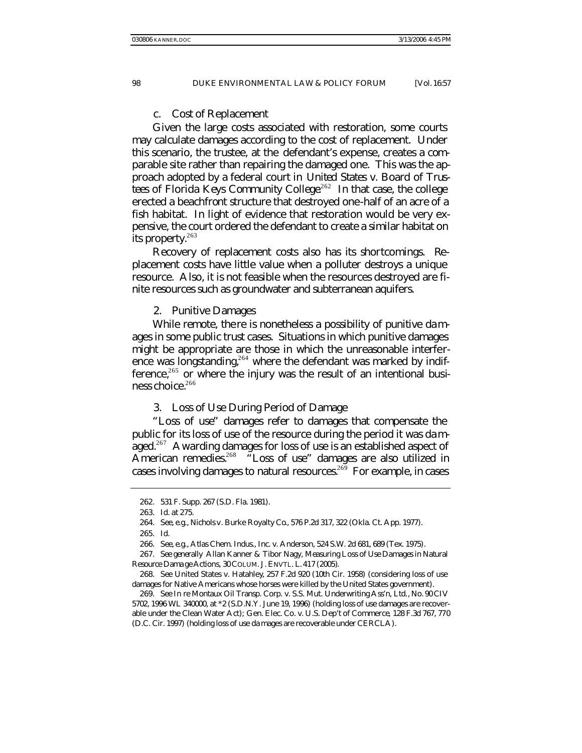c. Cost of Replacement

Given the large costs associated with restoration, some courts may calculate damages according to the cost of replacement. Under this scenario, the trustee, at the defendant's expense, creates a comparable site rather than repairing the damaged one. This was the approach adopted by a federal court in *United States v. Board of Trustees of Florida Keys Community College*. <sup>262</sup> In that case, the college erected a beachfront structure that destroyed one-half of an acre of a fish habitat. In light of evidence that restoration would be very expensive, the court ordered the defendant to create a similar habitat on its property.<sup>263</sup>

Recovery of replacement costs also has its shortcomings. Replacement costs have little value when a polluter destroys a unique resource. Also, it is not feasible when the resources destroyed are finite resources such as groundwater and subterranean aquifers.

#### 2. Punitive Damages

While remote, there is nonetheless a possibility of punitive damages in some public trust cases. Situations in which punitive damages might be appropriate are those in which the unreasonable interference was longstanding,<sup>264</sup> where the defendant was marked by indifference, $265$  or where the injury was the result of an intentional business choice. $266$ 

#### 3. Loss of Use During Period of Damage

"Loss of use" damages refer to damages that compensate the public for its loss of use of the resource during the period it was damaged.<sup>267</sup> Awarding damages for loss of use is an established aspect of American remedies.<sup>268</sup> "Loss of use" damages are also utilized in cases involving damages to natural resources.<sup>269</sup> For example, in cases

<sup>262.</sup> 531 F. Supp. 267 (S.D. Fla. 1981).

<sup>263</sup>*. Id.* at 275.

<sup>264</sup>*. See, e.g.*, Nichols v. Burke Royalty Co., 576 P.2d 317, 322 (Okla. Ct. App. 1977).

<sup>265</sup>*. Id.*

<sup>266</sup>*. See, e.g.*, Atlas Chem. Indus., Inc. v. Anderson, 524 S.W. 2d 681, 689 (Tex. 1975).

<sup>267</sup>*. See generally* Allan Kanner & Tibor Nagy, *Measuring Loss of Use Damages in Natural Resource Dama ge Actions*, 30 COLUM. J. ENVTL. L. 417 (2005).

<sup>268</sup>*. See* United States v. Hatahley, 257 F.2d 920 (10th Cir. 1958) (considering loss of use damages for Native Americans whose horses were killed by the United States government).

<sup>269</sup>*. See In re* Montaux Oil Transp. Corp. v. S.S. Mut. Underwriting Ass'n, Ltd., No. 90 CIV 5702, 1996 WL 340000, at \*2 (S.D.N.Y. June 19, 1996) (holding loss of use damages are recoverable under the Clean Water Act); Gen. Elec. Co. v. U.S. Dep't of Commerce*,* 128 F.3d 767, 770 (D.C. Cir. 1997) (holding loss of use da mages are recoverable under CERCLA).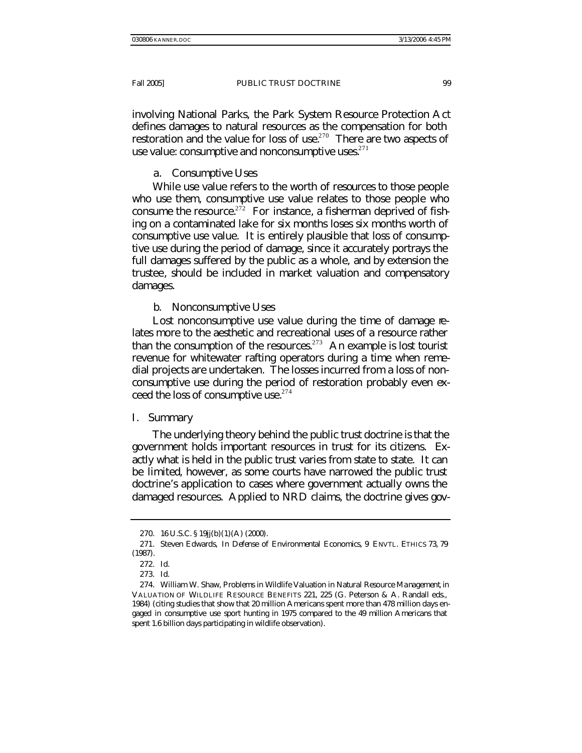involving National Parks, the Park System Resource Protection Act defines damages to natural resources as the compensation for both restoration and the value for loss of use.<sup>270</sup> There are two aspects of use value: consumptive and nonconsumptive uses. $271$ 

## a. Consumptive Uses

While use value refers to the worth of resources to those people who use them, consumptive use value relates to those people who consume the resource.<sup> $272$ </sup> For instance, a fisherman deprived of fishing on a contaminated lake for six months loses six months worth of consumptive use value. It is entirely plausible that loss of consumptive use during the period of damage, since it accurately portrays the full damages suffered by the public as a whole, and by extension the trustee, should be included in market valuation and compensatory damages.

# b. Nonconsumptive Uses

Lost nonconsumptive use value during the time of damage relates more to the aesthetic and recreational uses of a resource rather than the consumption of the resources.<sup>273</sup> An example is lost tourist revenue for whitewater rafting operators during a time when remedial projects are undertaken. The losses incurred from a loss of nonconsumptive use during the period of restoration probably even exceed the loss of consumptive use. $274$ 

## I. *Summary*

The underlying theory behind the public trust doctrine is that the government holds important resources in trust for its citizens. Exactly what is held in the public trust varies from state to state. It can be limited, however, as some courts have narrowed the public trust doctrine's application to cases where government actually owns the damaged resources. Applied to NRD claims, the doctrine gives gov-

<sup>270.</sup> 16 U.S.C. § 19jj(b)(1)(A) (2000).

<sup>271.</sup> Steven Edwards, *In Defense of Environmental Economics*, 9 ENVTL. ETHICS 73, 79 (1987).

<sup>272</sup>*. Id*.

<sup>273</sup>*. Id*.

<sup>274.</sup> William W. Shaw, *Problems in Wildlife Valuation in Natural Resource Management*, in VALUATION OF WILDLIFE RESOURCE BENEFITS 221, 225 (G. Peterson & A. Randall eds., 1984) (citing studies that show that 20 million Americans spent more than 478 million days engaged in consumptive use sport hunting in 1975 compared to the 49 million Americans that spent 1.6 billion days participating in wildlife observation).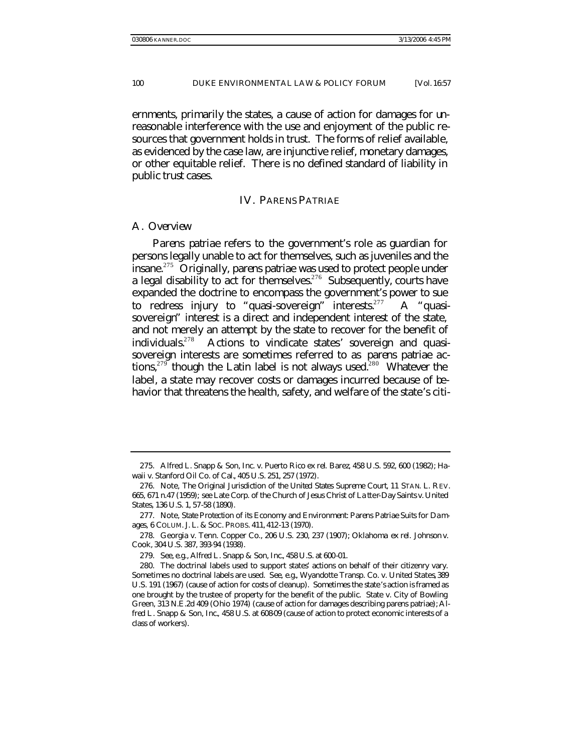ernments, primarily the states, a cause of action for damages for unreasonable interference with the use and enjoyment of the public resources that government holds in trust. The forms of relief available, as evidenced by the case law, are injunctive relief, monetary damages, or other equitable relief. There is no defined standard of liability in public trust cases.

## IV. *PARENS PATRIAE*

## A. *Overview*

*Parens patriae* refers to the government's role as guardian for persons legally unable to act for themselves, such as juveniles and the insane.<sup>275</sup> Originally, *parens patriae* was used to protect people under a legal disability to act for themselves.<sup>276</sup> Subsequently, courts have expanded the doctrine to encompass the government's power to sue to redress injury to "quasi-sovereign" interests.<sup>277</sup> A "quasisovereign" interest is a direct and independent interest of the state, and not merely an attempt by the state to recover for the benefit of individuals.<sup>278</sup> Actions to vindicate states' sovereign and quasisovereign interests are sometimes referred to as *parens patriae* actions,<sup>279</sup> though the Latin label is not always used.<sup>280</sup> Whatever the label, a state may recover costs or damages incurred because of behavior that threatens the health, safety, and welfare of the state's citi-

<sup>275.</sup> Alfred L. Snapp & Son, Inc. v. Puerto Rico *ex rel*. Barez, 458 U.S. 592, 600 (1982); Hawaii v. Stanford Oil Co. of Cal., 405 U.S. 251, 257 (1972).

<sup>276.</sup> Note, *The Original Jurisdiction of the United States Supreme Court*, 11 STAN. L. REV. 665, 671 n.47 (1959); *see* Late Corp. of the Church of Jesus Christ of La tter-Day Saints v. United States, 136 U.S. 1, 57-58 (1890).

<sup>277.</sup> Note, *State Protection of its Economy and Environment: Parens Patriae Suits for Damages*, 6 COLUM. J. L. & SOC. PROBS. 411, 412-13 (1970).

<sup>278.</sup> Georgia v. Tenn. Copper Co., 206 U.S. 230, 237 (1907); Oklahoma *ex rel.* Johnson v. Cook, 304 U.S. 387, 393-94 (1938).

<sup>279</sup>*. See, e.g.*, *Alfred L. Snapp & Son, Inc.*, 458 U.S. at 600-01.

<sup>280.</sup> The doctrinal labels used to support states' actions on behalf of their citizenry vary. Sometimes no doctrinal labels are used. *See, e.g.*, Wyandotte Transp. Co. v. United States, 389 U.S. 191 (1967) (cause of action for costs of cleanup). Sometimes the state's action is framed as one brought by the trustee of property for the benefit of the public. State v. City of Bowling Green, 313 N.E.2d 409 (Ohio 1974) (cause of action for damages describing *parens patriae*); *Alfred L. Snapp & Son, Inc.*, 458 U.S. at 608-09 (cause of action to protect economic interests of a class of workers).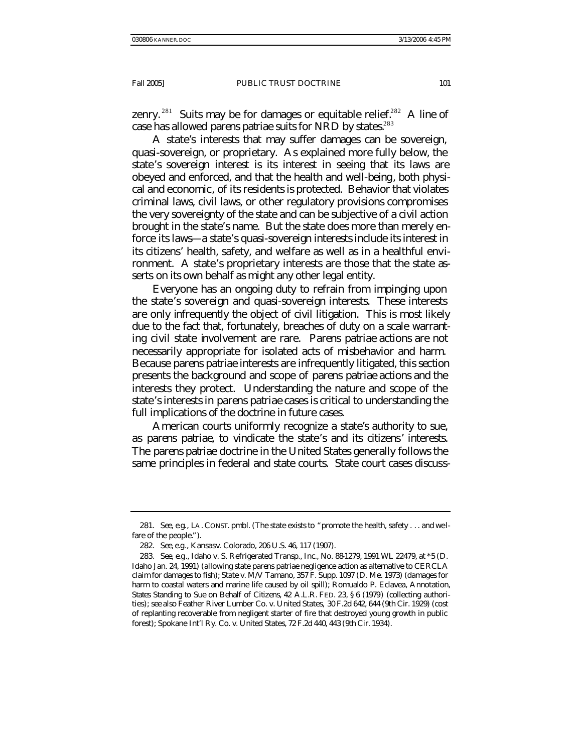zenry.<sup>281</sup> Suits may be for damages or equitable relief.<sup>282</sup> A line of case has allowed *parens patriae* suits for NRD by states.<sup>283</sup>

A state's interests that may suffer damages can be sovereign, quasi-sovereign, or proprietary. As explained more fully below, the state's sovereign interest is its interest in seeing that its laws are obeyed and enforced, and that the health and well-being, both physical and economic, of its residents is protected. Behavior that violates criminal laws, civil laws, or other regulatory provisions compromises the very sovereignty of the state and can be subjective of a civil action brought in the state's name. But the state does more than merely enforce its laws—a state's quasi-sovereign interests include its interest in its citizens' health, safety, and welfare as well as in a healthful environment. A state's proprietary interests are those that the state asserts on its own behalf as might any other legal entity.

Everyone has an ongoing duty to refrain from impinging upon the state's sovereign and quasi-sovereign interests. These interests are only infrequently the object of civil litigation. This is most likely due to the fact that, fortunately, breaches of duty on a scale warranting civil state involvement are rare. *Parens patriae* actions are not necessarily appropriate for isolated acts of misbehavior and harm. Because *parens patriae* interests are infrequently litigated, this section presents the background and scope of *parens patriae* actions and the interests they protect. Understanding the nature and scope of the state's interests in *parens patriae* cases is critical to understanding the full implications of the doctrine in future cases.

American courts uniformly recognize a state's authority to sue, as *parens patriae*, to vindicate the state's and its citizens' interests. The *parens patriae* doctrine in the United States generally follows the same principles in federal and state courts. State court cases discuss-

<sup>281</sup>*. See, e.g.*, LA. CONST. pmbl. (The state exists to "promote the health, safety . . . and welfare of the people.").

<sup>282</sup>*. See, e.g*., Kansas v. Colorado, 206 U.S. 46, 117 (1907).

<sup>283</sup>*. See, e.g*., Idaho v. S. Refrigerated Transp., Inc., No. 88-1279, 1991 WL 22479, at \*5 (D. Idaho Jan. 24, 1991) (allowing state *parens patriae* negligence action as alternative to CERCLA claim for damages to fish); State v. M/V Tamano, 357 F. Supp. 1097 (D. Me. 1973) (damages for harm to coastal waters and marine life caused by oil spill); Romualdo P. Eclavea, Annotation*, States Standing to Sue on Behalf of Citizens*, 42 A.L.R. FED. 23, § 6 (1979) (collecting authorities); *see also* Feather River Lumber Co. v. United States, 30 F.2d 642, 644 (9th Cir. 1929) (cost of replanting recoverable from negligent starter of fire that destroyed young growth in public forest); Spokane Int'l Ry. Co. v. United States, 72 F.2d 440, 443 (9th Cir. 1934).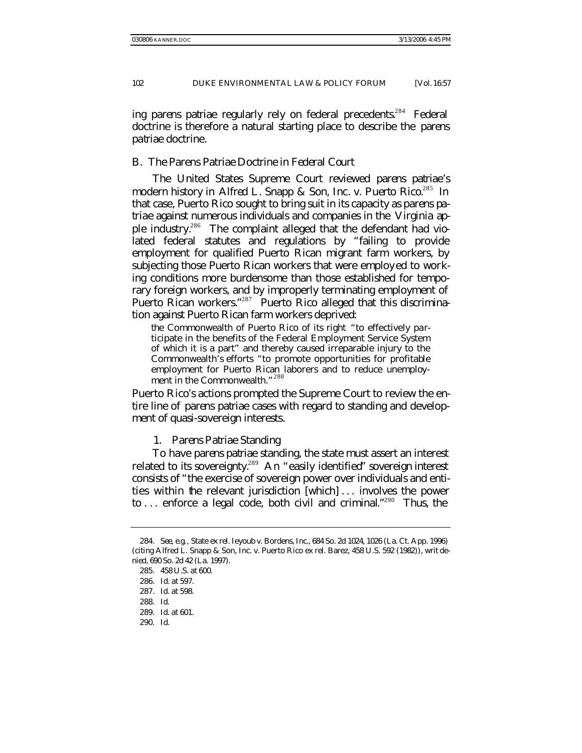ing *parens patriae* regularly rely on federal precedents.<sup>284</sup> Federal doctrine is therefore a natural starting place to describe the *parens patriae* doctrine.

## B. *The* Parens Patriae *Doctrine in Federal Court*

The United States Supreme Court reviewed *parens patriae*'s modern history in *Alfred L. Snapp & Son, Inc*. *v. Puerto Rico*. <sup>285</sup> In that case, Puerto Rico sought to bring suit in its capacity as *parens patriae* against numerous individuals and companies in the Virginia apple industry.<sup>286</sup> The complaint alleged that the defendant had violated federal statutes and regulations by "failing to provide employment for qualified Puerto Rican migrant farm workers, by subjecting those Puerto Rican workers that were employed to working conditions more burdensome than those established for temporary foreign workers, and by improperly terminating employment of Puerto Rican workers."<sup>287</sup> Puerto Rico alleged that this discrimination against Puerto Rican farm workers deprived:

the Commonwealth of Puerto Rico of its right "to effectively participate in the benefits of the Federal Employment Service System of which it is a part" and thereby caused irreparable injury to the Commonwealth's efforts "to promote opportunities for profitable employment for Puerto Rican laborers and to reduce unemployment in the Commonwealth."<sup>288</sup>

Puerto Rico's actions prompted the Supreme Court to review the entire line of *parens patriae* cases with regard to standing and development of quasi-sovereign interests.

1. *Parens Patriae* Standing

To have *parens patriae* standing, the state must assert an interest related to its sovereignty.<sup>289</sup> An "easily identified" sovereign interest consists of "the exercise of sovereign power over individuals and entities within the relevant jurisdiction [which] . . . involves the power to ... enforce a legal code, both civil and criminal."<sup>290</sup> Thus, the

290*. Id.*

<sup>284</sup>*. See, e.g.*, State *ex rel.* Ieyoub v. Bordens, Inc., 684 So. 2d 1024, 1026 (La. Ct. App. 1996) (citing Alfred L. Snapp & Son, Inc. v. Puerto Rico *ex rel.* Barez, 458 U.S. 592 (1982)), *writ denied*, 690 So. 2d 42 (La. 1997).

<sup>285</sup>*.* 458 U.S. at 600.

<sup>286</sup>*. Id.* at 597.

<sup>287</sup>*. Id*. at 598.

<sup>288</sup>*. Id*.

<sup>289</sup>*. Id*. at 601.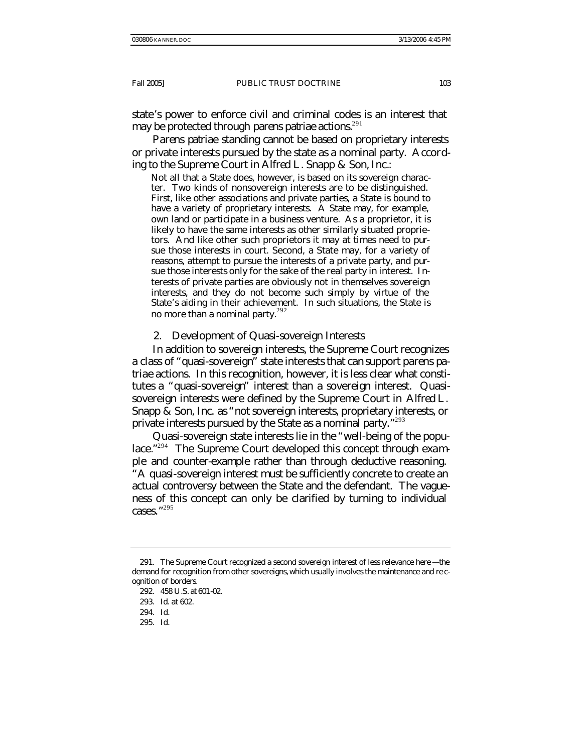state's power to enforce civil and criminal codes is an interest that may be protected through *parens patriae* actions.<sup>291</sup>

*Parens patriae* standing cannot be based on proprietary interests or private interests pursued by the state as a nominal party. According to the Supreme Court in *Alfred L. Snapp & Son, Inc.*:

Not all that a State does, however, is based on its sovereign character. Two kinds of nonsovereign interests are to be distinguished. First, like other associations and private parties, a State is bound to have a variety of proprietary interests. A State may, for example, own land or participate in a business venture. As a proprietor, it is likely to have the same interests as other similarly situated proprietors. And like other such proprietors it may at times need to pursue those interests in court. Second, a State may, for a variety of reasons, attempt to pursue the interests of a private party, and pursue those interests only for the sake of the real party in interest. Interests of private parties are obviously not in themselves sovereign interests, and they do not become such simply by virtue of the State's aiding in their achievement. In such situations, the State is no more than a nominal party.<sup>292</sup>

#### 2. Development of Quasi-sovereign Interests

In addition to sovereign interests, the Supreme Court recognizes a class of "quasi-sovereign" state interests that can support *parens patriae* actions. In this recognition, however, it is less clear what constitutes a "quasi-sovereign" interest than a sovereign interest. Quasisovereign interests were defined by the Supreme Court in *Alfred L. Snapp & Son, Inc.* as "not sovereign interests, proprietary interests, or private interests pursued by the State as a nominal party."293

Quasi-sovereign state interests lie in the "well-being of the populace."<sup>294</sup> The Supreme Court developed this concept through example and counter-example rather than through deductive reasoning. "A quasi-sovereign interest must be sufficiently concrete to create an actual controversy between the State and the defendant. The vagueness of this concept can only be clarified by turning to individual cases." 295

295*. Id.*

<sup>291.</sup> The Supreme Court recognized a second sovereign interest of less relevance here —the demand for recognition from other sovereigns, which usually involves the maintenance and re cognition of borders.

<sup>292</sup>*.* 458 U.S. at 601-02.

<sup>293</sup>*. Id*. at 602.

<sup>294</sup>*. Id.*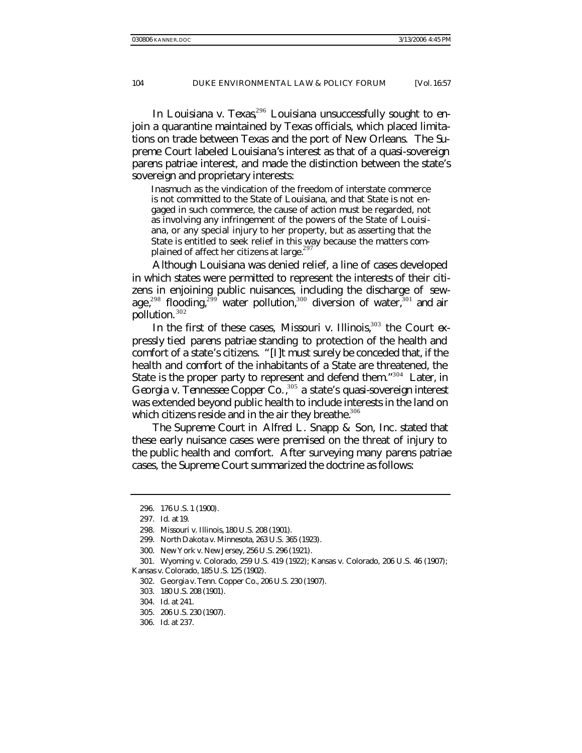In *Louisiana v. Texas*,<sup>296</sup> Louisiana unsuccessfully sought to enjoin a quarantine maintained by Texas officials, which placed limitations on trade between Texas and the port of New Orleans. The Supreme Court labeled Louisiana's interest as that of a quasi-sovereign *parens patriae* interest, and made the distinction between the state's sovereign and proprietary interests:

Inasmuch as the vindication of the freedom of interstate commerce is not committed to the State of Louisiana, and that State is not engaged in such commerce, the cause of action must be regarded, not as involving any infringement of the powers of the State of Louisiana, or any special injury to her property, but as asserting that the State is entitled to seek relief in this way because the matters complained of affect her citizens at large.<sup>297</sup>

Although Louisiana was denied relief, a line of cases developed in which states were permitted to represent the interests of their citizens in enjoining public nuisances, including the discharge of sewage,<sup>298</sup> flooding,<sup>299</sup> water pollution,<sup>300</sup> diversion of water,<sup>301</sup> and air pollution. <sup>302</sup>

In the first of these cases, *Missouri v. Illinois*, <sup>303</sup> the Court expressly tied *parens patriae* standing to protection of the health and comfort of a state's citizens. "[I]t must surely be conceded that, if the health and comfort of the inhabitants of a State are threatened, the State is the proper party to represent and defend them."<sup>304</sup> Later, in *Georgia v. Tennessee Copper Co.*, <sup>305</sup> a state's quasi-sovereign interest was extended beyond public health to include interests in the land on which citizens reside and in the air they breathe. $306$ 

The Supreme Court in *Alfred L. Snapp & Son, Inc*. stated that these early nuisance cases were premised on the threat of injury to the public health and comfort. After surveying many *parens patriae* cases, the Supreme Court summarized the doctrine as follows:

<sup>296.</sup> 176 U.S. 1 (1900).

<sup>297</sup>*. Id.* at 19.

<sup>298.</sup> Missouri v. Illinois, 180 U.S. 208 (1901).

<sup>299.</sup> North Dakota v. Minnesota, 263 U.S. 365 (1923).

<sup>300.</sup> New York v. New Jersey, 256 U.S. 296 (1921).

<sup>301.</sup> Wyoming v. Colorado, 259 U.S. 419 (1922); Kansas v. Colorado, 206 U.S. 46 (1907); Kansas v. Colorado, 185 U.S. 125 (1902).

<sup>302.</sup> Georgia v. Tenn. Copper Co., 206 U.S. 230 (1907).

<sup>303.</sup> 180 U.S. 208 (1901).

<sup>304</sup>*. Id.* at 241.

<sup>305.</sup> 206 U.S. 230 (1907).

<sup>306</sup>*. Id*. at 237.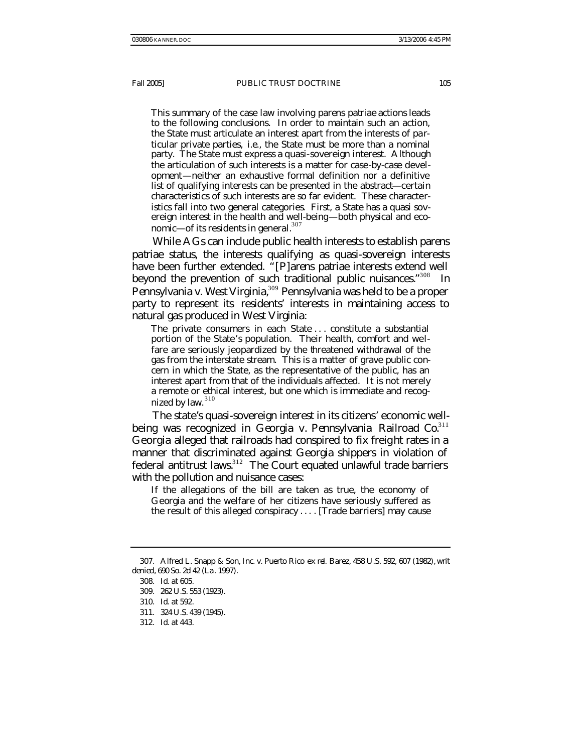This summary of the case law involving *parens patriae* actions leads to the following conclusions. In order to maintain such an action, the State must articulate an interest apart from the interests of particular private parties, *i.e*., the State must be more than a nominal party. The State must express a quasi-sovereign interest. Although the articulation of such interests is a matter for case-by-case development—neither an exhaustive formal definition nor a definitive list of qualifying interests can be presented in the abstract—certain characteristics of such interests are so far evident. These characteristics fall into two general categories. First, a State has a quasi sovereign interest in the health and well-being—both physical and economic—of its residents in general. $307$ 

While AGs can include public health interests to establish *parens patriae* status, the interests qualifying as quasi-sovereign interests have been further extended. "*[P]arens patriae* interests extend well beyond the prevention of such traditional public nuisances."<sup>308</sup> In *Pennsylvania v. West Virginia*, <sup>309</sup> Pennsylvania was held to be a proper party to represent its residents' interests in maintaining access to natural gas produced in West Virginia:

The private consumers in each State . . . constitute a substantial portion of the State's population. Their health, comfort and welfare are seriously jeopardized by the threatened withdrawal of the gas from the interstate stream. This is a matter of grave public concern in which the State, as the representative of the public, has an interest apart from that of the individuals affected. It is not merely a remote or ethical interest, but one which is immediate and recognized by law.<sup>310</sup>

The state's quasi-sovereign interest in its citizens' economic wellbeing was recognized in *Georgia v. Pennsylvania Railroad Co.*<sup>311</sup> Georgia alleged that railroads had conspired to fix freight rates in a manner that discriminated against Georgia shippers in violation of federal antitrust laws.<sup>312</sup> The Court equated unlawful trade barriers with the pollution and nuisance cases:

If the allegations of the bill are taken as true, the economy of Georgia and the welfare of her citizens have seriously suffered as the result of this alleged conspiracy . . . . [Trade barriers] may cause

<sup>307.</sup> Alfred L. Snapp & Son, Inc. v. Puerto Rico *ex rel.* Barez, 458 U.S. 592, 607 (1982), *writ denied*, 690 So. 2d 42 (La . 1997).

<sup>308</sup>*. Id*. at 605.

<sup>309.</sup> 262 U.S. 553 (1923).

<sup>310</sup>*. Id*. at 592.

<sup>311.</sup> 324 U.S. 439 (1945).

<sup>312</sup>*. Id*. at 443.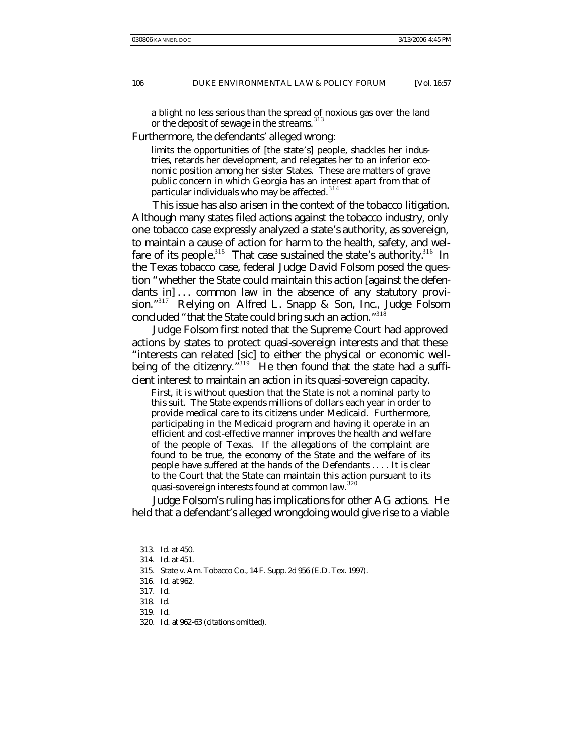a blight no less serious than the spread of noxious gas over the land or the deposit of sewage in the streams.<sup>313</sup>

Furthermore, the defendants' alleged wrong:

limits the opportunities of [the state's] people, shackles her industries, retards her development, and relegates her to an inferior economic position among her sister States. These are matters of grave public concern in which Georgia has an interest apart from that of particular individuals who may be affected.<sup>314</sup>

This issue has also arisen in the context of the tobacco litigation. Although many states filed actions against the tobacco industry, only one tobacco case expressly analyzed a state's authority, as sovereign, to maintain a cause of action for harm to the health, safety, and welfare of its people.<sup>315</sup> That case sustained the state's authority.<sup>316</sup> In the Texas tobacco case, federal Judge David Folsom posed the question "whether the State could maintain this action [against the defendants in  $\dots$  common law in the absence of any statutory provision." <sup>317</sup> Relying on *Alfred L. Snapp & Son, Inc.*, Judge Folsom concluded "that the State could bring such an action."<sup>318</sup>

Judge Folsom first noted that the Supreme Court had approved actions by states to protect quasi-sovereign interests and that these "interests can related [sic] to either the physical or economic wellbeing of the citizenry."<sup>319</sup> He then found that the state had a sufficient interest to maintain an action in its quasi-sovereign capacity.

First, it is without question that the State is not a nominal party to this suit. The State expends millions of dollars each year in order to provide medical care to its citizens under Medicaid. Furthermore, participating in the Medicaid program and having it operate in an efficient and cost-effective manner improves the health and welfare of the people of Texas. If the allegations of the complaint are found to be true, the economy of the State and the welfare of its people have suffered at the hands of the Defendants . . . . It is clear to the Court that the State can maintain this action pursuant to its quasi-sovereign interests found at common law.<sup>320</sup>

Judge Folsom's ruling has implications for other AG actions. He held that a defendant's alleged wrongdoing would give rise to a viable

<sup>313</sup>*. Id*. at 450.

<sup>314</sup>*. Id.* at 451.

<sup>315.</sup> State v. Am. Tobacco Co., 14 F. Supp. 2d 956 (E.D. Tex. 1997).

<sup>316</sup>*. Id.* at 962.

<sup>317</sup>*. Id.*

<sup>318</sup>*. Id*.

<sup>319</sup>*. Id.*

<sup>320</sup>*. Id.* at 962-63 (citations omitted).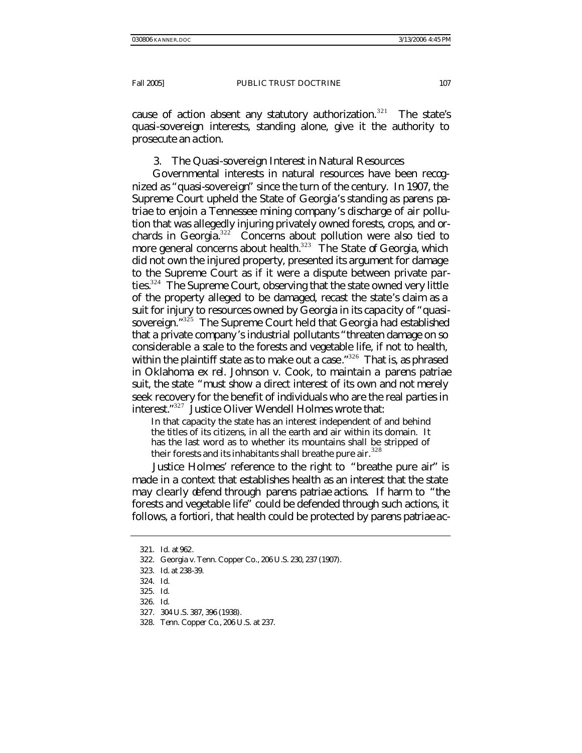cause of action absent any statutory authorization.<sup>321</sup> The state's quasi-sovereign interests, standing alone, give it the authority to prosecute an action.

# 3. The Quasi-sovereign Interest in Natural Resources

Governmental interests in natural resources have been recognized as "quasi-sovereign" since the turn of the century. In 1907, the Supreme Court upheld the State of Georgia's standing as *parens patriae* to enjoin a Tennessee mining company's discharge of air pollution that was allegedly injuring privately owned forests, crops, and orchards in Georgia. $32^{2}$  Concerns about pollution were also tied to more general concerns about health. $323$  The State of Georgia, which did not own the injured property, presented its argument for damage to the Supreme Court as if it were a dispute between private parties.<sup>324</sup> The Supreme Court, observing that the state owned very little of the property alleged to be damaged, recast the state's claim as a suit for injury to resources owned by Georgia in its capacity of "quasisovereign."<sup>325</sup> The Supreme Court held that Georgia had established that a private company's industrial pollutants "threaten damage on so considerable a scale to the forests and vegetable life, if not to health, within the plaintiff state as to make out a case."<sup>326</sup> That is, as phrased in *Oklahoma ex rel. Johnson v. Cook*, to maintain a *parens patriae* suit, the state "must show a direct interest of its own and not merely seek recovery for the benefit of individuals who are the real parties in interest." <sup>327</sup> Justice Oliver Wendell Holmes wrote that:

In that capacity the state has an interest independent of and behind the titles of its citizens, in all the earth and air within its domain. It has the last word as to whether its mountains shall be stripped of their forests and its inhabitants shall breathe pure air.  $328$ 

Justice Holmes' reference to the right to "breathe pure air" is made in a context that establishes health as an interest that the state may clearly defend through *parens patriae* actions. If harm to "the forests and vegetable life" could be defended through such actions, it follows, *a fortiori*, that health could be protected by *parens patriae* ac-

324*. Id.*

- 326*. Id*.
- 327. 304 U.S. 387, 396 (1938).
- 328*. Tenn. Copper Co.*, 206 U.S. at 237.

<sup>321</sup>*. Id.* at 962.

<sup>322.</sup> Georgia v. Tenn. Copper Co*.*, 206 U.S. 230, 237 (1907).

<sup>323</sup>*. Id*. at 238-39.

<sup>325</sup>*. Id*.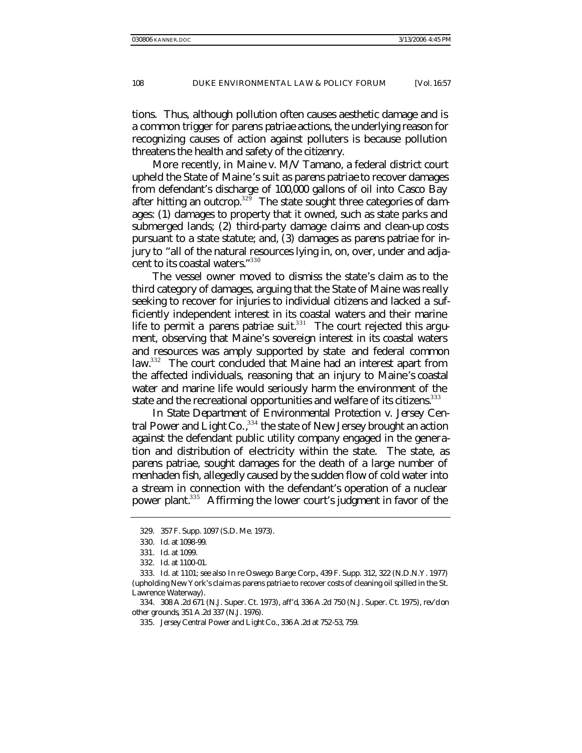tions. Thus, although pollution often causes aesthetic damage and is a common trigger for *parens patriae* actions, the underlying reason for recognizing causes of action against polluters is because pollution threatens the health and safety of the citizenry.

More recently, in *Maine v. M/V Tamano*, a federal district court upheld the State of Maine's suit as *parens patriae* to recover damages from defendant's discharge of 100,000 gallons of oil into Casco Bay after hitting an outcrop.<sup>329</sup> The state sought three categories of damages: (1) damages to property that it owned, such as state parks and submerged lands; (2) third-party damage claims and clean-up costs pursuant to a state statute; and, (3) damages as *parens patriae* for injury to "all of the natural resources lying in, on, over, under and adjacent to its coastal waters." 330

The vessel owner moved to dismiss the state's claim as to the third category of damages, arguing that the State of Maine was really seeking to recover for injuries to individual citizens and lacked a sufficiently independent interest in its coastal waters and their marine life to permit a *parens patriae* suit.<sup>331</sup> The court rejected this argument, observing that Maine's sovereign interest in its coastal waters and resources was amply supported by state and federal common law.<sup>332</sup> The court concluded that Maine had an interest apart from the affected individuals, reasoning that an injury to Maine's coastal water and marine life would seriously harm the environment of the state and the recreational opportunities and welfare of its citizens.<sup>333</sup>

In *State Department of Environmental Protection v. Jersey Central Power and Light Co.*, <sup>334</sup> the state of New Jersey brought an action against the defendant public utility company engaged in the generation and distribution of electricity within the state. The state, as *parens patriae*, sought damages for the death of a large number of menhaden fish, allegedly caused by the sudden flow of cold water into a stream in connection with the defendant's operation of a nuclear power plant.<sup>335</sup> Affirming the lower court's judgment in favor of the

<sup>329.</sup> 357 F. Supp. 1097 (S.D. Me. 1973).

<sup>330</sup>*. Id.* at 1098-99.

<sup>331</sup>*. Id.* at 1099.

<sup>332</sup>*. Id.* at 1100-01.

<sup>333</sup>*. Id.* at 1101; *see also In re* Oswego Barge Corp*.*, 439 F. Supp. 312, 322 (N.D.N.Y. 1977) (upholding New York's claim as *parens patriae* to recover costs of cleaning oil spilled in the St. Lawrence Waterway).

<sup>334.</sup> 308 A.2d 671 (N.J. Super. Ct. 1973), *aff'd*, 336 A.2d 750 (N.J. Super. Ct. 1975), *rev'd on other grounds*, 351 A.2d 337 (N.J. 1976).

<sup>335</sup>*. Jersey Central Power and Light Co.*, 336 A.2d at 752-53, 759.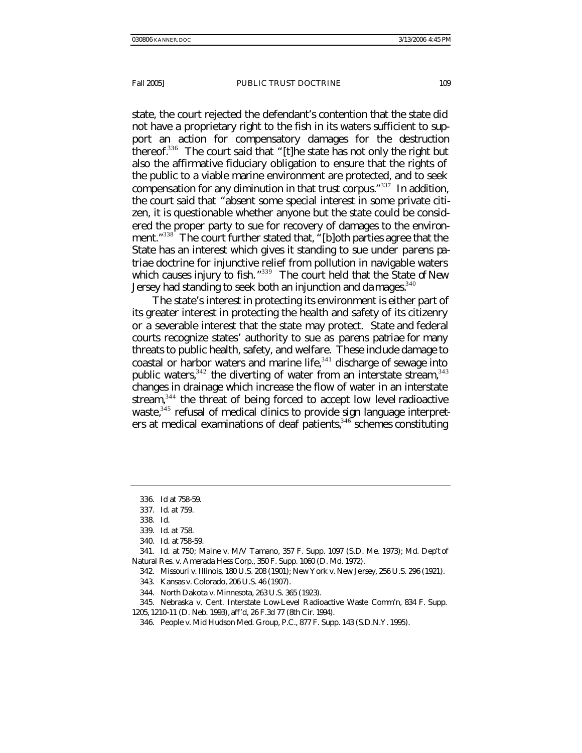state, the court rejected the defendant's contention that the state did not have a proprietary right to the fish in its waters sufficient to support an action for compensatory damages for the destruction thereof.<sup>336</sup> The court said that "[t]he state has not only the right but also the affirmative fiduciary obligation to ensure that the rights of the public to a viable marine environment are protected, and to seek compensation for any diminution in that trust corpus."<sup>337</sup> In addition, the court said that "absent some special interest in some private citizen, it is questionable whether anyone but the state could be considered the proper party to sue for recovery of damages to the environment."<sup>338</sup> The court further stated that, "[b]oth parties agree that the State has an interest which gives it standing to sue under *parens patriae* doctrine for injunctive relief from pollution in navigable waters which causes injury to fish.<sup>"339</sup> The court held that the State of New Jersey had standing to seek both an injunction and da mages.<sup>340</sup>

The state's interest in protecting its environment is either part of its greater interest in protecting the health and safety of its citizenry or a severable interest that the state may protect. State and federal courts recognize states' authority to sue as *parens patriae* for many threats to public health, safety, and welfare. These include damage to coastal or harbor waters and marine life, $341$  discharge of sewage into public waters,  $342$  the diverting of water from an interstate stream,  $343$ changes in drainage which increase the flow of water in an interstate stream, $344$  the threat of being forced to accept low level radioactive waste,<sup>345</sup> refusal of medical clinics to provide sign language interpreters at medical examinations of deaf patients,  $346$  schemes constituting

<sup>336</sup>*. Id* at 758-59.

<sup>337</sup>*. Id*. at 759.

<sup>338</sup>*. Id.*

<sup>339</sup>*. Id*. at 758.

<sup>340</sup>*. Id.* at 758-59.

<sup>341</sup>*. Id.* at 750; Maine v. M/V Tamano, 357 F. Supp. 1097 (S.D. Me. 1973); Md. Dep't of Natural Res. v. Amerada Hess Corp., 350 F. Supp. 1060 (D. Md. 1972).

<sup>342.</sup> Missouri v. Illinois, 180 U.S. 208 (1901); New York v. New Jersey, 256 U.S. 296 (1921).

<sup>343.</sup> Kansas v. Colorado, 206 U.S. 46 (1907).

<sup>344.</sup> North Dakota v. Minnesota, 263 U.S. 365 (1923).

<sup>345.</sup> Nebraska v. Cent. Interstate Low-Level Radioactive Waste Comm'n, 834 F. Supp. 1205, 1210-11 (D. Neb. 1993), *aff'd*, 26 F.3d 77 (8th Cir. 1994).

<sup>346.</sup> People v. Mid Hudson Med. Group, P.C., 877 F. Supp. 143 (S.D.N.Y. 1995).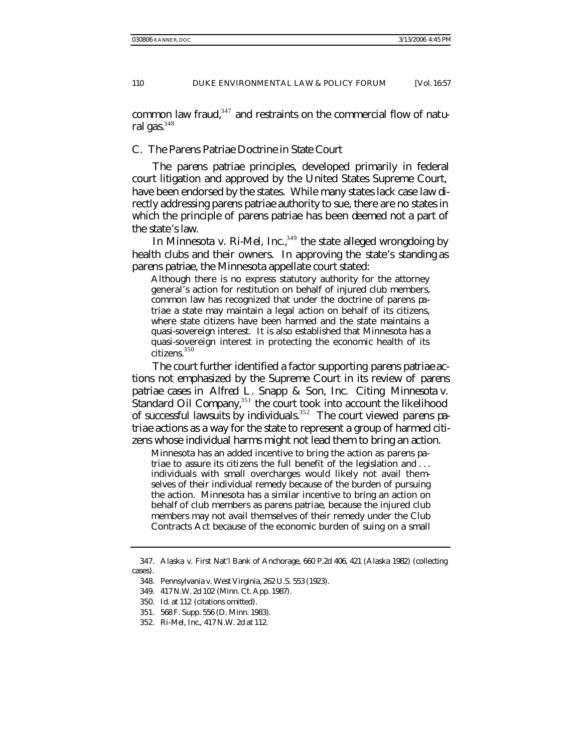common law fraud, $347$  and restraints on the commercial flow of natural gas. $348$ 

## C. *The* Parens Patriae *Doctrine in State Court*

The *parens patriae* principles, developed primarily in federal court litigation and approved by the United States Supreme Court, have been endorsed by the states. While many states lack case law directly addressing *parens patriae* authority to sue, there are no states in which the principle of *parens patriae* has been deemed not a part of the state's law.

In *Minnesota v. Ri-Mel, Inc.*<sup>349</sup> the state alleged wrongdoing by health clubs and their owners. In approving the state's standing as *parens patriae*, the Minnesota appellate court stated:

Although there is no express statutory authority for the attorney general's action for restitution on behalf of injured club members, common law has recognized that under the doctrine of parens patriae a state may maintain a legal action on behalf of its citizens, where state citizens have been harmed and the state maintains a quasi-sovereign interest. It is also established that Minnesota has a quasi-sovereign interest in protecting the economic health of its citizens.<sup>350</sup>

The court further identified a factor supporting *parens patriae* actions not emphasized by the Supreme Court in its review of *parens patriae* cases in *Alfred L. Snapp & Son, Inc.* Citing *Minnesota v.*  Standard Oil Company,<sup>351</sup> the court took into account the likelihood of successful lawsuits by individuals.<sup>352</sup> The court viewed *parens patriae* actions as a way for the state to represent a group of harmed citizens whose individual harms might not lead them to bring an action.

Minnesota has an added incentive to bring the action as *parens patriae* to assure its citizens the full benefit of the legislation and ... individuals with small overcharges would likely not avail themselves of their individual remedy because of the burden of pursuing the action. Minnesota has a similar incentive to bring an action on behalf of club members as *parens patriae*, because the injured club members may not avail themselves of their remedy under the Club Contracts Act because of the economic burden of suing on a small

<sup>347.</sup> Alaska v. First Nat'l Bank of Anchorage, 660 P.2d 406, 421 (Alaska 1982) (collecting cases).

<sup>348.</sup> Pennsylvania v. West Virginia, 262 U.S. 553 (1923).

<sup>349.</sup> 417 N.W. 2d 102 (Minn. Ct. App. 1987).

<sup>350</sup>*. Id.* at 112 (citations omitted).

<sup>351.</sup> 568 F. Supp. 556 (D. Minn. 1983).

<sup>352</sup>*. Ri-Mel, Inc.*, 417 N.W. 2d at 112.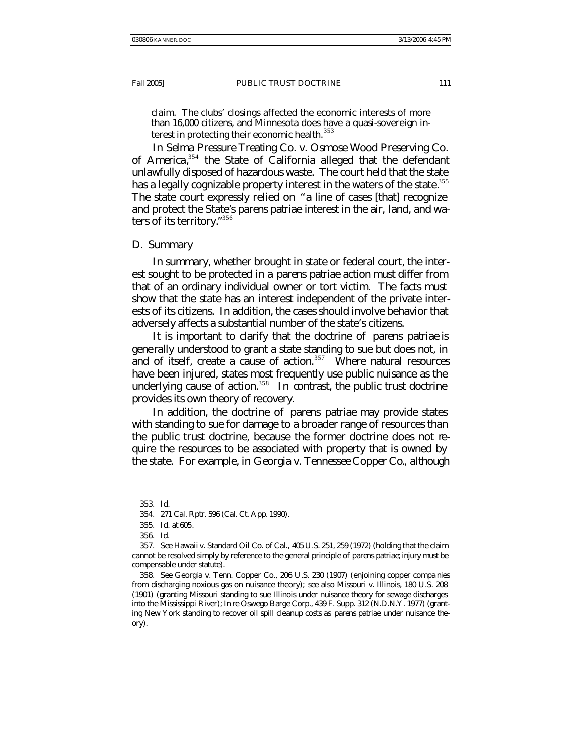claim. The clubs' closings affected the economic interests of more than 16,000 citizens, and Minnesota does have a quasi-sovereign interest in protecting their economic health. <sup>353</sup>

In *Selma Pressure Treating Co. v. Osmose Wood Preserving Co. of America*, <sup>354</sup> the State of California alleged that the defendant unlawfully disposed of hazardous waste. The court held that the state has a legally cognizable property interest in the waters of the state.<sup>355</sup> The state court expressly relied on "a line of cases [that] recognize and protect the State's *parens patriae* interest in the air, land, and waters of its territory." 356

#### D. *Summary*

In summary, whether brought in state or federal court, the interest sought to be protected in a *parens patriae* action must differ from that of an ordinary individual owner or tort victim. The facts must show that the state has an interest independent of the private interests of its citizens. In addition, the cases should involve behavior that adversely affects a substantial number of the state's citizens.

It is important to clarify that the doctrine of *parens patriae* is generally understood to grant a state standing to sue but does not, in and of itself, create a cause of action.<sup>357</sup> Where natural resources have been injured, states most frequently use public nuisance as the underlying cause of action.<sup>358</sup> In contrast, the public trust doctrine provides its own theory of recovery.

In addition, the doctrine of *parens patriae* may provide states with standing to sue for damage to a broader range of resources than the public trust doctrine, because the former doctrine does not require the resources to be associated with property that is owned by the state. For example, in *Georgia v. Tennessee Copper Co.*, although

<sup>353</sup>*. Id.*

<sup>354.</sup> 271 Cal. Rptr. 596 (Cal. Ct. App. 1990).

<sup>355</sup>*. Id.* at 605*.*

<sup>356</sup>*. Id*.

<sup>357</sup>*. See* Hawaii v. Standard Oil Co. of Cal., 405 U.S. 251, 259 (1972) (holding that the claim cannot be resolved simply by reference to the general principle of *parens patriae*; injury must be compensable under statute).

<sup>358</sup>*. See* Georgia v. Tenn. Copper Co., 206 U.S. 230 (1907) (enjoining copper compa nies from discharging noxious gas on nuisance theory); *see also* Missouri v. Illinois, 180 U.S. 208 (1901) (granting Missouri standing to sue Illinois under nuisance theory for sewage discharges into the Mississippi River); *In re* Oswego Barge Corp., 439 F. Supp. 312 (N.D.N.Y. 1977) (granting New York standing to recover oil spill cleanup costs as *parens patriae* under nuisance theory).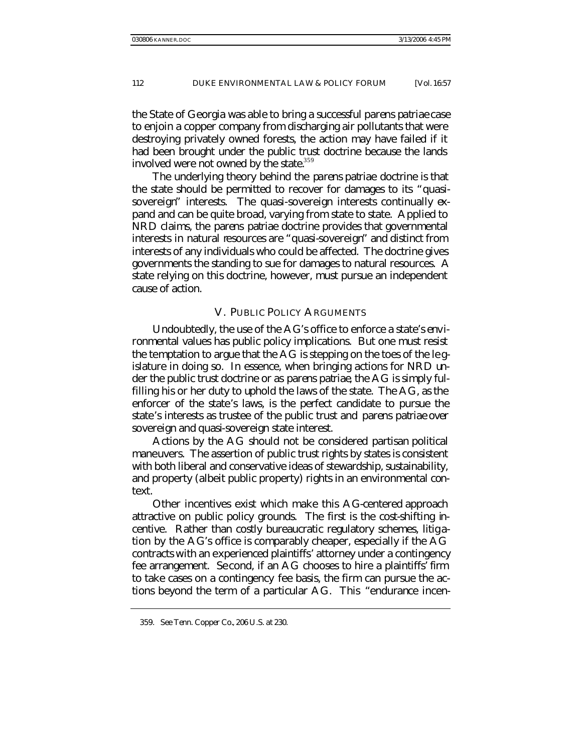the State of Georgia was able to bring a successful *parens patriae* case to enjoin a copper company from discharging air pollutants that were destroying privately owned forests, the action may have failed if it had been brought under the public trust doctrine because the lands involved were not owned by the state. $359$ 

The underlying theory behind the *parens patriae* doctrine is that the state should be permitted to recover for damages to its "quasisovereign" interests. The quasi-sovereign interests continually expand and can be quite broad, varying from state to state. Applied to NRD claims, the *parens patriae* doctrine provides that governmental interests in natural resources are "quasi-sovereign" and distinct from interests of any individuals who could be affected. The doctrine gives governments the standing to sue for damages to natural resources. A state relying on this doctrine, however, must pursue an independent cause of action.

## V. PUBLIC POLICY ARGUMENTS

Undoubtedly, the use of the AG's office to enforce a state's environmental values has public policy implications. But one must resist the temptation to argue that the AG is stepping on the toes of the legislature in doing so. In essence, when bringing actions for NRD under the public trust doctrine or as *parens patriae*, the AG is simply fulfilling his or her duty to uphold the laws of the state. The AG, as the enforcer of the state's laws, is the perfect candidate to pursue the state's interests as trustee of the public trust and *parens patriae* over sovereign and quasi-sovereign state interest.

Actions by the AG should not be considered partisan political maneuvers. The assertion of public trust rights by states is consistent with both liberal and conservative ideas of stewardship, sustainability, and property (albeit public property) rights in an environmental context.

Other incentives exist which make this AG-centered approach attractive on public policy grounds. The first is the cost-shifting incentive. Rather than costly bureaucratic regulatory schemes, litigation by the AG's office is comparably cheaper, especially if the AG contracts with an experienced plaintiffs' attorney under a contingency fee arrangement. Second, if an AG chooses to hire a plaintiffs' firm to take cases on a contingency fee basis, the firm can pursue the actions beyond the term of a particular AG. This "endurance incen-

<sup>359</sup>*. See Tenn. Copper Co.*, 206 U.S. at 230.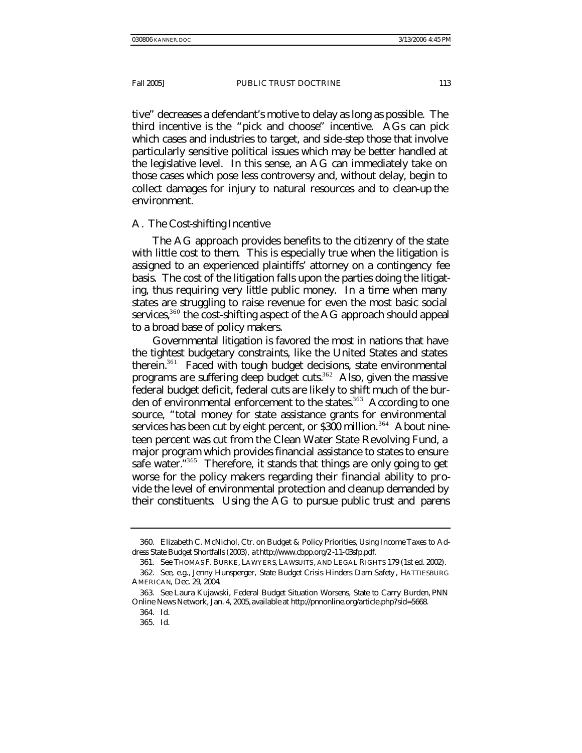tive" decreases a defendant's motive to delay as long as possible. The third incentive is the "pick and choose" incentive. AGs can pick which cases and industries to target, and side-step those that involve particularly sensitive political issues which may be better handled at the legislative level. In this sense, an AG can immediately take on those cases which pose less controversy and, without delay, begin to collect damages for injury to natural resources and to clean-up the environment.

## A. *The Cost-shifting Incentive*

The AG approach provides benefits to the citizenry of the state with little cost to them. This is especially true when the litigation is assigned to an experienced plaintiffs' attorney on a contingency fee basis. The cost of the litigation falls upon the parties doing the litigating, thus requiring very little public money. In a time when many states are struggling to raise revenue for even the most basic social services,<sup>360</sup> the cost-shifting aspect of the AG approach should appeal to a broad base of policy makers.

Governmental litigation is favored the most in nations that have the tightest budgetary constraints, like the United States and states therein.<sup>361</sup> Faced with tough budget decisions, state environmental programs are suffering deep budget cuts.<sup>362</sup> Also, given the massive federal budget deficit, federal cuts are likely to shift much of the burden of environmental enforcement to the states.<sup>363</sup> According to one source, "total money for state assistance grants for environmental services has been cut by eight percent, or \$300 million.<sup>364</sup> About nineteen percent was cut from the Clean Water State Revolving Fund, a major program which provides financial assistance to states to ensure safe water."<sup>365</sup> Therefore, it stands that things are only going to get worse for the policy makers regarding their financial ability to provide the level of environmental protection and cleanup demanded by their constituents. Using the AG to pursue public trust and *parens* 

<sup>360.</sup> Elizabeth C. McNichol, Ctr. on Budget & Policy Priorities, *Using Income Taxes to Address State Budget Shortfalls* (2003), *at* http://www.cbpp.org/2 -11-03sfp.pdf.

<sup>361</sup>*. See* THOMAS F. BURKE, LAWYERS, LAWSUITS, AND LEGAL RIGHTS 179 (1st ed. 2002).

<sup>362</sup>*. See, e.g.*, Jenny Hunsperger, *State Budget Crisis Hinders Dam Safety* , HATTIESBURG AMERICAN, Dec. 29, 2004.

<sup>363</sup>*. See* Laura Kujawski, *Federal Budget Situation Worsens, State to Carry Burden*, PNN Online News Network, Jan. 4, 2005, *available at* http://pnnonline.org/article.php?sid=5668.

<sup>364</sup>*. Id.*

<sup>365</sup>*. Id.*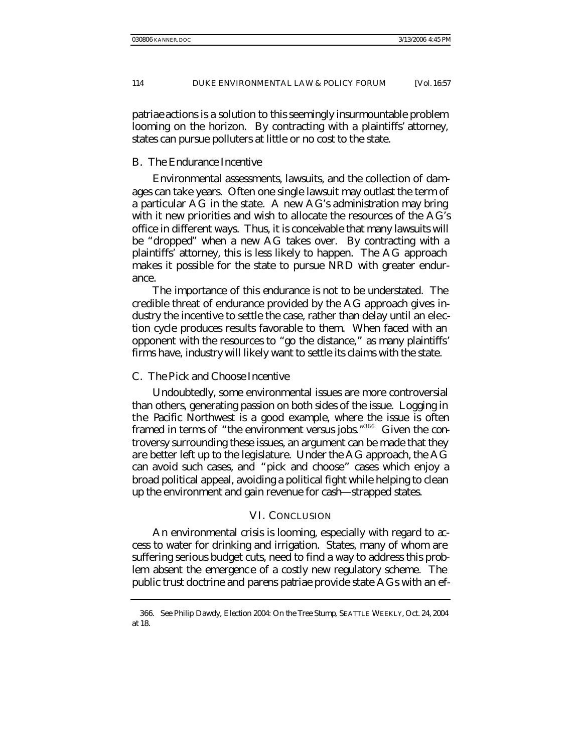*patriae* actions is a solution to this seemingly insurmountable problem looming on the horizon. By contracting with a plaintiffs' attorney, states can pursue polluters at little or no cost to the state.

## B. *The Endurance Incentive*

Environmental assessments, lawsuits, and the collection of damages can take years. Often one single lawsuit may outlast the term of a particular AG in the state. A new AG's administration may bring with it new priorities and wish to allocate the resources of the AG's office in different ways. Thus, it is conceivable that many lawsuits will be "dropped" when a new AG takes over. By contracting with a plaintiffs' attorney, this is less likely to happen. The AG approach makes it possible for the state to pursue NRD with greater endurance.

The importance of this endurance is not to be understated. The credible threat of endurance provided by the AG approach gives industry the incentive to settle the case, rather than delay until an election cycle produces results favorable to them. When faced with an opponent with the resources to "go the distance," as many plaintiffs' firms have, industry will likely want to settle its claims with the state.

## C. *The Pick and Choose Incentive*

Undoubtedly, some environmental issues are more controversial than others, generating passion on both sides of the issue. Logging in the Pacific Northwest is a good example, where the issue is often framed in terms of "the environment versus jobs."<sup>366</sup> Given the controversy surrounding these issues, an argument can be made that they are better left up to the legislature. Under the AG approach, the AG can avoid such cases, and "pick and choose" cases which enjoy a broad political appeal, avoiding a political fight while helping to clean up the environment and gain revenue for cash—strapped states.

#### VI. CONCLUSION

An environmental crisis is looming, especially with regard to access to water for drinking and irrigation. States, many of whom are suffering serious budget cuts, need to find a way to address this problem absent the emergence of a costly new regulatory scheme. The public trust doctrine and *parens patriae* provide state AGs with an ef-

<sup>366</sup>*. See* Philip Dawdy, *Election 2004: On the Tree Stump*, SEATTLE WEEKLY, Oct. 24, 2004 at 18.